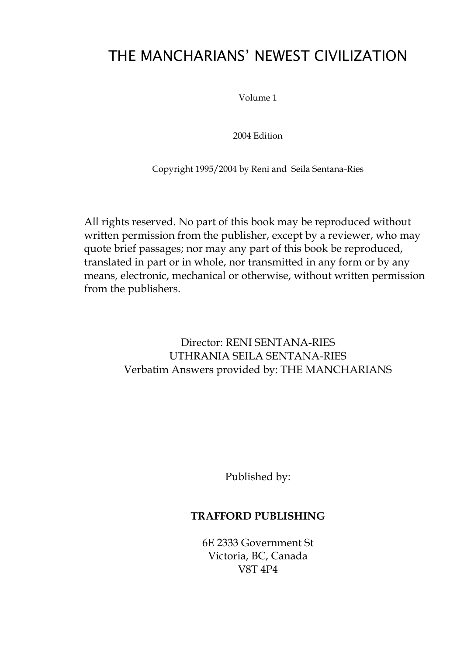# THE MANCHARIANS' NEWEST CIVILIZATION

Volume 1

2004 Edition

Copyright 1995/2004 by Reni and Seila Sentana-Ries

All rights reserved. No part of this book may be reproduced without written permission from the publisher, except by a reviewer, who may quote brief passages; nor may any part of this book be reproduced, translated in part or in whole, nor transmitted in any form or by any means, electronic, mechanical or otherwise, without written permission from the publishers.

> Director: RENI SENTANA-RIES UTHRANIA SEILA SENTANA-RIES Verbatim Answers provided by: THE MANCHARIANS

> > Published by:

#### **TRAFFORD PUBLISHING**

6E 2333 Government St Victoria, BC, Canada V8T 4P4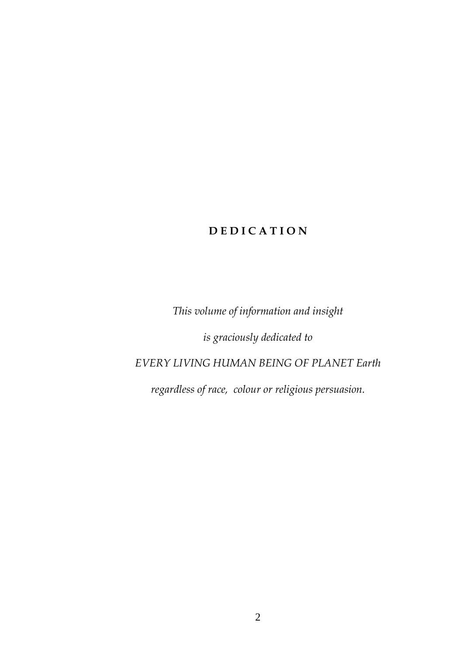# **D E D I C A T I O N**

*This volume of information and insight*

*is graciously dedicated to*

# *EVERY LIVING HUMAN BEING OF PLANET Earth*

*regardless of race, colour or religious persuasion.*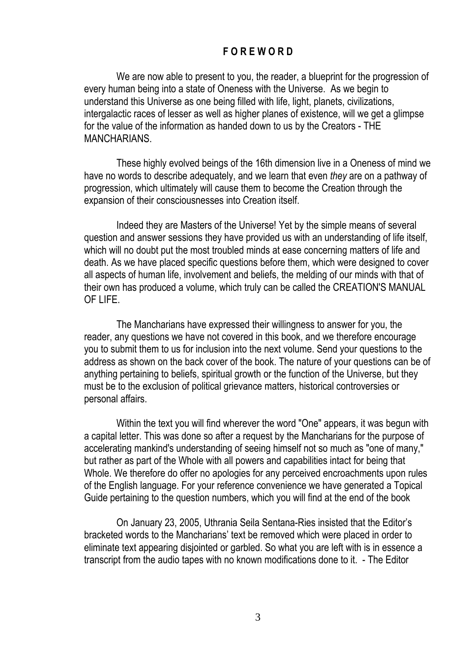#### **F O R E W O R D**

We are now able to present to you, the reader, a blueprint for the progression of every human being into a state of Oneness with the Universe. As we begin to understand this Universe as one being filled with life, light, planets, civilizations, intergalactic races of lesser as well as higher planes of existence, will we get a glimpse for the value of the information as handed down to us by the Creators - THE MANCHARIANS.

These highly evolved beings of the 16th dimension live in a Oneness of mind we have no words to describe adequately, and we learn that even *they* are on a pathway of progression, which ultimately will cause them to become the Creation through the expansion of their consciousnesses into Creation itself.

Indeed they are Masters of the Universe! Yet by the simple means of several question and answer sessions they have provided us with an understanding of life itself, which will no doubt put the most troubled minds at ease concerning matters of life and death. As we have placed specific questions before them, which were designed to cover all aspects of human life, involvement and beliefs, the melding of our minds with that of their own has produced a volume, which truly can be called the CREATION'S MANUAL OF LIFE.

The Mancharians have expressed their willingness to answer for you, the reader, any questions we have not covered in this book, and we therefore encourage you to submit them to us for inclusion into the next volume. Send your questions to the address as shown on the back cover of the book. The nature of your questions can be of anything pertaining to beliefs, spiritual growth or the function of the Universe, but they must be to the exclusion of political grievance matters, historical controversies or personal affairs.

Within the text you will find wherever the word "One" appears, it was begun with a capital letter. This was done so after a request by the Mancharians for the purpose of accelerating mankind's understanding of seeing himself not so much as "one of many," but rather as part of the Whole with all powers and capabilities intact for being that Whole. We therefore do offer no apologies for any perceived encroachments upon rules of the English language. For your reference convenience we have generated a Topical Guide pertaining to the question numbers, which you will find at the end of the book

On January 23, 2005, Uthrania Seila Sentana-Ries insisted that the Editor's bracketed words to the Mancharians' text be removed which were placed in order to eliminate text appearing disjointed or garbled. So what you are left with is in essence a transcript from the audio tapes with no known modifications done to it. - The Editor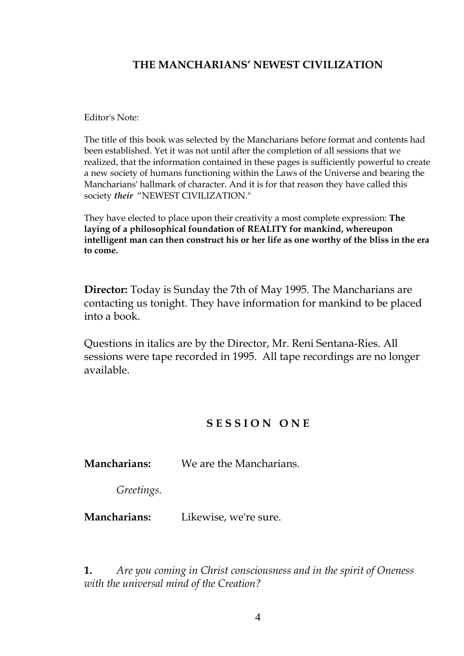### THE MANCHARIANS' NEWEST CIVILIZATION

Editor's Note:

The title of this book was selected by the Mancharians before format and contents had been established. Yet it was not until after the completion of all sessions that we realized, that the information contained in these pages is sufficiently powerful to create a new society of humans functioning within the Laws of the Universe and bearing the Mancharians' hallmark of character. And it is for that reason they have called this society *their* "NEWEST CIVILIZATION."

They have elected to place upon their creativity a most complete expression: **The laying of a philosophical foundation of REALITY for mankind, whereupon intelligent man can then construct his or her life as one worthy of the bliss in the era to come.**

**Director:** Today is Sunday the 7th of May 1995. The Mancharians are contacting us tonight. They have information for mankind to be placed into a book.

Questions in italics are by the Director, Mr. Reni Sentana-Ries. All sessions were tape recorded in 1995. All tape recordings are no longer available.

### **S E S S I O N O N E**

**Mancharians:** We are the Mancharians.

*Greetings.*

**Mancharians:** Likewise, we're sure.

**1.** *Are you coming in Christ consciousness and in the spirit of Oneness with the universal mind of the Creation?*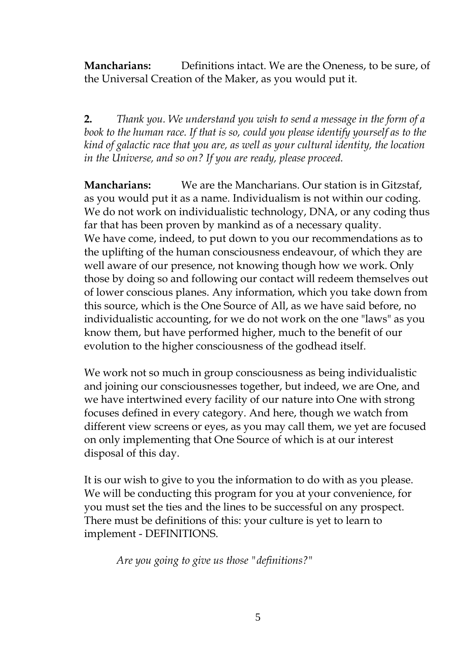**Mancharians:** Definitions intact. We are the Oneness, to be sure, of the Universal Creation of the Maker, as you would put it.

**2.** *Thank you. We understand you wish to send a message in the form of a book to the human race. If that is so, could you please identify yourself as to the kind of galactic race that you are, as well as your cultural identity, the location in the Universe, and so on? If you are ready, please proceed.*

**Mancharians:** We are the Mancharians. Our station is in Gitzstaf, as you would put it as a name. Individualism is not within our coding. We do not work on individualistic technology, DNA, or any coding thus far that has been proven by mankind as of a necessary quality. We have come, indeed, to put down to you our recommendations as to the uplifting of the human consciousness endeavour, of which they are well aware of our presence, not knowing though how we work. Only those by doing so and following our contact will redeem themselves out of lower conscious planes. Any information, which you take down from this source, which is the One Source of All, as we have said before, no individualistic accounting, for we do not work on the one "laws" as you know them, but have performed higher, much to the benefit of our evolution to the higher consciousness of the godhead itself.

We work not so much in group consciousness as being individualistic and joining our consciousnesses together, but indeed, we are One, and we have intertwined every facility of our nature into One with strong focuses defined in every category. And here, though we watch from different view screens or eyes, as you may call them, we yet are focused on only implementing that One Source of which is at our interest disposal of this day.

It is our wish to give to you the information to do with as you please. We will be conducting this program for you at your convenience, for you must set the ties and the lines to be successful on any prospect. There must be definitions of this: your culture is yet to learn to implement - DEFINITIONS.

*Are you going to give us those "definitions?"*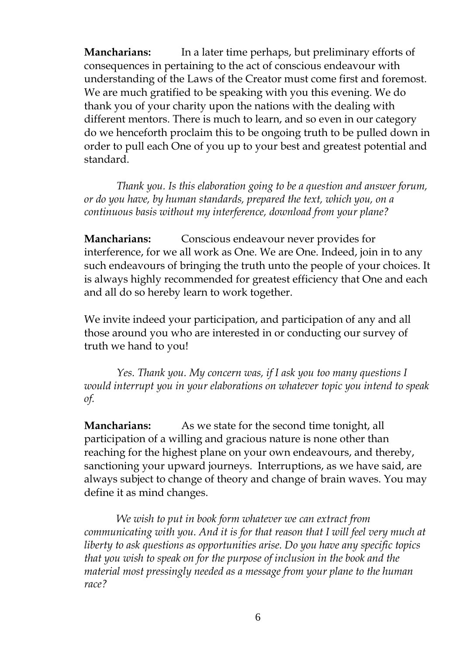**Mancharians:** In a later time perhaps, but preliminary efforts of consequences in pertaining to the act of conscious endeavour with understanding of the Laws of the Creator must come first and foremost. We are much gratified to be speaking with you this evening. We do thank you of your charity upon the nations with the dealing with different mentors. There is much to learn, and so even in our category do we henceforth proclaim this to be ongoing truth to be pulled down in order to pull each One of you up to your best and greatest potential and standard.

*Thank you. Is this elaboration going to be a question and answer forum, or do you have, by human standards, prepared the text, which you, on a continuous basis without my interference, download from your plane?*

**Mancharians:** Conscious endeavour never provides for interference, for we all work as One. We are One. Indeed, join in to any such endeavours of bringing the truth unto the people of your choices. It is always highly recommended for greatest efficiency that One and each and all do so hereby learn to work together.

We invite indeed your participation, and participation of any and all those around you who are interested in or conducting our survey of truth we hand to you!

*Yes. Thank you. My concern was, if I ask you too many questions I would interrupt you in your elaborations on whatever topic you intend to speak of.*

**Mancharians:** As we state for the second time tonight, all participation of a willing and gracious nature is none other than reaching for the highest plane on your own endeavours, and thereby, sanctioning your upward journeys. Interruptions, as we have said, are always subject to change of theory and change of brain waves. You may define it as mind changes.

*We wish to put in book form whatever we can extract from communicating with you. And it is for that reason that I will feel very much at liberty to ask questions as opportunities arise. Do you have any specific topics that you wish to speak on for the purpose of inclusion in the book and the material most pressingly needed as a message from your plane to the human race?*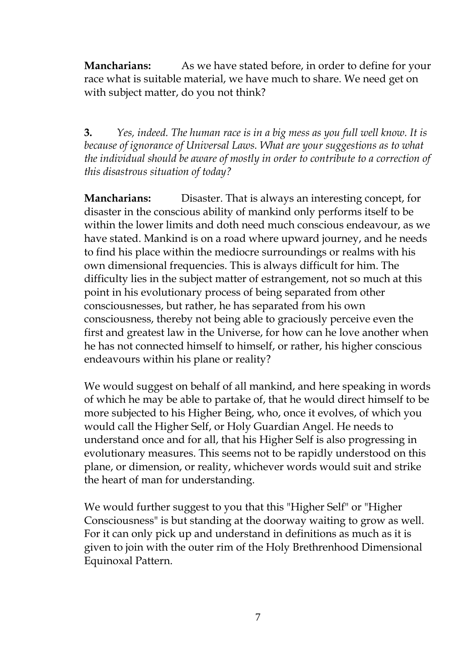**Mancharians:** As we have stated before, in order to define for your race what is suitable material, we have much to share. We need get on with subject matter, do you not think?

**3.** *Yes, indeed. The human race is in a big mess as you full well know. It is because of ignorance of Universal Laws. What are your suggestions as to what the individual should be aware of mostly in order to contribute to a correction of this disastrous situation of today?*

**Mancharians:** Disaster. That is always an interesting concept, for disaster in the conscious ability of mankind only performs itself to be within the lower limits and doth need much conscious endeavour, as we have stated. Mankind is on a road where upward journey, and he needs to find his place within the mediocre surroundings or realms with his own dimensional frequencies. This is always difficult for him. The difficulty lies in the subject matter of estrangement, not so much at this point in his evolutionary process of being separated from other consciousnesses, but rather, he has separated from his own consciousness, thereby not being able to graciously perceive even the first and greatest law in the Universe, for how can he love another when he has not connected himself to himself, or rather, his higher conscious endeavours within his plane or reality?

We would suggest on behalf of all mankind, and here speaking in words of which he may be able to partake of, that he would direct himself to be more subjected to his Higher Being, who, once it evolves, of which you would call the Higher Self, or Holy Guardian Angel. He needs to understand once and for all, that his Higher Self is also progressing in evolutionary measures. This seems not to be rapidly understood on this plane, or dimension, or reality, whichever words would suit and strike the heart of man for understanding.

We would further suggest to you that this "Higher Self" or "Higher Consciousness" is but standing at the doorway waiting to grow as well. For it can only pick up and understand in definitions as much as it is given to join with the outer rim of the Holy Brethrenhood Dimensional Equinoxal Pattern.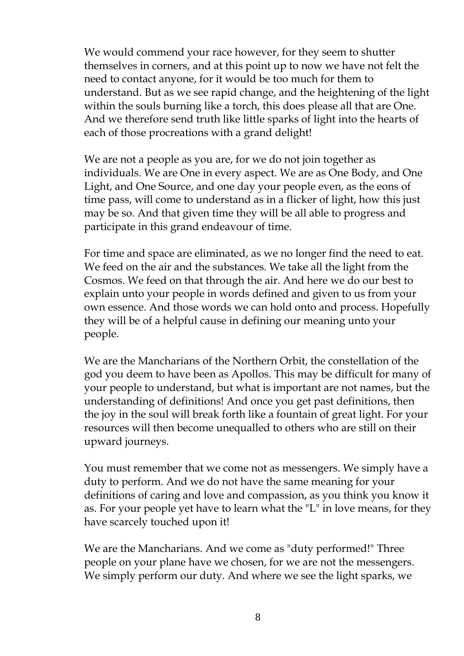We would commend your race however, for they seem to shutter themselves in corners, and at this point up to now we have not felt the need to contact anyone, for it would be too much for them to understand. But as we see rapid change, and the heightening of the light within the souls burning like a torch, this does please all that are One. And we therefore send truth like little sparks of light into the hearts of each of those procreations with a grand delight!

We are not a people as you are, for we do not join together as individuals. We are One in every aspect. We are as One Body, and One Light, and One Source, and one day your people even, as the eons of time pass, will come to understand as in a flicker of light, how this just may be so. And that given time they will be all able to progress and participate in this grand endeavour of time.

For time and space are eliminated, as we no longer find the need to eat. We feed on the air and the substances. We take all the light from the Cosmos. We feed on that through the air. And here we do our best to explain unto your people in words defined and given to us from your own essence. And those words we can hold onto and process. Hopefully they will be of a helpful cause in defining our meaning unto your people.

We are the Mancharians of the Northern Orbit, the constellation of the god you deem to have been as Apollos. This may be difficult for many of your people to understand, but what is important are not names, but the understanding of definitions! And once you get past definitions, then the joy in the soul will break forth like a fountain of great light. For your resources will then become unequalled to others who are still on their upward journeys.

You must remember that we come not as messengers. We simply have a duty to perform. And we do not have the same meaning for your definitions of caring and love and compassion, as you think you know it as. For your people yet have to learn what the "L" in love means, for they have scarcely touched upon it!

We are the Mancharians. And we come as "duty performed!" Three people on your plane have we chosen, for we are not the messengers. We simply perform our duty. And where we see the light sparks, we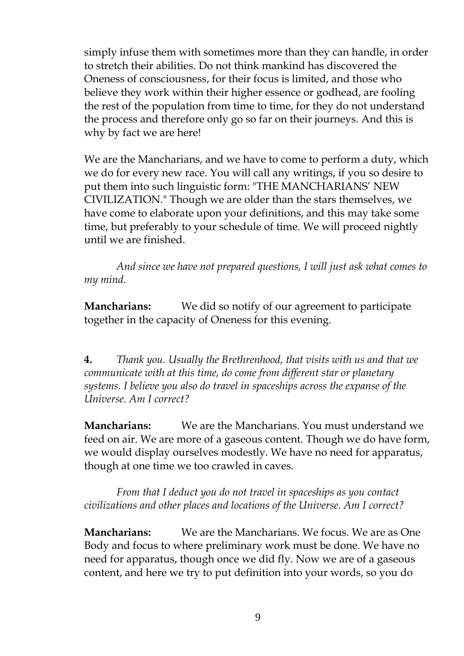simply infuse them with sometimes more than they can handle, in order to stretch their abilities. Do not think mankind has discovered the Oneness of consciousness, for their focus is limited, and those who believe they work within their higher essence or godhead, are fooling the rest of the population from time to time, for they do not understand the process and therefore only go so far on their journeys. And this is why by fact we are here!

We are the Mancharians, and we have to come to perform a duty, which we do for every new race. You will call any writings, if you so desire to put them into such linguistic form: "THE MANCHARIANS' NEW CIVILIZATION." Though we are older than the stars themselves, we have come to elaborate upon your definitions, and this may take some time, but preferably to your schedule of time. We will proceed nightly until we are finished.

*And since we have not prepared questions, I will just ask what comes to my mind.*

**Mancharians:** We did so notify of our agreement to participate together in the capacity of Oneness for this evening.

**4.** *Thank you. Usually the Brethrenhood, that visits with us and that we communicate with at this time, do come from different star or planetary systems. I believe you also do travel in spaceships across the expanse of the Universe. Am I correct?*

**Mancharians:** We are the Mancharians. You must understand we feed on air. We are more of a gaseous content. Though we do have form, we would display ourselves modestly. We have no need for apparatus, though at one time we too crawled in caves.

*From that I deduct you do not travel in spaceships as you contact civilizations and other places and locations of the Universe. Am I correct?*

**Mancharians:** We are the Mancharians. We focus. We are as One Body and focus to where preliminary work must be done. We have no need for apparatus, though once we did fly. Now we are of a gaseous content, and here we try to put definition into your words, so you do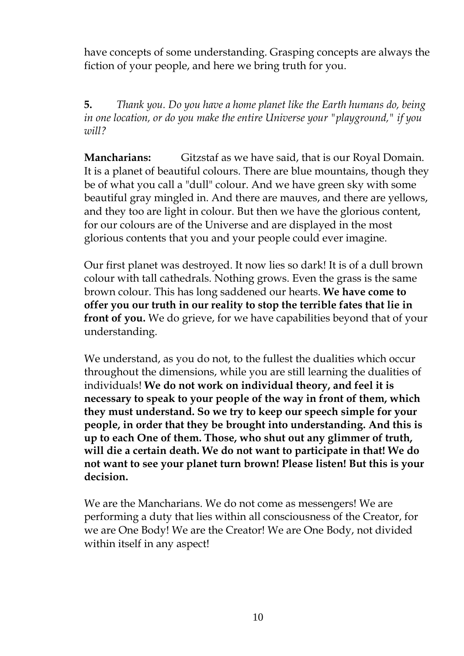have concepts of some understanding. Grasping concepts are always the fiction of your people, and here we bring truth for you.

**5.** *Thank you. Do you have a home planet like the Earth humans do, being in one location, or do you make the entire Universe your "playground," if you will?*

**Mancharians:** Gitzstaf as we have said, that is our Royal Domain. It is a planet of beautiful colours. There are blue mountains, though they be of what you call a "dull" colour. And we have green sky with some beautiful gray mingled in. And there are mauves, and there are yellows, and they too are light in colour. But then we have the glorious content, for our colours are of the Universe and are displayed in the most glorious contents that you and your people could ever imagine.

Our first planet was destroyed. It now lies so dark! It is of a dull brown colour with tall cathedrals. Nothing grows. Even the grass is the same brown colour. This has long saddened our hearts. **We have come to offer you our truth in our reality to stop the terrible fates that lie in front of you.** We do grieve, for we have capabilities beyond that of your understanding.

We understand, as you do not, to the fullest the dualities which occur throughout the dimensions, while you are still learning the dualities of individuals! **We do not work on individual theory, and feel it is necessary to speak to your people of the way in front of them, which they must understand. So we try to keep our speech simple for your people, in order that they be brought into understanding. And this is up to each One of them. Those, who shut out any glimmer of truth, will die a certain death. We do not want to participate in that! We do not want to see your planet turn brown! Please listen! But this is your decision.**

We are the Mancharians. We do not come as messengers! We are performing a duty that lies within all consciousness of the Creator, for we are One Body! We are the Creator! We are One Body, not divided within itself in any aspect!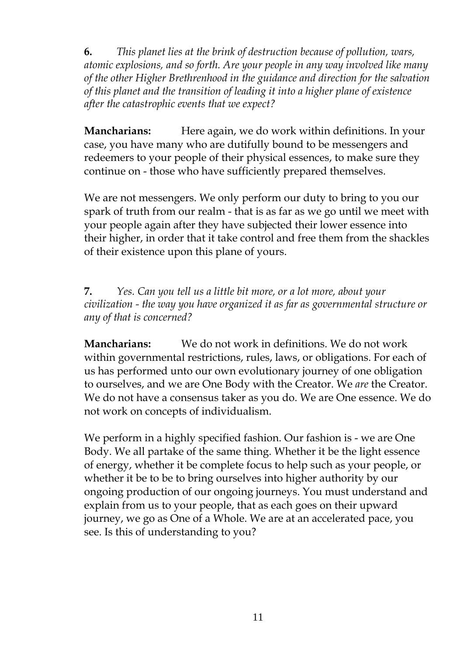**6.** *This planet lies at the brink of destruction because of pollution, wars, atomic explosions, and so forth. Are your people in any way involved like many of the other Higher Brethrenhood in the guidance and direction for the salvation of this planet and the transition of leading it into a higher plane of existence after the catastrophic events that we expect?*

**Mancharians:** Here again, we do work within definitions. In your case, you have many who are dutifully bound to be messengers and redeemers to your people of their physical essences, to make sure they continue on - those who have sufficiently prepared themselves.

We are not messengers. We only perform our duty to bring to you our spark of truth from our realm - that is as far as we go until we meet with your people again after they have subjected their lower essence into their higher, in order that it take control and free them from the shackles of their existence upon this plane of yours.

**7.** *Yes. Can you tell us a little bit more, or a lot more, about your civilization - the way you have organized it as far as governmental structure or any of that is concerned?*

**Mancharians:** We do not work in definitions. We do not work within governmental restrictions, rules, laws, or obligations. For each of us has performed unto our own evolutionary journey of one obligation to ourselves, and we are One Body with the Creator. We *are* the Creator. We do not have a consensus taker as you do. We are One essence. We do not work on concepts of individualism.

We perform in a highly specified fashion. Our fashion is - we are One Body. We all partake of the same thing. Whether it be the light essence of energy, whether it be complete focus to help such as your people, or whether it be to be to bring ourselves into higher authority by our ongoing production of our ongoing journeys. You must understand and explain from us to your people, that as each goes on their upward journey, we go as One of a Whole. We are at an accelerated pace, you see. Is this of understanding to you?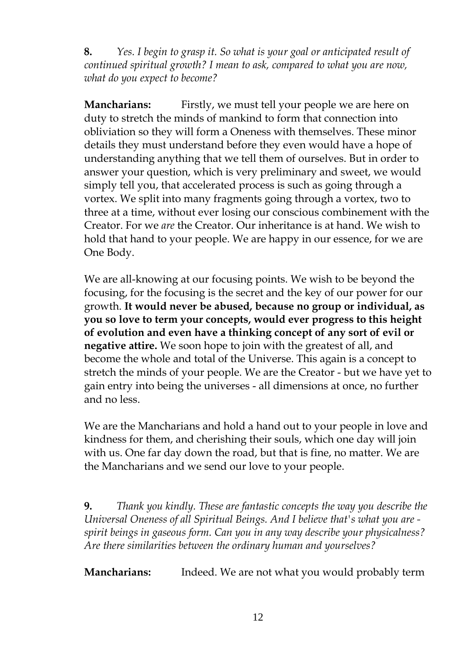**8.** *Yes. I begin to grasp it. So what is your goal or anticipated result of continued spiritual growth? I mean to ask, compared to what you are now, what do you expect to become?*

**Mancharians:** Firstly, we must tell your people we are here on duty to stretch the minds of mankind to form that connection into obliviation so they will form a Oneness with themselves. These minor details they must understand before they even would have a hope of understanding anything that we tell them of ourselves. But in order to answer your question, which is very preliminary and sweet, we would simply tell you, that accelerated process is such as going through a vortex. We split into many fragments going through a vortex, two to three at a time, without ever losing our conscious combinement with the Creator. For we *are* the Creator. Our inheritance is at hand. We wish to hold that hand to your people. We are happy in our essence, for we are One Body.

We are all-knowing at our focusing points. We wish to be beyond the focusing, for the focusing is the secret and the key of our power for our growth. **It would never be abused, because no group or individual, as you so love to term your concepts, would ever progress to this height of evolution and even have a thinking concept of any sort of evil or negative attire.** We soon hope to join with the greatest of all, and become the whole and total of the Universe. This again is a concept to stretch the minds of your people. We are the Creator - but we have yet to gain entry into being the universes - all dimensions at once, no further and no less.

We are the Mancharians and hold a hand out to your people in love and kindness for them, and cherishing their souls, which one day will join with us. One far day down the road, but that is fine, no matter. We are the Mancharians and we send our love to your people.

**9.** *Thank you kindly. These are fantastic concepts the way you describe the Universal Oneness of all Spiritual Beings. And I believe that's what you are spirit beings in gaseous form. Can you in any way describe your physicalness? Are there similarities between the ordinary human and yourselves?*

**Mancharians:** Indeed. We are not what you would probably term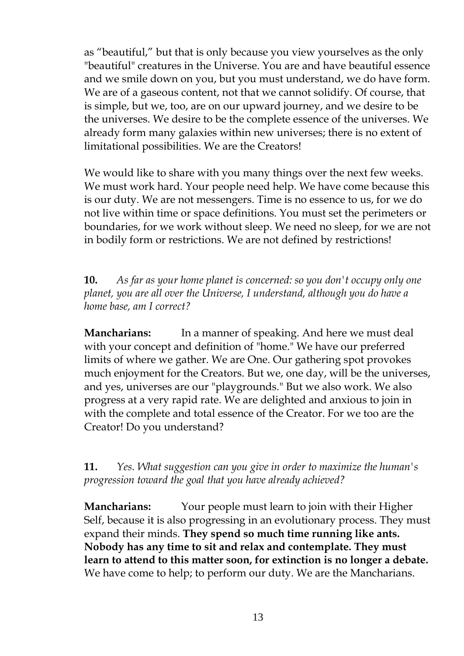as "beautiful," but that is only because you view yourselves as the only "beautiful" creatures in the Universe. You are and have beautiful essence and we smile down on you, but you must understand, we do have form. We are of a gaseous content, not that we cannot solidify. Of course, that is simple, but we, too, are on our upward journey, and we desire to be the universes. We desire to be the complete essence of the universes. We already form many galaxies within new universes; there is no extent of limitational possibilities. We are the Creators!

We would like to share with you many things over the next few weeks. We must work hard. Your people need help. We have come because this is our duty. We are not messengers. Time is no essence to us, for we do not live within time or space definitions. You must set the perimeters or boundaries, for we work without sleep. We need no sleep, for we are not in bodily form or restrictions. We are not defined by restrictions!

**10.** *As far as your home planet is concerned: so you don't occupy only one planet, you are all over the Universe, I understand, although you do have a home base, am I correct?*

**Mancharians:** In a manner of speaking. And here we must deal with your concept and definition of "home." We have our preferred limits of where we gather. We are One. Our gathering spot provokes much enjoyment for the Creators. But we, one day, will be the universes, and yes, universes are our "playgrounds." But we also work. We also progress at a very rapid rate. We are delighted and anxious to join in with the complete and total essence of the Creator. For we too are the Creator! Do you understand?

**11.** *Yes. What suggestion can you give in order to maximize the human's progression toward the goal that you have already achieved?*

**Mancharians:** Your people must learn to join with their Higher Self, because it is also progressing in an evolutionary process. They must expand their minds. **They spend so much time running like ants. Nobody has any time to sit and relax and contemplate. They must learn to attend to this matter soon, for extinction is no longer a debate.** We have come to help; to perform our duty. We are the Mancharians.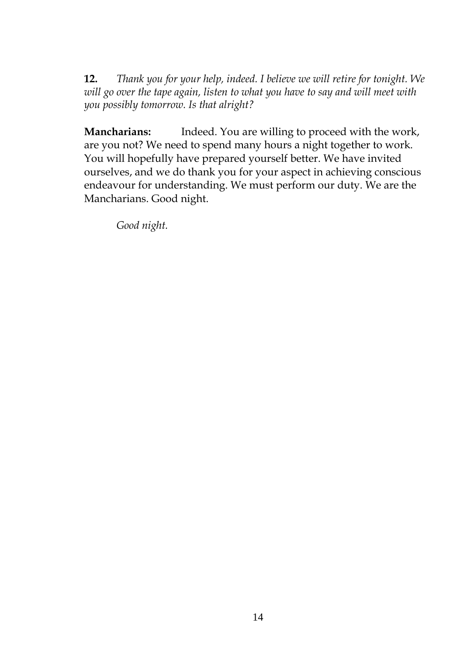**12.** *Thank you for your help, indeed. I believe we will retire for tonight. We will go over the tape again, listen to what you have to say and will meet with you possibly tomorrow. Is that alright?*

**Mancharians:** Indeed. You are willing to proceed with the work, are you not? We need to spend many hours a night together to work. You will hopefully have prepared yourself better. We have invited ourselves, and we do thank you for your aspect in achieving conscious endeavour for understanding. We must perform our duty. We are the Mancharians. Good night.

*Good night.*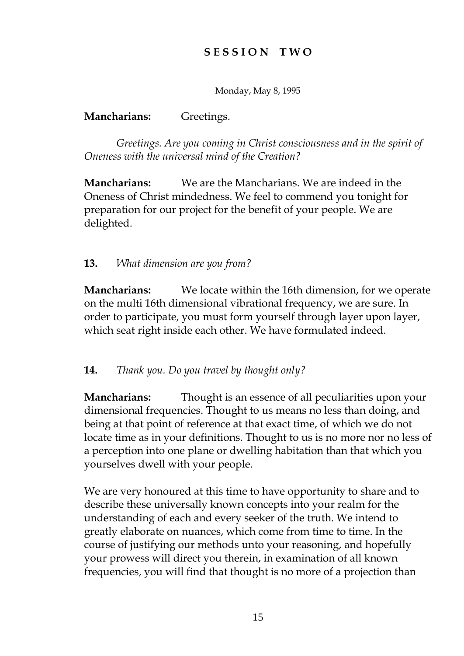# **S E S S I O N T W O**

Monday, May 8, 1995

### **Mancharians:** Greetings.

*Greetings. Are you coming in Christ consciousness and in the spirit of Oneness with the universal mind of the Creation?*

**Mancharians:** We are the Mancharians. We are indeed in the Oneness of Christ mindedness. We feel to commend you tonight for preparation for our project for the benefit of your people. We are delighted.

### **13.** *What dimension are you from?*

**Mancharians:** We locate within the 16th dimension, for we operate on the multi 16th dimensional vibrational frequency, we are sure. In order to participate, you must form yourself through layer upon layer, which seat right inside each other. We have formulated indeed.

### **14.** *Thank you. Do you travel by thought only?*

**Mancharians:** Thought is an essence of all peculiarities upon your dimensional frequencies. Thought to us means no less than doing, and being at that point of reference at that exact time, of which we do not locate time as in your definitions. Thought to us is no more nor no less of a perception into one plane or dwelling habitation than that which you yourselves dwell with your people.

We are very honoured at this time to have opportunity to share and to describe these universally known concepts into your realm for the understanding of each and every seeker of the truth. We intend to greatly elaborate on nuances, which come from time to time. In the course of justifying our methods unto your reasoning, and hopefully your prowess will direct you therein, in examination of all known frequencies, you will find that thought is no more of a projection than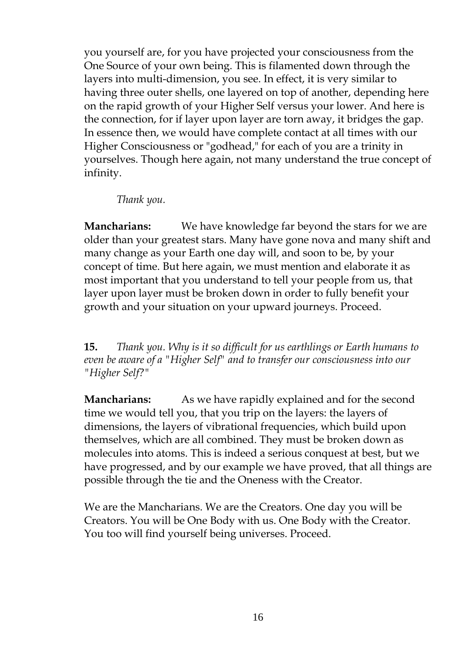you yourself are, for you have projected your consciousness from the One Source of your own being. This is filamented down through the layers into multi-dimension, you see. In effect, it is very similar to having three outer shells, one layered on top of another, depending here on the rapid growth of your Higher Self versus your lower. And here is the connection, for if layer upon layer are torn away, it bridges the gap. In essence then, we would have complete contact at all times with our Higher Consciousness or "godhead," for each of you are a trinity in yourselves. Though here again, not many understand the true concept of infinity.

*Thank you.*

**Mancharians:** We have knowledge far beyond the stars for we are older than your greatest stars. Many have gone nova and many shift and many change as your Earth one day will, and soon to be, by your concept of time. But here again, we must mention and elaborate it as most important that you understand to tell your people from us, that layer upon layer must be broken down in order to fully benefit your growth and your situation on your upward journeys. Proceed.

**15.** *Thank you. Why is it so difficult for us earthlings or Earth humans to even be aware of a "Higher Self" and to transfer our consciousness into our "Higher Self?"*

**Mancharians:** As we have rapidly explained and for the second time we would tell you, that you trip on the layers: the layers of dimensions, the layers of vibrational frequencies, which build upon themselves, which are all combined. They must be broken down as molecules into atoms. This is indeed a serious conquest at best, but we have progressed, and by our example we have proved, that all things are possible through the tie and the Oneness with the Creator.

We are the Mancharians. We are the Creators. One day you will be Creators. You will be One Body with us. One Body with the Creator. You too will find yourself being universes. Proceed.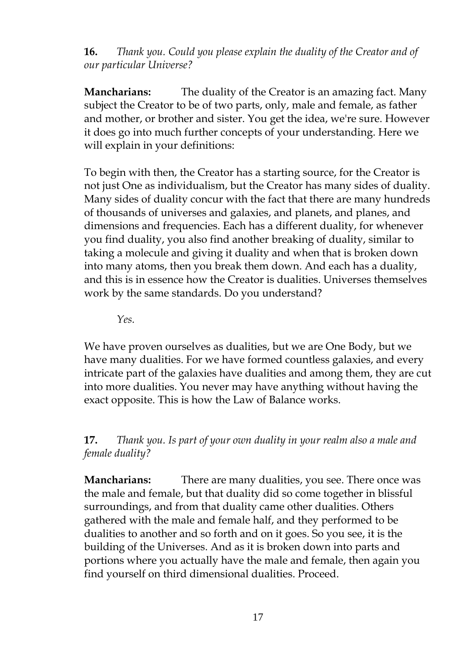**16.** *Thank you. Could you please explain the duality of the Creator and of our particular Universe?*

**Mancharians:** The duality of the Creator is an amazing fact. Many subject the Creator to be of two parts, only, male and female, as father and mother, or brother and sister. You get the idea, we're sure. However it does go into much further concepts of your understanding. Here we will explain in your definitions:

To begin with then, the Creator has a starting source, for the Creator is not just One as individualism, but the Creator has many sides of duality. Many sides of duality concur with the fact that there are many hundreds of thousands of universes and galaxies, and planets, and planes, and dimensions and frequencies. Each has a different duality, for whenever you find duality, you also find another breaking of duality, similar to taking a molecule and giving it duality and when that is broken down into many atoms, then you break them down. And each has a duality, and this is in essence how the Creator is dualities. Universes themselves work by the same standards. Do you understand?

*Yes.*

We have proven ourselves as dualities, but we are One Body, but we have many dualities. For we have formed countless galaxies, and every intricate part of the galaxies have dualities and among them, they are cut into more dualities. You never may have anything without having the exact opposite. This is how the Law of Balance works.

## **17.** *Thank you. Is part of your own duality in your realm also a male and female duality?*

**Mancharians:** There are many dualities, you see. There once was the male and female, but that duality did so come together in blissful surroundings, and from that duality came other dualities. Others gathered with the male and female half, and they performed to be dualities to another and so forth and on it goes. So you see, it is the building of the Universes. And as it is broken down into parts and portions where you actually have the male and female, then again you find yourself on third dimensional dualities. Proceed.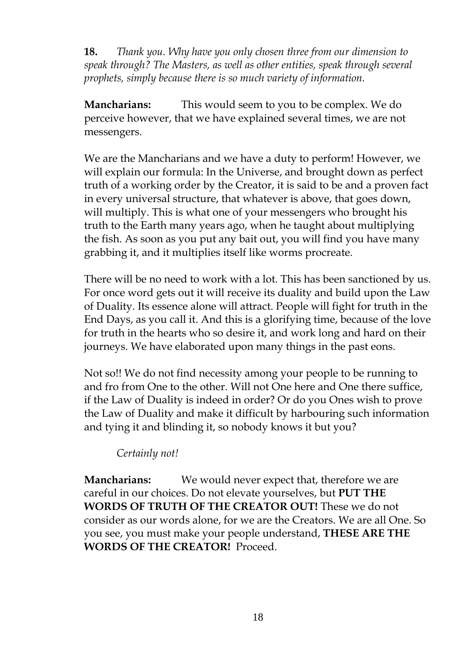**18.** *Thank you. Why have you only chosen three from our dimension to speak through? The Masters, as well as other entities, speak through several prophets, simply because there is so much variety of information.*

**Mancharians:** This would seem to you to be complex. We do perceive however, that we have explained several times, we are not messengers.

We are the Mancharians and we have a duty to perform! However, we will explain our formula: In the Universe, and brought down as perfect truth of a working order by the Creator, it is said to be and a proven fact in every universal structure, that whatever is above, that goes down, will multiply. This is what one of your messengers who brought his truth to the Earth many years ago, when he taught about multiplying the fish. As soon as you put any bait out, you will find you have many grabbing it, and it multiplies itself like worms procreate.

There will be no need to work with a lot. This has been sanctioned by us. For once word gets out it will receive its duality and build upon the Law of Duality. Its essence alone will attract. People will fight for truth in the End Days, as you call it. And this is a glorifying time, because of the love for truth in the hearts who so desire it, and work long and hard on their journeys. We have elaborated upon many things in the past eons.

Not so!! We do not find necessity among your people to be running to and fro from One to the other. Will not One here and One there suffice, if the Law of Duality is indeed in order? Or do you Ones wish to prove the Law of Duality and make it difficult by harbouring such information and tying it and blinding it, so nobody knows it but you?

## *Certainly not!*

**Mancharians:** We would never expect that, therefore we are careful in our choices. Do not elevate yourselves, but **PUT THE WORDS OF TRUTH OF THE CREATOR OUT!** These we do not consider as our words alone, for we are the Creators. We are all One. So you see, you must make your people understand, **THESE ARE THE WORDS OF THE CREATOR!** Proceed.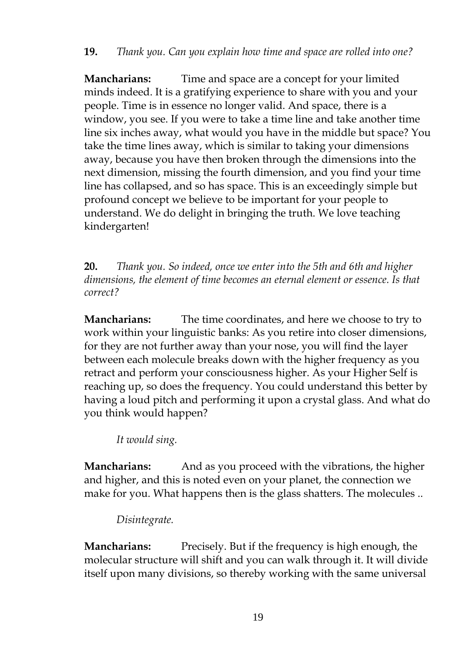**Mancharians:** Time and space are a concept for your limited minds indeed. It is a gratifying experience to share with you and your people. Time is in essence no longer valid. And space, there is a window, you see. If you were to take a time line and take another time line six inches away, what would you have in the middle but space? You take the time lines away, which is similar to taking your dimensions away, because you have then broken through the dimensions into the next dimension, missing the fourth dimension, and you find your time line has collapsed, and so has space. This is an exceedingly simple but profound concept we believe to be important for your people to understand. We do delight in bringing the truth. We love teaching kindergarten!

**20.** *Thank you. So indeed, once we enter into the 5th and 6th and higher dimensions, the element of time becomes an eternal element or essence. Is that correct?*

**Mancharians:** The time coordinates, and here we choose to try to work within your linguistic banks: As you retire into closer dimensions, for they are not further away than your nose, you will find the layer between each molecule breaks down with the higher frequency as you retract and perform your consciousness higher. As your Higher Self is reaching up, so does the frequency. You could understand this better by having a loud pitch and performing it upon a crystal glass. And what do you think would happen?

*It would sing.*

**Mancharians:** And as you proceed with the vibrations, the higher and higher, and this is noted even on your planet, the connection we make for you. What happens then is the glass shatters. The molecules ..

*Disintegrate.*

**Mancharians:** Precisely. But if the frequency is high enough, the molecular structure will shift and you can walk through it. It will divide itself upon many divisions, so thereby working with the same universal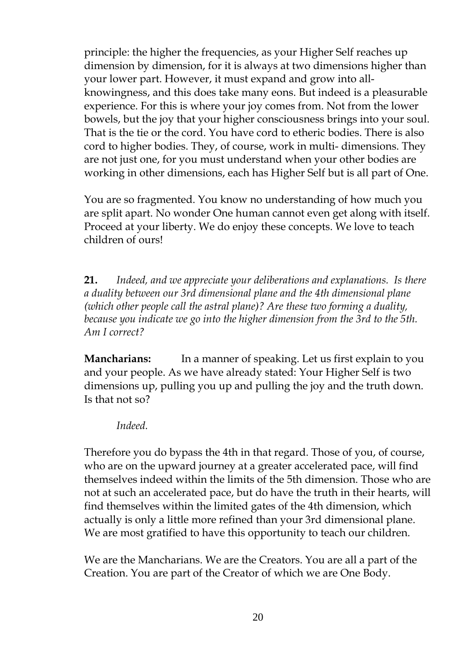principle: the higher the frequencies, as your Higher Self reaches up dimension by dimension, for it is always at two dimensions higher than your lower part. However, it must expand and grow into allknowingness, and this does take many eons. But indeed is a pleasurable experience. For this is where your joy comes from. Not from the lower bowels, but the joy that your higher consciousness brings into your soul. That is the tie or the cord. You have cord to etheric bodies. There is also cord to higher bodies. They, of course, work in multi- dimensions. They are not just one, for you must understand when your other bodies are working in other dimensions, each has Higher Self but is all part of One.

You are so fragmented. You know no understanding of how much you are split apart. No wonder One human cannot even get along with itself. Proceed at your liberty. We do enjoy these concepts. We love to teach children of ours!

**21.** *Indeed, and we appreciate your deliberations and explanations. Is there a duality between our 3rd dimensional plane and the 4th dimensional plane (which other people call the astral plane)? Are these two forming a duality, because you indicate we go into the higher dimension from the 3rd to the 5th. Am I correct?*

**Mancharians:** In a manner of speaking. Let us first explain to you and your people. As we have already stated: Your Higher Self is two dimensions up, pulling you up and pulling the joy and the truth down. Is that not so?

*Indeed.*

Therefore you do bypass the 4th in that regard. Those of you, of course, who are on the upward journey at a greater accelerated pace, will find themselves indeed within the limits of the 5th dimension. Those who are not at such an accelerated pace, but do have the truth in their hearts, will find themselves within the limited gates of the 4th dimension, which actually is only a little more refined than your 3rd dimensional plane. We are most gratified to have this opportunity to teach our children.

We are the Mancharians. We are the Creators. You are all a part of the Creation. You are part of the Creator of which we are One Body.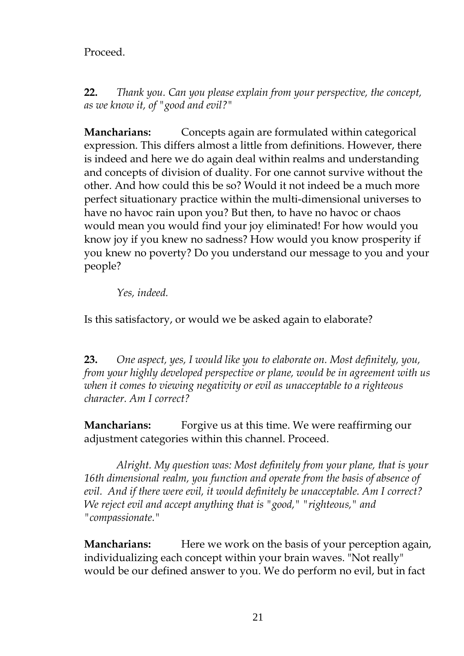## Proceed.

**22.** *Thank you. Can you please explain from your perspective, the concept, as we know it, of "good and evil?"*

**Mancharians:** Concepts again are formulated within categorical expression. This differs almost a little from definitions. However, there is indeed and here we do again deal within realms and understanding and concepts of division of duality. For one cannot survive without the other. And how could this be so? Would it not indeed be a much more perfect situationary practice within the multi-dimensional universes to have no havoc rain upon you? But then, to have no havoc or chaos would mean you would find your joy eliminated! For how would you know joy if you knew no sadness? How would you know prosperity if you knew no poverty? Do you understand our message to you and your people?

*Yes, indeed.*

Is this satisfactory, or would we be asked again to elaborate?

**23.** *One aspect, yes, I would like you to elaborate on. Most definitely, you, from your highly developed perspective or plane, would be in agreement with us when it comes to viewing negativity or evil as unacceptable to a righteous character. Am I correct?*

**Mancharians:** Forgive us at this time. We were reaffirming our adjustment categories within this channel. Proceed.

*Alright. My question was: Most definitely from your plane, that is your 16th dimensional realm, you function and operate from the basis of absence of evil. And if there were evil, it would definitely be unacceptable. Am I correct? We reject evil and accept anything that is "good," "righteous," and "compassionate."*

**Mancharians:** Here we work on the basis of your perception again, individualizing each concept within your brain waves. "Not really" would be our defined answer to you. We do perform no evil, but in fact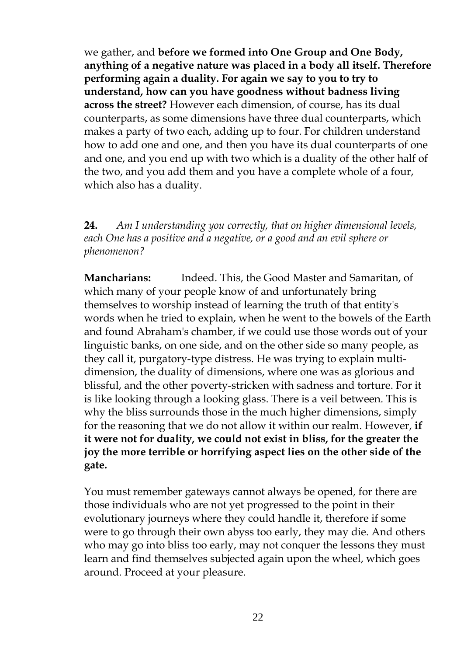we gather, and **before we formed into One Group and One Body, anything of a negative nature was placed in a body all itself. Therefore performing again a duality. For again we say to you to try to understand, how can you have goodness without badness living across the street?** However each dimension, of course, has its dual counterparts, as some dimensions have three dual counterparts, which makes a party of two each, adding up to four. For children understand how to add one and one, and then you have its dual counterparts of one and one, and you end up with two which is a duality of the other half of the two, and you add them and you have a complete whole of a four, which also has a duality.

**24.** *Am I understanding you correctly, that on higher dimensional levels, each One has a positive and a negative, or a good and an evil sphere or phenomenon?*

**Mancharians:** Indeed. This, the Good Master and Samaritan, of which many of your people know of and unfortunately bring themselves to worship instead of learning the truth of that entity's words when he tried to explain, when he went to the bowels of the Earth and found Abraham's chamber, if we could use those words out of your linguistic banks, on one side, and on the other side so many people, as they call it, purgatory-type distress. He was trying to explain multidimension, the duality of dimensions, where one was as glorious and blissful, and the other poverty-stricken with sadness and torture. For it is like looking through a looking glass. There is a veil between. This is why the bliss surrounds those in the much higher dimensions, simply for the reasoning that we do not allow it within our realm. However, **if it were not for duality, we could not exist in bliss, for the greater the joy the more terrible or horrifying aspect lies on the other side of the gate.**

You must remember gateways cannot always be opened, for there are those individuals who are not yet progressed to the point in their evolutionary journeys where they could handle it, therefore if some were to go through their own abyss too early, they may die. And others who may go into bliss too early, may not conquer the lessons they must learn and find themselves subjected again upon the wheel, which goes around. Proceed at your pleasure.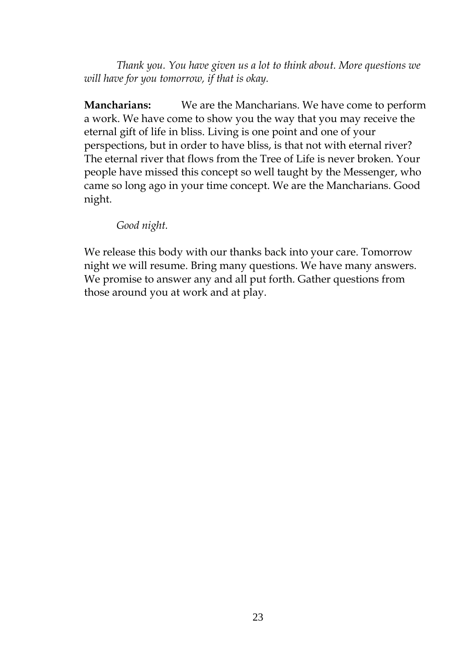*Thank you. You have given us a lot to think about. More questions we will have for you tomorrow, if that is okay.*

**Mancharians:** We are the Mancharians. We have come to perform a work. We have come to show you the way that you may receive the eternal gift of life in bliss. Living is one point and one of your perspections, but in order to have bliss, is that not with eternal river? The eternal river that flows from the Tree of Life is never broken. Your people have missed this concept so well taught by the Messenger, who came so long ago in your time concept. We are the Mancharians. Good night.

*Good night.*

We release this body with our thanks back into your care. Tomorrow night we will resume. Bring many questions. We have many answers. We promise to answer any and all put forth. Gather questions from those around you at work and at play.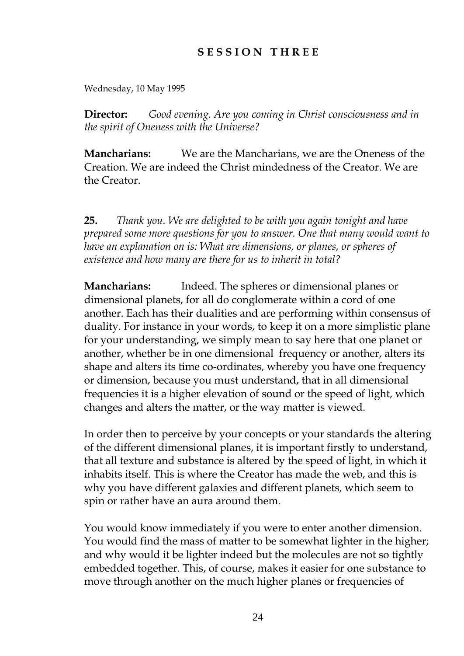## **S E S S I O N T H R E E**

Wednesday, 10 May 1995

**Director:** *Good evening. Are you coming in Christ consciousness and in the spirit of Oneness with the Universe?*

**Mancharians:** We are the Mancharians, we are the Oneness of the Creation. We are indeed the Christ mindedness of the Creator. We are the Creator.

**25.** *Thank you. We are delighted to be with you again tonight and have prepared some more questions for you to answer. One that many would want to have an explanation on is: What are dimensions, or planes, or spheres of existence and how many are there for us to inherit in total?*

**Mancharians:** Indeed. The spheres or dimensional planes or dimensional planets, for all do conglomerate within a cord of one another. Each has their dualities and are performing within consensus of duality. For instance in your words, to keep it on a more simplistic plane for your understanding, we simply mean to say here that one planet or another, whether be in one dimensional frequency or another, alters its shape and alters its time co-ordinates, whereby you have one frequency or dimension, because you must understand, that in all dimensional frequencies it is a higher elevation of sound or the speed of light, which changes and alters the matter, or the way matter is viewed.

In order then to perceive by your concepts or your standards the altering of the different dimensional planes, it is important firstly to understand, that all texture and substance is altered by the speed of light, in which it inhabits itself. This is where the Creator has made the web, and this is why you have different galaxies and different planets, which seem to spin or rather have an aura around them.

You would know immediately if you were to enter another dimension. You would find the mass of matter to be somewhat lighter in the higher; and why would it be lighter indeed but the molecules are not so tightly embedded together. This, of course, makes it easier for one substance to move through another on the much higher planes or frequencies of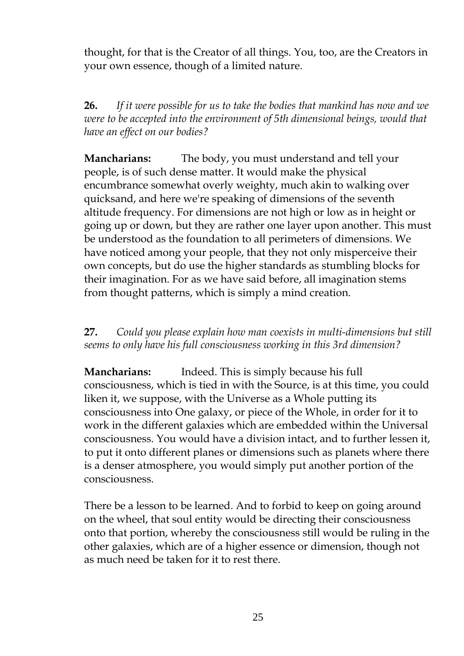thought, for that is the Creator of all things. You, too, are the Creators in your own essence, though of a limited nature.

**26.** *If it were possible for us to take the bodies that mankind has now and we were to be accepted into the environment of 5th dimensional beings, would that have an effect on our bodies?*

**Mancharians:** The body, you must understand and tell your people, is of such dense matter. It would make the physical encumbrance somewhat overly weighty, much akin to walking over quicksand, and here we're speaking of dimensions of the seventh altitude frequency. For dimensions are not high or low as in height or going up or down, but they are rather one layer upon another. This must be understood as the foundation to all perimeters of dimensions. We have noticed among your people, that they not only misperceive their own concepts, but do use the higher standards as stumbling blocks for their imagination. For as we have said before, all imagination stems from thought patterns, which is simply a mind creation.

**27.** *Could you please explain how man coexists in multi-dimensions but still seems to only have his full consciousness working in this 3rd dimension?*

**Mancharians:** Indeed. This is simply because his full consciousness, which is tied in with the Source, is at this time, you could liken it, we suppose, with the Universe as a Whole putting its consciousness into One galaxy, or piece of the Whole, in order for it to work in the different galaxies which are embedded within the Universal consciousness. You would have a division intact, and to further lessen it, to put it onto different planes or dimensions such as planets where there is a denser atmosphere, you would simply put another portion of the consciousness.

There be a lesson to be learned. And to forbid to keep on going around on the wheel, that soul entity would be directing their consciousness onto that portion, whereby the consciousness still would be ruling in the other galaxies, which are of a higher essence or dimension, though not as much need be taken for it to rest there.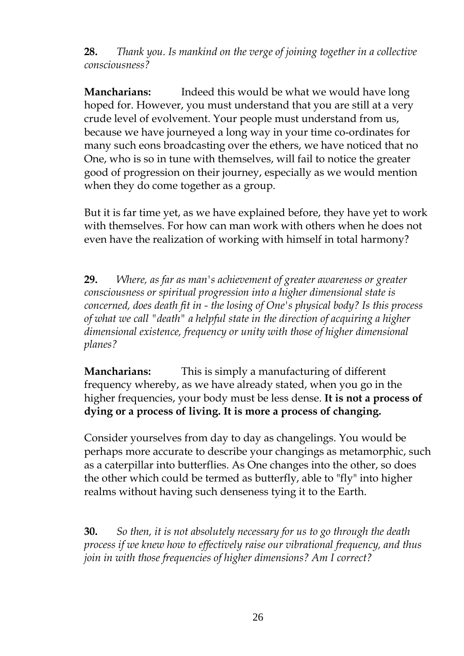**28.** *Thank you. Is mankind on the verge of joining together in a collective consciousness?*

**Mancharians:** Indeed this would be what we would have long hoped for. However, you must understand that you are still at a very crude level of evolvement. Your people must understand from us, because we have journeyed a long way in your time co-ordinates for many such eons broadcasting over the ethers, we have noticed that no One, who is so in tune with themselves, will fail to notice the greater good of progression on their journey, especially as we would mention when they do come together as a group.

But it is far time yet, as we have explained before, they have yet to work with themselves. For how can man work with others when he does not even have the realization of working with himself in total harmony?

**29.** *Where, as far as man's achievement of greater awareness or greater consciousness or spiritual progression into a higher dimensional state is concerned, does death fit in - the losing of One's physical body? Is this process of what we call "death" a helpful state in the direction of acquiring a higher dimensional existence, frequency or unity with those of higher dimensional planes?*

**Mancharians:** This is simply a manufacturing of different frequency whereby, as we have already stated, when you go in the higher frequencies, your body must be less dense. **It is not a process of dying or a process of living. It is more a process of changing.**

Consider yourselves from day to day as changelings. You would be perhaps more accurate to describe your changings as metamorphic, such as a caterpillar into butterflies. As One changes into the other, so does the other which could be termed as butterfly, able to "fly" into higher realms without having such denseness tying it to the Earth.

**30.** *So then, it is not absolutely necessary for us to go through the death process if we knew how to effectively raise our vibrational frequency, and thus join in with those frequencies of higher dimensions? Am I correct?*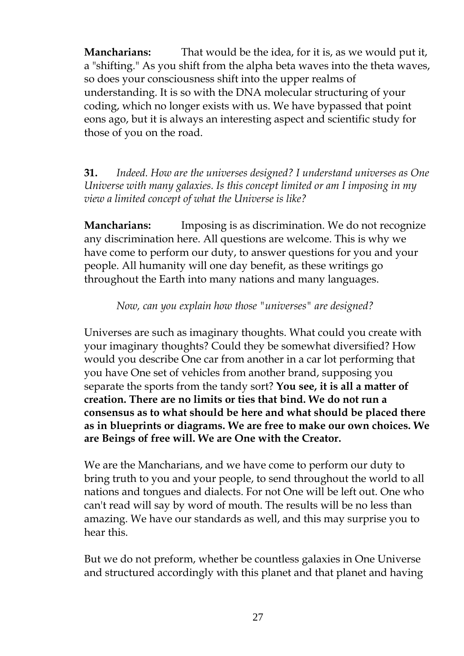**Mancharians:** That would be the idea, for it is, as we would put it, a "shifting." As you shift from the alpha beta waves into the theta waves, so does your consciousness shift into the upper realms of understanding. It is so with the DNA molecular structuring of your coding, which no longer exists with us. We have bypassed that point eons ago, but it is always an interesting aspect and scientific study for those of you on the road.

**31.** *Indeed. How are the universes designed? I understand universes as One Universe with many galaxies. Is this concept limited or am I imposing in my view a limited concept of what the Universe is like?*

**Mancharians:** Imposing is as discrimination. We do not recognize any discrimination here. All questions are welcome. This is why we have come to perform our duty, to answer questions for you and your people. All humanity will one day benefit, as these writings go throughout the Earth into many nations and many languages.

*Now, can you explain how those "universes" are designed?*

Universes are such as imaginary thoughts. What could you create with your imaginary thoughts? Could they be somewhat diversified? How would you describe One car from another in a car lot performing that you have One set of vehicles from another brand, supposing you separate the sports from the tandy sort? **You see, it is all a matter of creation. There are no limits or ties that bind. We do not run a consensus as to what should be here and what should be placed there as in blueprints or diagrams. We are free to make our own choices. We are Beings of free will. We are One with the Creator.**

We are the Mancharians, and we have come to perform our duty to bring truth to you and your people, to send throughout the world to all nations and tongues and dialects. For not One will be left out. One who can't read will say by word of mouth. The results will be no less than amazing. We have our standards as well, and this may surprise you to hear this.

But we do not preform, whether be countless galaxies in One Universe and structured accordingly with this planet and that planet and having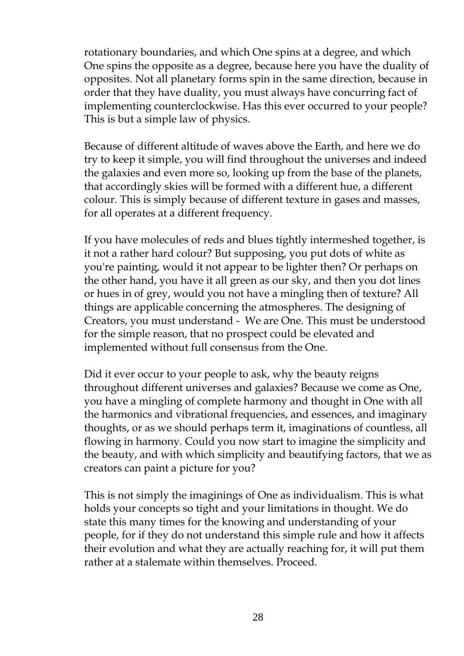rotationary boundaries, and which One spins at a degree, and which One spins the opposite as a degree, because here you have the duality of opposites. Not all planetary forms spin in the same direction, because in order that they have duality, you must always have concurring fact of implementing counterclockwise. Has this ever occurred to your people? This is but a simple law of physics.

Because of different altitude of waves above the Earth, and here we do try to keep it simple, you will find throughout the universes and indeed the galaxies and even more so, looking up from the base of the planets, that accordingly skies will be formed with a different hue, a different colour. This is simply because of different texture in gases and masses, for all operates at a different frequency.

If you have molecules of reds and blues tightly intermeshed together, is it not a rather hard colour? But supposing, you put dots of white as you're painting, would it not appear to be lighter then? Or perhaps on the other hand, you have it all green as our sky, and then you dot lines or hues in of grey, would you not have a mingling then of texture? All things are applicable concerning the atmospheres. The designing of Creators, you must understand - We are One. This must be understood for the simple reason, that no prospect could be elevated and implemented without full consensus from the One.

Did it ever occur to your people to ask, why the beauty reigns throughout different universes and galaxies? Because we come as One, you have a mingling of complete harmony and thought in One with all the harmonics and vibrational frequencies, and essences, and imaginary thoughts, or as we should perhaps term it, imaginations of countless, all flowing in harmony. Could you now start to imagine the simplicity and the beauty, and with which simplicity and beautifying factors, that we as creators can paint a picture for you?

This is not simply the imaginings of One as individualism. This is what holds your concepts so tight and your limitations in thought. We do state this many times for the knowing and understanding of your people, for if they do not understand this simple rule and how it affects their evolution and what they are actually reaching for, it will put them rather at a stalemate within themselves. Proceed.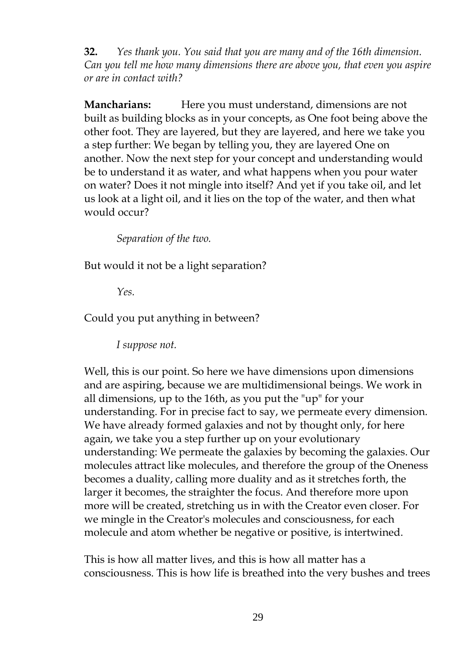**32.** *Yes thank you. You said that you are many and of the 16th dimension. Can you tell me how many dimensions there are above you, that even you aspire or are in contact with?*

**Mancharians:** Here you must understand, dimensions are not built as building blocks as in your concepts, as One foot being above the other foot. They are layered, but they are layered, and here we take you a step further: We began by telling you, they are layered One on another. Now the next step for your concept and understanding would be to understand it as water, and what happens when you pour water on water? Does it not mingle into itself? And yet if you take oil, and let us look at a light oil, and it lies on the top of the water, and then what would occur?

*Separation of the two.*

But would it not be a light separation?

*Yes.*

Could you put anything in between?

*I suppose not.*

Well, this is our point. So here we have dimensions upon dimensions and are aspiring, because we are multidimensional beings. We work in all dimensions, up to the 16th, as you put the "up" for your understanding. For in precise fact to say, we permeate every dimension. We have already formed galaxies and not by thought only, for here again, we take you a step further up on your evolutionary understanding: We permeate the galaxies by becoming the galaxies. Our molecules attract like molecules, and therefore the group of the Oneness becomes a duality, calling more duality and as it stretches forth, the larger it becomes, the straighter the focus. And therefore more upon more will be created, stretching us in with the Creator even closer. For we mingle in the Creator's molecules and consciousness, for each molecule and atom whether be negative or positive, is intertwined.

This is how all matter lives, and this is how all matter has a consciousness. This is how life is breathed into the very bushes and trees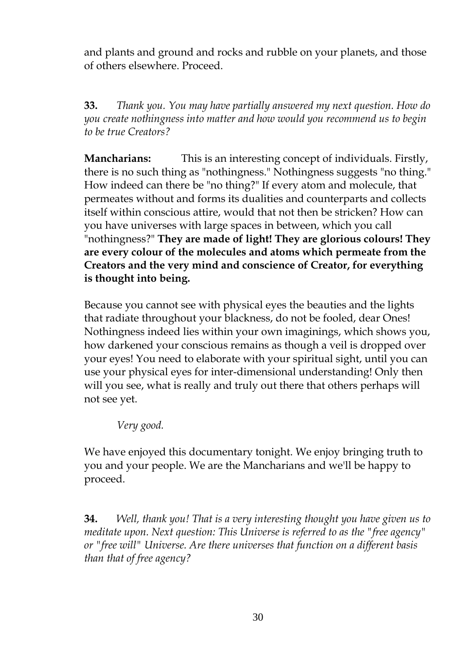and plants and ground and rocks and rubble on your planets, and those of others elsewhere. Proceed.

**33.** *Thank you. You may have partially answered my next question. How do you create nothingness into matter and how would you recommend us to begin to be true Creators?*

**Mancharians:** This is an interesting concept of individuals. Firstly, there is no such thing as "nothingness." Nothingness suggests "no thing." How indeed can there be "no thing?" If every atom and molecule, that permeates without and forms its dualities and counterparts and collects itself within conscious attire, would that not then be stricken? How can you have universes with large spaces in between, which you call "nothingness?" **They are made of light! They are glorious colours! They are every colour of the molecules and atoms which permeate from the Creators and the very mind and conscience of Creator, for everything is thought into being.**

Because you cannot see with physical eyes the beauties and the lights that radiate throughout your blackness, do not be fooled, dear Ones! Nothingness indeed lies within your own imaginings, which shows you, how darkened your conscious remains as though a veil is dropped over your eyes! You need to elaborate with your spiritual sight, until you can use your physical eyes for inter-dimensional understanding! Only then will you see, what is really and truly out there that others perhaps will not see yet.

*Very good.*

We have enjoyed this documentary tonight. We enjoy bringing truth to you and your people. We are the Mancharians and we'll be happy to proceed.

**34.** *Well, thank you! That is a very interesting thought you have given us to meditate upon. Next question: This Universe is referred to as the "free agency" or "free will" Universe. Are there universes that function on a different basis than that of free agency?*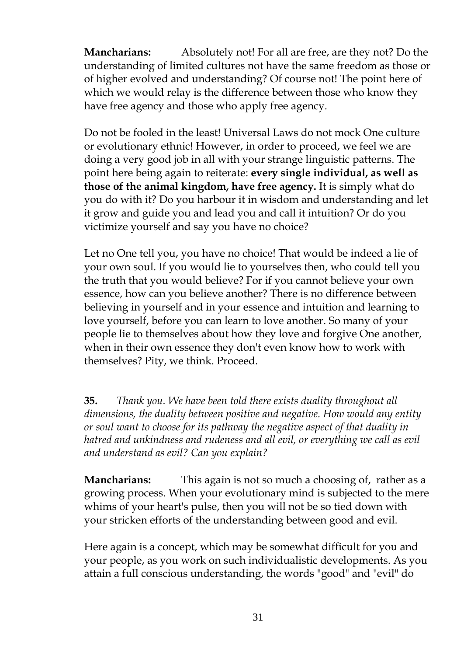**Mancharians:** Absolutely not! For all are free, are they not? Do the understanding of limited cultures not have the same freedom as those or of higher evolved and understanding? Of course not! The point here of which we would relay is the difference between those who know they have free agency and those who apply free agency.

Do not be fooled in the least! Universal Laws do not mock One culture or evolutionary ethnic! However, in order to proceed, we feel we are doing a very good job in all with your strange linguistic patterns. The point here being again to reiterate: **every single individual, as well as those of the animal kingdom, have free agency.** It is simply what do you do with it? Do you harbour it in wisdom and understanding and let it grow and guide you and lead you and call it intuition? Or do you victimize yourself and say you have no choice?

Let no One tell you, you have no choice! That would be indeed a lie of your own soul. If you would lie to yourselves then, who could tell you the truth that you would believe? For if you cannot believe your own essence, how can you believe another? There is no difference between believing in yourself and in your essence and intuition and learning to love yourself, before you can learn to love another. So many of your people lie to themselves about how they love and forgive One another, when in their own essence they don't even know how to work with themselves? Pity, we think. Proceed.

**35.** *Thank you. We have been told there exists duality throughout all dimensions, the duality between positive and negative. How would any entity or soul want to choose for its pathway the negative aspect of that duality in hatred and unkindness and rudeness and all evil, or everything we call as evil and understand as evil? Can you explain?*

**Mancharians:** This again is not so much a choosing of, rather as a growing process. When your evolutionary mind is subjected to the mere whims of your heart's pulse, then you will not be so tied down with your stricken efforts of the understanding between good and evil.

Here again is a concept, which may be somewhat difficult for you and your people, as you work on such individualistic developments. As you attain a full conscious understanding, the words "good" and "evil" do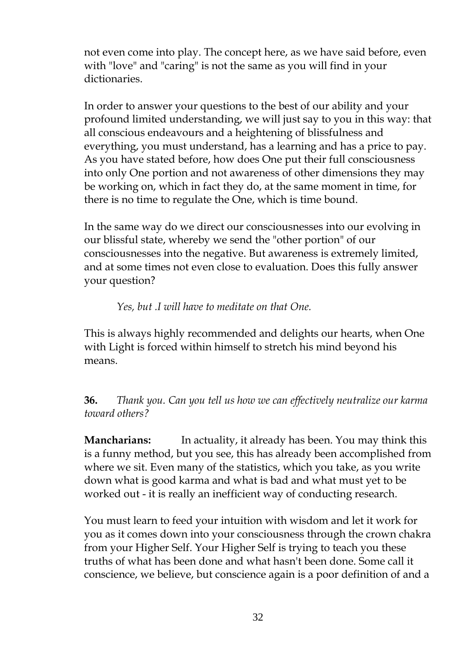not even come into play. The concept here, as we have said before, even with "love" and "caring" is not the same as you will find in your dictionaries.

In order to answer your questions to the best of our ability and your profound limited understanding, we will just say to you in this way: that all conscious endeavours and a heightening of blissfulness and everything, you must understand, has a learning and has a price to pay. As you have stated before, how does One put their full consciousness into only One portion and not awareness of other dimensions they may be working on, which in fact they do, at the same moment in time, for there is no time to regulate the One, which is time bound.

In the same way do we direct our consciousnesses into our evolving in our blissful state, whereby we send the "other portion" of our consciousnesses into the negative. But awareness is extremely limited, and at some times not even close to evaluation. Does this fully answer your question?

*Yes, but .I will have to meditate on that One.*

This is always highly recommended and delights our hearts, when One with Light is forced within himself to stretch his mind beyond his means.

**36.** *Thank you. Can you tell us how we can effectively neutralize our karma toward others?*

**Mancharians:** In actuality, it already has been. You may think this is a funny method, but you see, this has already been accomplished from where we sit. Even many of the statistics, which you take, as you write down what is good karma and what is bad and what must yet to be worked out - it is really an inefficient way of conducting research.

You must learn to feed your intuition with wisdom and let it work for you as it comes down into your consciousness through the crown chakra from your Higher Self. Your Higher Self is trying to teach you these truths of what has been done and what hasn't been done. Some call it conscience, we believe, but conscience again is a poor definition of and a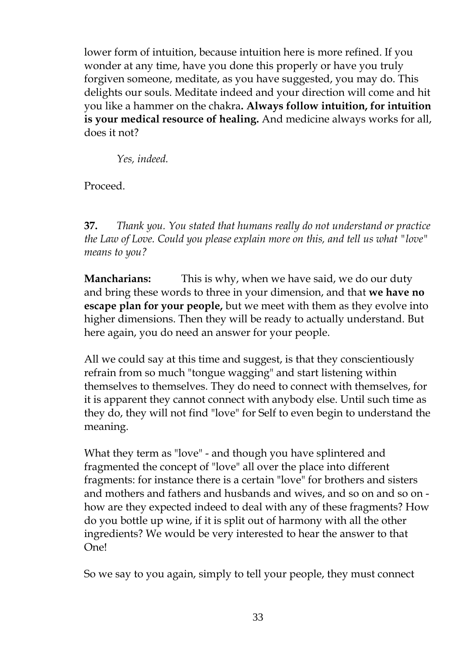lower form of intuition, because intuition here is more refined. If you wonder at any time, have you done this properly or have you truly forgiven someone, meditate, as you have suggested, you may do. This delights our souls. Meditate indeed and your direction will come and hit you like a hammer on the chakra**. Always follow intuition, for intuition is your medical resource of healing.** And medicine always works for all, does it not?

*Yes, indeed.*

Proceed.

**37.** *Thank you. You stated that humans really do not understand or practice the Law of Love. Could you please explain more on this, and tell us what "love" means to you?*

**Mancharians:** This is why, when we have said, we do our duty and bring these words to three in your dimension, and that **we have no escape plan for your people,** but we meet with them as they evolve into higher dimensions. Then they will be ready to actually understand. But here again, you do need an answer for your people.

All we could say at this time and suggest, is that they conscientiously refrain from so much "tongue wagging" and start listening within themselves to themselves. They do need to connect with themselves, for it is apparent they cannot connect with anybody else. Until such time as they do, they will not find "love" for Self to even begin to understand the meaning.

What they term as "love" - and though you have splintered and fragmented the concept of "love" all over the place into different fragments: for instance there is a certain "love" for brothers and sisters and mothers and fathers and husbands and wives, and so on and so on how are they expected indeed to deal with any of these fragments? How do you bottle up wine, if it is split out of harmony with all the other ingredients? We would be very interested to hear the answer to that One!

So we say to you again, simply to tell your people, they must connect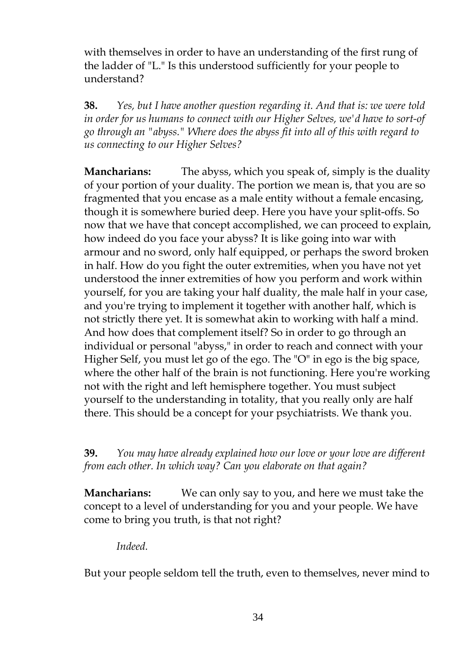with themselves in order to have an understanding of the first rung of the ladder of "L." Is this understood sufficiently for your people to understand?

**38.** *Yes, but I have another question regarding it. And that is: we were told in order for us humans to connect with our Higher Selves, we'd have to sort-of go through an "abyss." Where does the abyss fit into all of this with regard to us connecting to our Higher Selves?*

**Mancharians:** The abyss, which you speak of, simply is the duality of your portion of your duality. The portion we mean is, that you are so fragmented that you encase as a male entity without a female encasing, though it is somewhere buried deep. Here you have your split-offs. So now that we have that concept accomplished, we can proceed to explain, how indeed do you face your abyss? It is like going into war with armour and no sword, only half equipped, or perhaps the sword broken in half. How do you fight the outer extremities, when you have not yet understood the inner extremities of how you perform and work within yourself, for you are taking your half duality, the male half in your case, and you're trying to implement it together with another half, which is not strictly there yet. It is somewhat akin to working with half a mind. And how does that complement itself? So in order to go through an individual or personal "abyss," in order to reach and connect with your Higher Self, you must let go of the ego. The "O" in ego is the big space, where the other half of the brain is not functioning. Here you're working not with the right and left hemisphere together. You must subject yourself to the understanding in totality, that you really only are half there. This should be a concept for your psychiatrists. We thank you.

**39.** *You may have already explained how our love or your love are different from each other. In which way? Can you elaborate on that again?*

**Mancharians:** We can only say to you, and here we must take the concept to a level of understanding for you and your people. We have come to bring you truth, is that not right?

*Indeed.*

But your people seldom tell the truth, even to themselves, never mind to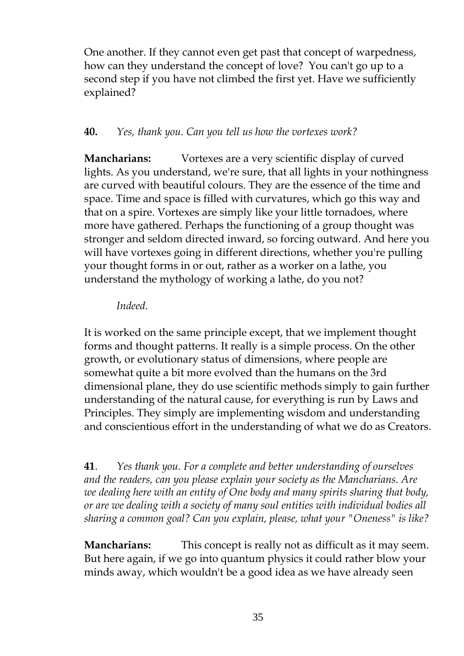One another. If they cannot even get past that concept of warpedness, how can they understand the concept of love? You can't go up to a second step if you have not climbed the first yet. Have we sufficiently explained?

#### **40.** *Yes, thank you. Can you tell us how the vortexes work?*

**Mancharians:** Vortexes are a very scientific display of curved lights. As you understand, we're sure, that all lights in your nothingness are curved with beautiful colours. They are the essence of the time and space. Time and space is filled with curvatures, which go this way and that on a spire. Vortexes are simply like your little tornadoes, where more have gathered. Perhaps the functioning of a group thought was stronger and seldom directed inward, so forcing outward. And here you will have vortexes going in different directions, whether you're pulling your thought forms in or out, rather as a worker on a lathe, you understand the mythology of working a lathe, do you not?

#### *Indeed.*

It is worked on the same principle except, that we implement thought forms and thought patterns. It really is a simple process. On the other growth, or evolutionary status of dimensions, where people are somewhat quite a bit more evolved than the humans on the 3rd dimensional plane, they do use scientific methods simply to gain further understanding of the natural cause, for everything is run by Laws and Principles. They simply are implementing wisdom and understanding and conscientious effort in the understanding of what we do as Creators.

**41**. *Yes thank you. For a complete and better understanding of ourselves and the readers, can you please explain your society as the Mancharians. Are we dealing here with an entity of One body and many spirits sharing that body, or are we dealing with a society of many soul entities with individual bodies all sharing a common goal? Can you explain, please, what your "Oneness" is like?*

**Mancharians:** This concept is really not as difficult as it may seem. But here again, if we go into quantum physics it could rather blow your minds away, which wouldn't be a good idea as we have already seen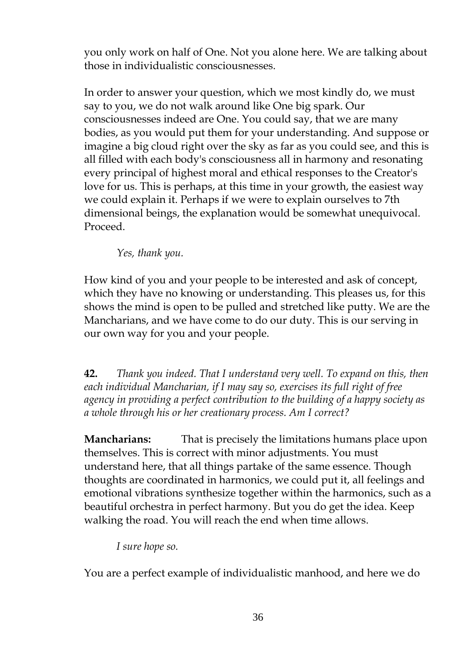you only work on half of One. Not you alone here. We are talking about those in individualistic consciousnesses.

In order to answer your question, which we most kindly do, we must say to you, we do not walk around like One big spark. Our consciousnesses indeed are One. You could say, that we are many bodies, as you would put them for your understanding. And suppose or imagine a big cloud right over the sky as far as you could see, and this is all filled with each body's consciousness all in harmony and resonating every principal of highest moral and ethical responses to the Creator's love for us. This is perhaps, at this time in your growth, the easiest way we could explain it. Perhaps if we were to explain ourselves to 7th dimensional beings, the explanation would be somewhat unequivocal. Proceed.

*Yes, thank you.*

How kind of you and your people to be interested and ask of concept, which they have no knowing or understanding. This pleases us, for this shows the mind is open to be pulled and stretched like putty. We are the Mancharians, and we have come to do our duty. This is our serving in our own way for you and your people.

**42.** *Thank you indeed. That I understand very well. To expand on this, then each individual Mancharian, if I may say so, exercises its full right of free agency in providing a perfect contribution to the building of a happy society as a whole through his or her creationary process. Am I correct?*

**Mancharians:** That is precisely the limitations humans place upon themselves. This is correct with minor adjustments. You must understand here, that all things partake of the same essence. Though thoughts are coordinated in harmonics, we could put it, all feelings and emotional vibrations synthesize together within the harmonics, such as a beautiful orchestra in perfect harmony. But you do get the idea. Keep walking the road. You will reach the end when time allows.

*I sure hope so.*

You are a perfect example of individualistic manhood, and here we do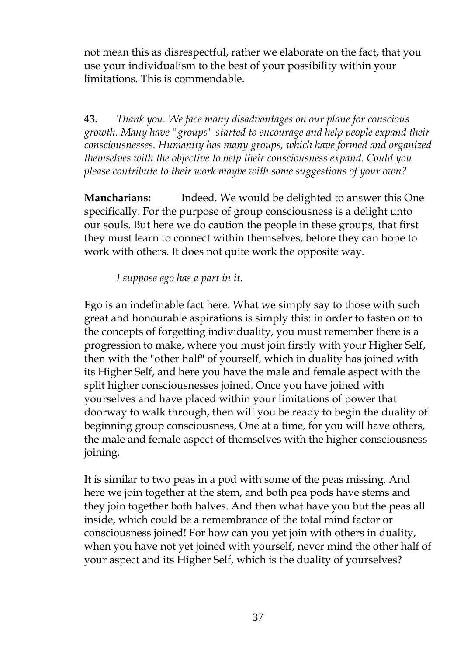not mean this as disrespectful, rather we elaborate on the fact, that you use your individualism to the best of your possibility within your limitations. This is commendable.

**43.** *Thank you. We face many disadvantages on our plane for conscious growth. Many have "groups" started to encourage and help people expand their consciousnesses. Humanity has many groups, which have formed and organized themselves with the objective to help their consciousness expand. Could you please contribute to their work maybe with some suggestions of your own?*

**Mancharians:** Indeed. We would be delighted to answer this One specifically. For the purpose of group consciousness is a delight unto our souls. But here we do caution the people in these groups, that first they must learn to connect within themselves, before they can hope to work with others. It does not quite work the opposite way.

*I suppose ego has a part in it.*

Ego is an indefinable fact here. What we simply say to those with such great and honourable aspirations is simply this: in order to fasten on to the concepts of forgetting individuality, you must remember there is a progression to make, where you must join firstly with your Higher Self, then with the "other half" of yourself, which in duality has joined with its Higher Self, and here you have the male and female aspect with the split higher consciousnesses joined. Once you have joined with yourselves and have placed within your limitations of power that doorway to walk through, then will you be ready to begin the duality of beginning group consciousness, One at a time, for you will have others, the male and female aspect of themselves with the higher consciousness joining.

It is similar to two peas in a pod with some of the peas missing. And here we join together at the stem, and both pea pods have stems and they join together both halves. And then what have you but the peas all inside, which could be a remembrance of the total mind factor or consciousness joined! For how can you yet join with others in duality, when you have not yet joined with yourself, never mind the other half of your aspect and its Higher Self, which is the duality of yourselves?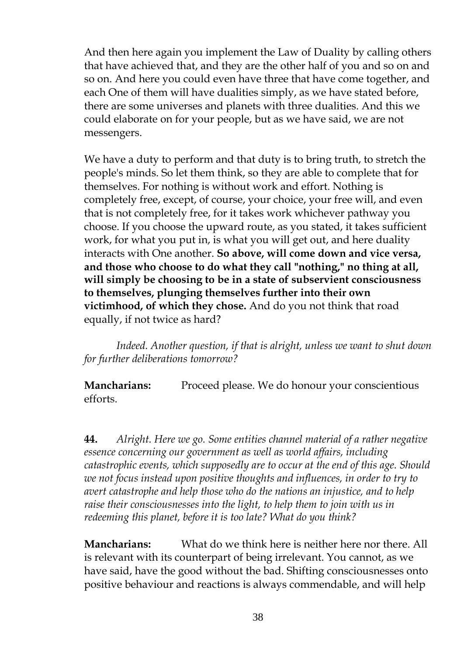And then here again you implement the Law of Duality by calling others that have achieved that, and they are the other half of you and so on and so on. And here you could even have three that have come together, and each One of them will have dualities simply, as we have stated before, there are some universes and planets with three dualities. And this we could elaborate on for your people, but as we have said, we are not messengers.

We have a duty to perform and that duty is to bring truth, to stretch the people's minds. So let them think, so they are able to complete that for themselves. For nothing is without work and effort. Nothing is completely free, except, of course, your choice, your free will, and even that is not completely free, for it takes work whichever pathway you choose. If you choose the upward route, as you stated, it takes sufficient work, for what you put in, is what you will get out, and here duality interacts with One another. **So above, will come down and vice versa, and those who choose to do what they call "nothing," no thing at all, will simply be choosing to be in a state of subservient consciousness to themselves, plunging themselves further into their own victimhood, of which they chose.** And do you not think that road equally, if not twice as hard?

*Indeed. Another question, if that is alright, unless we want to shut down for further deliberations tomorrow?*

**Mancharians:** Proceed please. We do honour your conscientious efforts.

**44.** *Alright. Here we go. Some entities channel material of a rather negative essence concerning our government as well as world affairs, including catastrophic events, which supposedly are to occur at the end of this age. Should we not focus instead upon positive thoughts and influences, in order to try to avert catastrophe and help those who do the nations an injustice, and to help raise their consciousnesses into the light, to help them to join with us in redeeming this planet, before it is too late? What do you think?*

**Mancharians:** What do we think here is neither here nor there. All is relevant with its counterpart of being irrelevant. You cannot, as we have said, have the good without the bad. Shifting consciousnesses onto positive behaviour and reactions is always commendable, and will help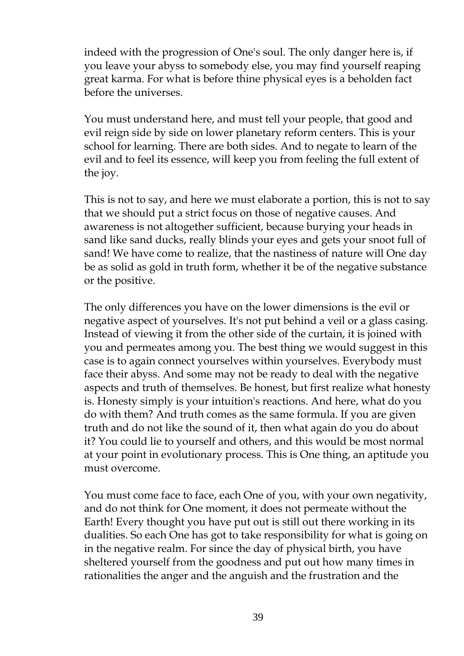indeed with the progression of One's soul. The only danger here is, if you leave your abyss to somebody else, you may find yourself reaping great karma. For what is before thine physical eyes is a beholden fact before the universes.

You must understand here, and must tell your people, that good and evil reign side by side on lower planetary reform centers. This is your school for learning. There are both sides. And to negate to learn of the evil and to feel its essence, will keep you from feeling the full extent of the joy.

This is not to say, and here we must elaborate a portion, this is not to say that we should put a strict focus on those of negative causes. And awareness is not altogether sufficient, because burying your heads in sand like sand ducks, really blinds your eyes and gets your snoot full of sand! We have come to realize, that the nastiness of nature will One day be as solid as gold in truth form, whether it be of the negative substance or the positive.

The only differences you have on the lower dimensions is the evil or negative aspect of yourselves. It's not put behind a veil or a glass casing. Instead of viewing it from the other side of the curtain, it is joined with you and permeates among you. The best thing we would suggest in this case is to again connect yourselves within yourselves. Everybody must face their abyss. And some may not be ready to deal with the negative aspects and truth of themselves. Be honest, but first realize what honesty is. Honesty simply is your intuition's reactions. And here, what do you do with them? And truth comes as the same formula. If you are given truth and do not like the sound of it, then what again do you do about it? You could lie to yourself and others, and this would be most normal at your point in evolutionary process. This is One thing, an aptitude you must overcome.

You must come face to face, each One of you, with your own negativity, and do not think for One moment, it does not permeate without the Earth! Every thought you have put out is still out there working in its dualities. So each One has got to take responsibility for what is going on in the negative realm. For since the day of physical birth, you have sheltered yourself from the goodness and put out how many times in rationalities the anger and the anguish and the frustration and the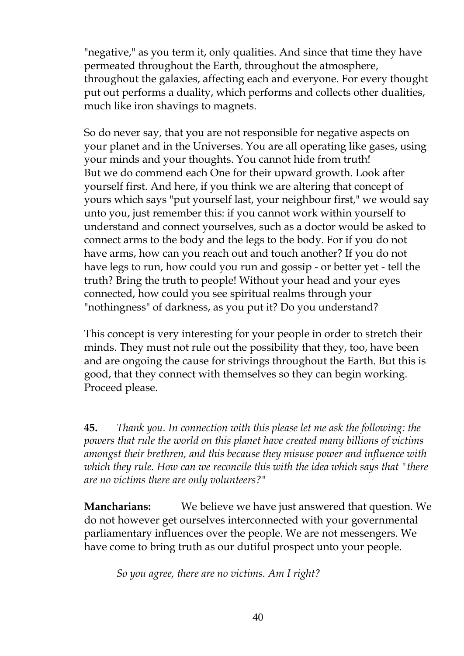"negative," as you term it, only qualities. And since that time they have permeated throughout the Earth, throughout the atmosphere, throughout the galaxies, affecting each and everyone. For every thought put out performs a duality, which performs and collects other dualities, much like iron shavings to magnets.

So do never say, that you are not responsible for negative aspects on your planet and in the Universes. You are all operating like gases, using your minds and your thoughts. You cannot hide from truth! But we do commend each One for their upward growth. Look after yourself first. And here, if you think we are altering that concept of yours which says "put yourself last, your neighbour first," we would say unto you, just remember this: if you cannot work within yourself to understand and connect yourselves, such as a doctor would be asked to connect arms to the body and the legs to the body. For if you do not have arms, how can you reach out and touch another? If you do not have legs to run, how could you run and gossip - or better yet - tell the truth? Bring the truth to people! Without your head and your eyes connected, how could you see spiritual realms through your "nothingness" of darkness, as you put it? Do you understand?

This concept is very interesting for your people in order to stretch their minds. They must not rule out the possibility that they, too, have been and are ongoing the cause for strivings throughout the Earth. But this is good, that they connect with themselves so they can begin working. Proceed please.

**45.** *Thank you. In connection with this please let me ask the following: the powers that rule the world on this planet have created many billions of victims amongst their brethren, and this because they misuse power and influence with which they rule. How can we reconcile this with the idea which says that "there are no victims there are only volunteers?"*

**Mancharians:** We believe we have just answered that question. We do not however get ourselves interconnected with your governmental parliamentary influences over the people. We are not messengers. We have come to bring truth as our dutiful prospect unto your people.

*So you agree, there are no victims. Am I right?*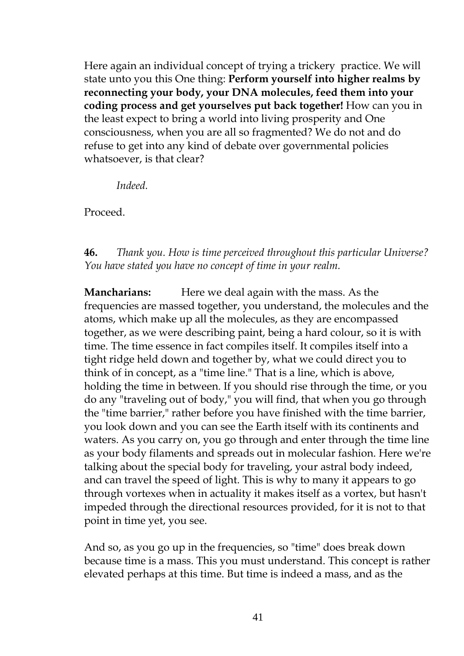Here again an individual concept of trying a trickery practice. We will state unto you this One thing: **Perform yourself into higher realms by reconnecting your body, your DNA molecules, feed them into your coding process and get yourselves put back together!** How can you in the least expect to bring a world into living prosperity and One consciousness, when you are all so fragmented? We do not and do refuse to get into any kind of debate over governmental policies whatsoever, is that clear?

*Indeed.*

Proceed.

## **46.** *Thank you. How is time perceived throughout this particular Universe? You have stated you have no concept of time in your realm.*

**Mancharians:** Here we deal again with the mass. As the frequencies are massed together, you understand, the molecules and the atoms, which make up all the molecules, as they are encompassed together, as we were describing paint, being a hard colour, so it is with time. The time essence in fact compiles itself. It compiles itself into a tight ridge held down and together by, what we could direct you to think of in concept, as a "time line." That is a line, which is above, holding the time in between. If you should rise through the time, or you do any "traveling out of body," you will find, that when you go through the "time barrier," rather before you have finished with the time barrier, you look down and you can see the Earth itself with its continents and waters. As you carry on, you go through and enter through the time line as your body filaments and spreads out in molecular fashion. Here we're talking about the special body for traveling, your astral body indeed, and can travel the speed of light. This is why to many it appears to go through vortexes when in actuality it makes itself as a vortex, but hasn't impeded through the directional resources provided, for it is not to that point in time yet, you see.

And so, as you go up in the frequencies, so "time" does break down because time is a mass. This you must understand. This concept is rather elevated perhaps at this time. But time is indeed a mass, and as the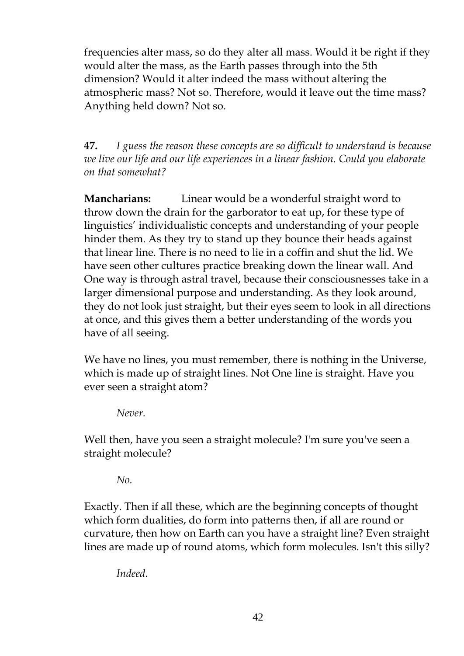frequencies alter mass, so do they alter all mass. Would it be right if they would alter the mass, as the Earth passes through into the 5th dimension? Would it alter indeed the mass without altering the atmospheric mass? Not so. Therefore, would it leave out the time mass? Anything held down? Not so.

**47.** *I guess the reason these concepts are so difficult to understand is because we live our life and our life experiences in a linear fashion. Could you elaborate on that somewhat?*

**Mancharians:** Linear would be a wonderful straight word to throw down the drain for the garborator to eat up, for these type of linguistics'individualistic concepts and understanding of your people hinder them. As they try to stand up they bounce their heads against that linear line. There is no need to lie in a coffin and shut the lid. We have seen other cultures practice breaking down the linear wall. And One way is through astral travel, because their consciousnesses take in a larger dimensional purpose and understanding. As they look around, they do not look just straight, but their eyes seem to look in all directions at once, and this gives them a better understanding of the words you have of all seeing.

We have no lines, you must remember, there is nothing in the Universe, which is made up of straight lines. Not One line is straight. Have you ever seen a straight atom?

*Never.*

Well then, have you seen a straight molecule? I'm sure you've seen a straight molecule?

*No.*

Exactly. Then if all these, which are the beginning concepts of thought which form dualities, do form into patterns then, if all are round or curvature, then how on Earth can you have a straight line? Even straight lines are made up of round atoms, which form molecules. Isn't this silly?

*Indeed.*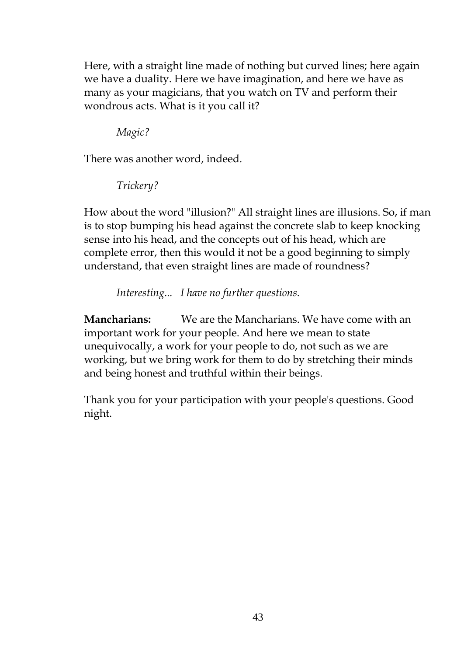Here, with a straight line made of nothing but curved lines; here again we have a duality. Here we have imagination, and here we have as many as your magicians, that you watch on TV and perform their wondrous acts. What is it you call it?

*Magic?*

There was another word, indeed.

*Trickery?*

How about the word "illusion?" All straight lines are illusions. So, if man is to stop bumping his head against the concrete slab to keep knocking sense into his head, and the concepts out of his head, which are complete error, then this would it not be a good beginning to simply understand, that even straight lines are made of roundness?

*Interesting... I have no further questions.*

**Mancharians:** We are the Mancharians. We have come with an important work for your people. And here we mean to state unequivocally, a work for your people to do, not such as we are working, but we bring work for them to do by stretching their minds and being honest and truthful within their beings.

Thank you for your participation with your people's questions. Good night.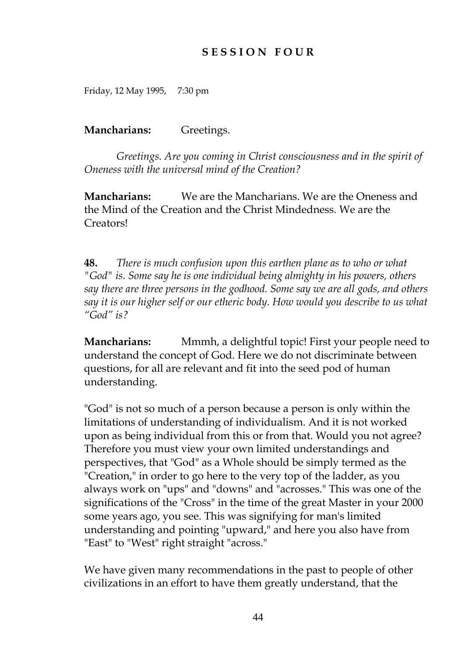## **S E S S I O N F O U R**

Friday, 12 May 1995, 7:30 pm

#### **Mancharians:** Greetings.

*Greetings. Are you coming in Christ consciousness and in the spirit of Oneness with the universal mind of the Creation?*

**Mancharians:** We are the Mancharians. We are the Oneness and the Mind of the Creation and the Christ Mindedness. We are the Creators!

**48.** *There is much confusion upon this earthen plane as to who or what "God" is. Some say he is one individual being almighty in his powers, others say there are three persons in the godhood. Some say we are all gods, and others say it is our higher self or our etheric body. How would you describe to us what "God"is?*

**Mancharians:** Mmmh, a delightful topic! First your people need to understand the concept of God. Here we do not discriminate between questions, for all are relevant and fit into the seed pod of human understanding.

"God" is not so much of a person because a person is only within the limitations of understanding of individualism. And it is not worked upon as being individual from this or from that. Would you not agree? Therefore you must view your own limited understandings and perspectives, that "God" as a Whole should be simply termed as the "Creation," in order to go here to the very top of the ladder, as you always work on "ups" and "downs" and "acrosses." This was one of the significations of the "Cross" in the time of the great Master in your 2000 some years ago, you see. This was signifying for man's limited understanding and pointing "upward," and here you also have from "East" to "West" right straight "across."

We have given many recommendations in the past to people of other civilizations in an effort to have them greatly understand, that the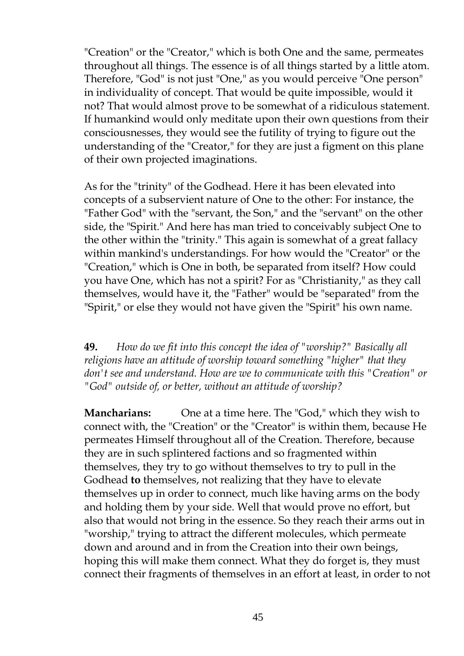"Creation" or the "Creator," which is both One and the same, permeates throughout all things. The essence is of all things started by a little atom. Therefore, "God" is not just "One," as you would perceive "One person" in individuality of concept. That would be quite impossible, would it not? That would almost prove to be somewhat of a ridiculous statement. If humankind would only meditate upon their own questions from their consciousnesses, they would see the futility of trying to figure out the understanding of the "Creator," for they are just a figment on this plane of their own projected imaginations.

As for the "trinity" of the Godhead. Here it has been elevated into concepts of a subservient nature of One to the other: For instance, the "Father God" with the "servant, the Son," and the "servant" on the other side, the "Spirit." And here has man tried to conceivably subject One to the other within the "trinity." This again is somewhat of a great fallacy within mankind's understandings. For how would the "Creator" or the "Creation," which is One in both, be separated from itself? How could you have One, which has not a spirit? For as "Christianity," as they call themselves, would have it, the "Father" would be "separated" from the "Spirit," or else they would not have given the "Spirit" his own name.

**49.** *How do we fit into this concept the idea of "worship?" Basically all religions have an attitude of worship toward something "higher" that they don't see and understand. How are we to communicate with this "Creation" or "God" outside of, or better, without an attitude of worship?*

**Mancharians:** One at a time here. The "God," which they wish to connect with, the "Creation" or the "Creator" is within them, because He permeates Himself throughout all of the Creation. Therefore, because they are in such splintered factions and so fragmented within themselves, they try to go without themselves to try to pull in the Godhead **to** themselves, not realizing that they have to elevate themselves up in order to connect, much like having arms on the body and holding them by your side. Well that would prove no effort, but also that would not bring in the essence. So they reach their arms out in "worship," trying to attract the different molecules, which permeate down and around and in from the Creation into their own beings, hoping this will make them connect. What they do forget is, they must connect their fragments of themselves in an effort at least, in order to not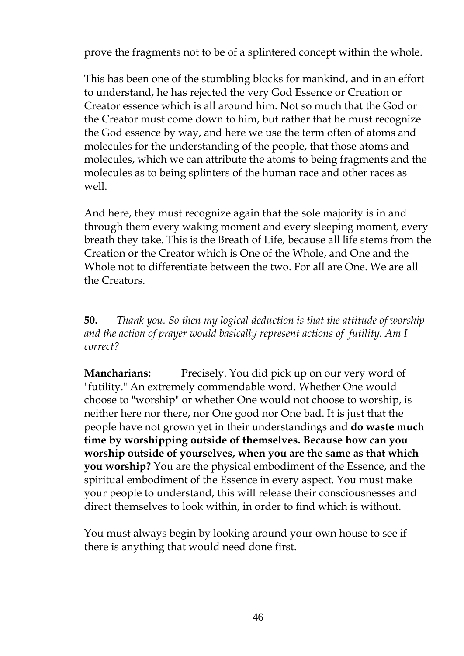prove the fragments not to be of a splintered concept within the whole.

This has been one of the stumbling blocks for mankind, and in an effort to understand, he has rejected the very God Essence or Creation or Creator essence which is all around him. Not so much that the God or the Creator must come down to him, but rather that he must recognize the God essence by way, and here we use the term often of atoms and molecules for the understanding of the people, that those atoms and molecules, which we can attribute the atoms to being fragments and the molecules as to being splinters of the human race and other races as well.

And here, they must recognize again that the sole majority is in and through them every waking moment and every sleeping moment, every breath they take. This is the Breath of Life, because all life stems from the Creation or the Creator which is One of the Whole, and One and the Whole not to differentiate between the two. For all are One. We are all the Creators.

**50.** *Thank you. So then my logical deduction is that the attitude of worship and the action of prayer would basically represent actions of futility. Am I correct?*

**Mancharians:** Precisely. You did pick up on our very word of "futility." An extremely commendable word. Whether One would choose to "worship" or whether One would not choose to worship, is neither here nor there, nor One good nor One bad. It is just that the people have not grown yet in their understandings and **do waste much time by worshipping outside of themselves. Because how can you worship outside of yourselves, when you are the same as that which you worship?** You are the physical embodiment of the Essence, and the spiritual embodiment of the Essence in every aspect. You must make your people to understand, this will release their consciousnesses and direct themselves to look within, in order to find which is without.

You must always begin by looking around your own house to see if there is anything that would need done first.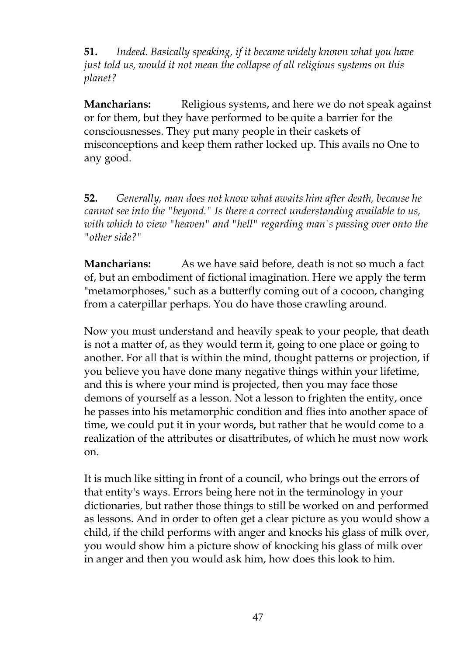**51.** *Indeed. Basically speaking, if it became widely known what you have just told us, would it not mean the collapse of all religious systems on this planet?*

**Mancharians:** Religious systems, and here we do not speak against or for them, but they have performed to be quite a barrier for the consciousnesses. They put many people in their caskets of misconceptions and keep them rather locked up. This avails no One to any good.

**52.** *Generally, man does not know what awaits him after death, because he cannot see into the "beyond." Is there a correct understanding available to us, with which to view "heaven" and "hell" regarding man's passing over onto the "other side?"*

**Mancharians:** As we have said before, death is not so much a fact of, but an embodiment of fictional imagination. Here we apply the term "metamorphoses," such as a butterfly coming out of a cocoon, changing from a caterpillar perhaps. You do have those crawling around.

Now you must understand and heavily speak to your people, that death is not a matter of, as they would term it, going to one place or going to another. For all that is within the mind, thought patterns or projection, if you believe you have done many negative things within your lifetime, and this is where your mind is projected, then you may face those demons of yourself as a lesson. Not a lesson to frighten the entity, once he passes into his metamorphic condition and flies into another space of time, we could put it in your words**,** but rather that he would come to a realization of the attributes or disattributes, of which he must now work on.

It is much like sitting in front of a council, who brings out the errors of that entity's ways. Errors being here not in the terminology in your dictionaries, but rather those things to still be worked on and performed as lessons. And in order to often get a clear picture as you would show a child, if the child performs with anger and knocks his glass of milk over, you would show him a picture show of knocking his glass of milk over in anger and then you would ask him, how does this look to him.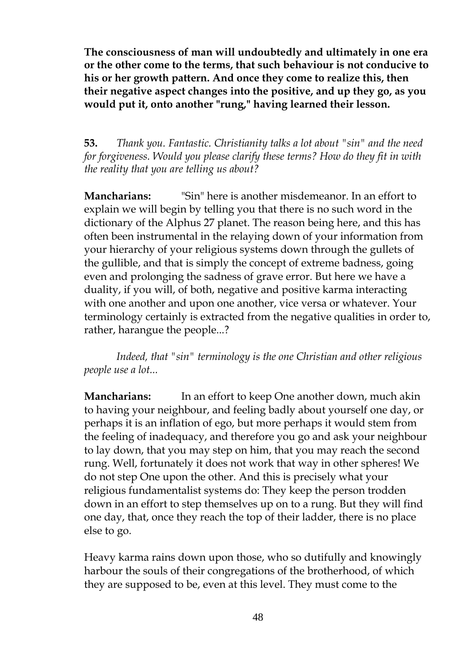**The consciousness of man will undoubtedly and ultimately in one era or the other come to the terms, that such behaviour is not conducive to his or her growth pattern. And once they come to realize this, then their negative aspect changes into the positive, and up they go, as you would put it, onto another "rung," having learned their lesson.**

**53.** *Thank you. Fantastic. Christianity talks a lot about "sin" and the need for forgiveness. Would you please clarify these terms? How do they fit in with the reality that you are telling us about?*

**Mancharians:** "Sin" here is another misdemeanor. In an effort to explain we will begin by telling you that there is no such word in the dictionary of the Alphus 27 planet. The reason being here, and this has often been instrumental in the relaying down of your information from your hierarchy of your religious systems down through the gullets of the gullible, and that is simply the concept of extreme badness, going even and prolonging the sadness of grave error. But here we have a duality, if you will, of both, negative and positive karma interacting with one another and upon one another, vice versa or whatever. Your terminology certainly is extracted from the negative qualities in order to, rather, harangue the people...?

*Indeed, that "sin" terminology is the one Christian and other religious people use a lot...*

**Mancharians:** In an effort to keep One another down, much akin to having your neighbour, and feeling badly about yourself one day, or perhaps it is an inflation of ego, but more perhaps it would stem from the feeling of inadequacy, and therefore you go and ask your neighbour to lay down, that you may step on him, that you may reach the second rung. Well, fortunately it does not work that way in other spheres! We do not step One upon the other. And this is precisely what your religious fundamentalist systems do: They keep the person trodden down in an effort to step themselves up on to a rung. But they will find one day, that, once they reach the top of their ladder, there is no place else to go.

Heavy karma rains down upon those, who so dutifully and knowingly harbour the souls of their congregations of the brotherhood, of which they are supposed to be, even at this level. They must come to the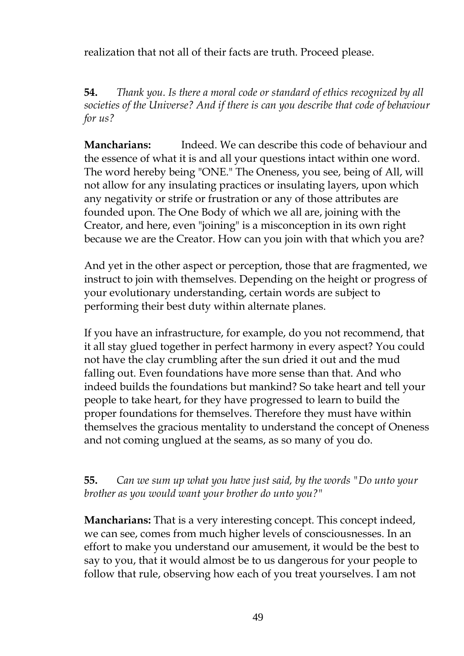realization that not all of their facts are truth. Proceed please.

**54.** *Thank you. Is there a moral code or standard of ethics recognized by all societies of the Universe? And if there is can you describe that code of behaviour for us?*

**Mancharians:** Indeed. We can describe this code of behaviour and the essence of what it is and all your questions intact within one word. The word hereby being "ONE." The Oneness, you see, being of All, will not allow for any insulating practices or insulating layers, upon which any negativity or strife or frustration or any of those attributes are founded upon. The One Body of which we all are, joining with the Creator, and here, even "joining" is a misconception in its own right because we are the Creator. How can you join with that which you are?

And yet in the other aspect or perception, those that are fragmented, we instruct to join with themselves. Depending on the height or progress of your evolutionary understanding, certain words are subject to performing their best duty within alternate planes.

If you have an infrastructure, for example, do you not recommend, that it all stay glued together in perfect harmony in every aspect? You could not have the clay crumbling after the sun dried it out and the mud falling out. Even foundations have more sense than that. And who indeed builds the foundations but mankind? So take heart and tell your people to take heart, for they have progressed to learn to build the proper foundations for themselves. Therefore they must have within themselves the gracious mentality to understand the concept of Oneness and not coming unglued at the seams, as so many of you do.

## **55.** *Can we sum up what you have just said, by the words "Do unto your brother as you would want your brother do unto you?"*

**Mancharians:** That is a very interesting concept. This concept indeed, we can see, comes from much higher levels of consciousnesses. In an effort to make you understand our amusement, it would be the best to say to you, that it would almost be to us dangerous for your people to follow that rule, observing how each of you treat yourselves. I am not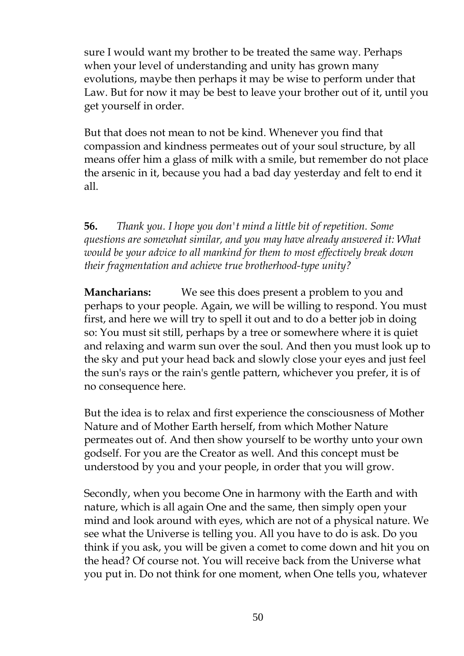sure I would want my brother to be treated the same way. Perhaps when your level of understanding and unity has grown many evolutions, maybe then perhaps it may be wise to perform under that Law. But for now it may be best to leave your brother out of it, until you get yourself in order.

But that does not mean to not be kind. Whenever you find that compassion and kindness permeates out of your soul structure, by all means offer him a glass of milk with a smile, but remember do not place the arsenic in it, because you had a bad day yesterday and felt to end it all.

**56.** *Thank you. I hope you don't mind a little bit of repetition. Some questions are somewhat similar, and you may have already answered it: What would be your advice to all mankind for them to most effectively break down their fragmentation and achieve true brotherhood-type unity?*

**Mancharians:** We see this does present a problem to you and perhaps to your people. Again, we will be willing to respond. You must first, and here we will try to spell it out and to do a better job in doing so: You must sit still, perhaps by a tree or somewhere where it is quiet and relaxing and warm sun over the soul. And then you must look up to the sky and put your head back and slowly close your eyes and just feel the sun's rays or the rain's gentle pattern, whichever you prefer, it is of no consequence here.

But the idea is to relax and first experience the consciousness of Mother Nature and of Mother Earth herself, from which Mother Nature permeates out of. And then show yourself to be worthy unto your own godself. For you are the Creator as well. And this concept must be understood by you and your people, in order that you will grow.

Secondly, when you become One in harmony with the Earth and with nature, which is all again One and the same, then simply open your mind and look around with eyes, which are not of a physical nature. We see what the Universe is telling you. All you have to do is ask. Do you think if you ask, you will be given a comet to come down and hit you on the head? Of course not. You will receive back from the Universe what you put in. Do not think for one moment, when One tells you, whatever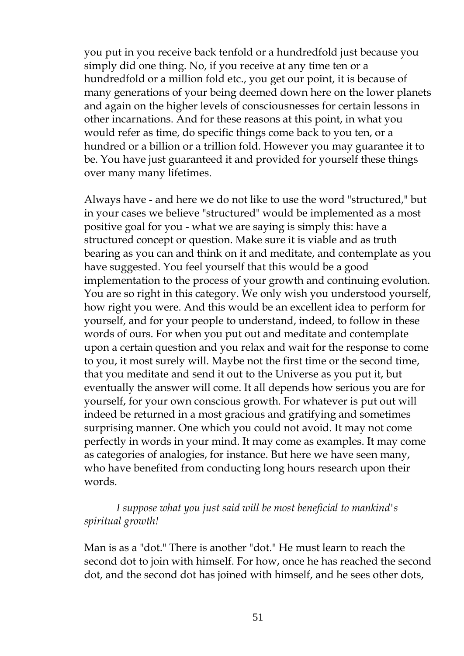you put in you receive back tenfold or a hundredfold just because you simply did one thing. No, if you receive at any time ten or a hundredfold or a million fold etc., you get our point, it is because of many generations of your being deemed down here on the lower planets and again on the higher levels of consciousnesses for certain lessons in other incarnations. And for these reasons at this point, in what you would refer as time, do specific things come back to you ten, or a hundred or a billion or a trillion fold. However you may guarantee it to be. You have just guaranteed it and provided for yourself these things over many many lifetimes.

Always have - and here we do not like to use the word "structured," but in your cases we believe "structured" would be implemented as a most positive goal for you - what we are saying is simply this: have a structured concept or question. Make sure it is viable and as truth bearing as you can and think on it and meditate, and contemplate as you have suggested. You feel yourself that this would be a good implementation to the process of your growth and continuing evolution. You are so right in this category. We only wish you understood yourself, how right you were. And this would be an excellent idea to perform for yourself, and for your people to understand, indeed, to follow in these words of ours. For when you put out and meditate and contemplate upon a certain question and you relax and wait for the response to come to you, it most surely will. Maybe not the first time or the second time, that you meditate and send it out to the Universe as you put it, but eventually the answer will come. It all depends how serious you are for yourself, for your own conscious growth. For whatever is put out will indeed be returned in a most gracious and gratifying and sometimes surprising manner. One which you could not avoid. It may not come perfectly in words in your mind. It may come as examples. It may come as categories of analogies, for instance. But here we have seen many, who have benefited from conducting long hours research upon their words.

## *I suppose what you just said will be most beneficial to mankind's spiritual growth!*

Man is as a "dot." There is another "dot." He must learn to reach the second dot to join with himself. For how, once he has reached the second dot, and the second dot has joined with himself, and he sees other dots,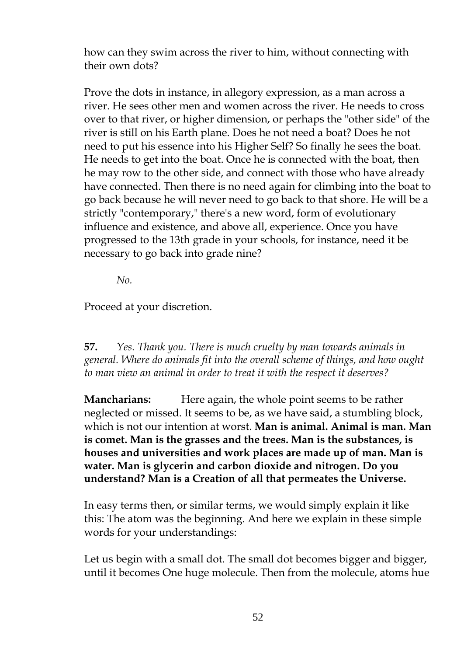how can they swim across the river to him, without connecting with their own dots?

Prove the dots in instance, in allegory expression, as a man across a river. He sees other men and women across the river. He needs to cross over to that river, or higher dimension, or perhaps the "other side" of the river is still on his Earth plane. Does he not need a boat? Does he not need to put his essence into his Higher Self? So finally he sees the boat. He needs to get into the boat. Once he is connected with the boat, then he may row to the other side, and connect with those who have already have connected. Then there is no need again for climbing into the boat to go back because he will never need to go back to that shore. He will be a strictly "contemporary," there's a new word, form of evolutionary influence and existence, and above all, experience. Once you have progressed to the 13th grade in your schools, for instance, need it be necessary to go back into grade nine?

*No.*

Proceed at your discretion.

**57.** *Yes. Thank you. There is much cruelty by man towards animals in general. Where do animals fit into the overall scheme of things, and how ought to man view an animal in order to treat it with the respect it deserves?*

**Mancharians:** Here again, the whole point seems to be rather neglected or missed. It seems to be, as we have said, a stumbling block, which is not our intention at worst. **Man is animal. Animal is man. Man is comet. Man is the grasses and the trees. Man is the substances, is houses and universities and work places are made up of man. Man is water. Man is glycerin and carbon dioxide and nitrogen. Do you understand? Man is a Creation of all that permeates the Universe.**

In easy terms then, or similar terms, we would simply explain it like this: The atom was the beginning. And here we explain in these simple words for your understandings:

Let us begin with a small dot. The small dot becomes bigger and bigger, until it becomes One huge molecule. Then from the molecule, atoms hue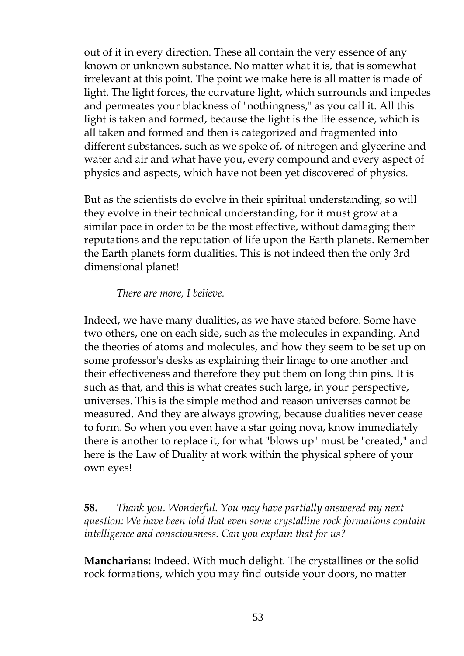out of it in every direction. These all contain the very essence of any known or unknown substance. No matter what it is, that is somewhat irrelevant at this point. The point we make here is all matter is made of light. The light forces, the curvature light, which surrounds and impedes and permeates your blackness of "nothingness," as you call it. All this light is taken and formed, because the light is the life essence, which is all taken and formed and then is categorized and fragmented into different substances, such as we spoke of, of nitrogen and glycerine and water and air and what have you, every compound and every aspect of physics and aspects, which have not been yet discovered of physics.

But as the scientists do evolve in their spiritual understanding, so will they evolve in their technical understanding, for it must grow at a similar pace in order to be the most effective, without damaging their reputations and the reputation of life upon the Earth planets. Remember the Earth planets form dualities. This is not indeed then the only 3rd dimensional planet!

*There are more, I believe.*

Indeed, we have many dualities, as we have stated before. Some have two others, one on each side, such as the molecules in expanding. And the theories of atoms and molecules, and how they seem to be set up on some professor's desks as explaining their linage to one another and their effectiveness and therefore they put them on long thin pins. It is such as that, and this is what creates such large, in your perspective, universes. This is the simple method and reason universes cannot be measured. And they are always growing, because dualities never cease to form. So when you even have a star going nova, know immediately there is another to replace it, for what "blows up" must be "created," and here is the Law of Duality at work within the physical sphere of your own eyes!

**58.** *Thank you. Wonderful. You may have partially answered my next question: We have been told that even some crystalline rock formations contain intelligence and consciousness. Can you explain that for us?*

**Mancharians:** Indeed. With much delight. The crystallines or the solid rock formations, which you may find outside your doors, no matter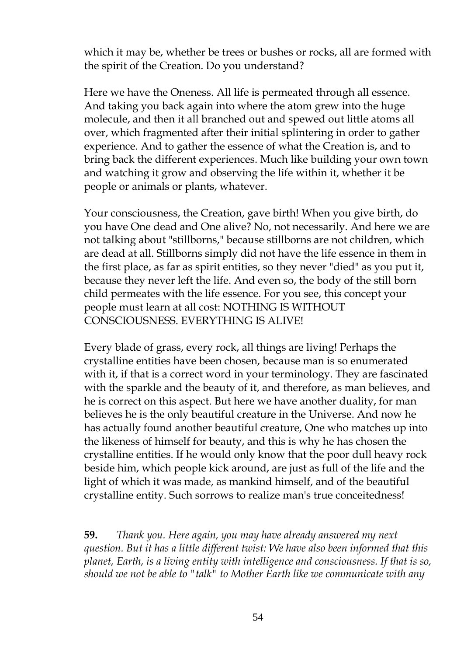which it may be, whether be trees or bushes or rocks, all are formed with the spirit of the Creation. Do you understand?

Here we have the Oneness. All life is permeated through all essence. And taking you back again into where the atom grew into the huge molecule, and then it all branched out and spewed out little atoms all over, which fragmented after their initial splintering in order to gather experience. And to gather the essence of what the Creation is, and to bring back the different experiences. Much like building your own town and watching it grow and observing the life within it, whether it be people or animals or plants, whatever.

Your consciousness, the Creation, gave birth! When you give birth, do you have One dead and One alive? No, not necessarily. And here we are not talking about "stillborns," because stillborns are not children, which are dead at all. Stillborns simply did not have the life essence in them in the first place, as far as spirit entities, so they never "died" as you put it, because they never left the life. And even so, the body of the still born child permeates with the life essence. For you see, this concept your people must learn at all cost: NOTHING IS WITHOUT CONSCIOUSNESS. EVERYTHING IS ALIVE!

Every blade of grass, every rock, all things are living! Perhaps the crystalline entities have been chosen, because man is so enumerated with it, if that is a correct word in your terminology. They are fascinated with the sparkle and the beauty of it, and therefore, as man believes, and he is correct on this aspect. But here we have another duality, for man believes he is the only beautiful creature in the Universe. And now he has actually found another beautiful creature, One who matches up into the likeness of himself for beauty, and this is why he has chosen the crystalline entities. If he would only know that the poor dull heavy rock beside him, which people kick around, are just as full of the life and the light of which it was made, as mankind himself, and of the beautiful crystalline entity. Such sorrows to realize man's true conceitedness!

**59.** *Thank you. Here again, you may have already answered my next question. But it has a little different twist: We have also been informed that this planet, Earth, is a living entity with intelligence and consciousness. If that is so, should we not be able to "talk" to Mother Earth like we communicate with any*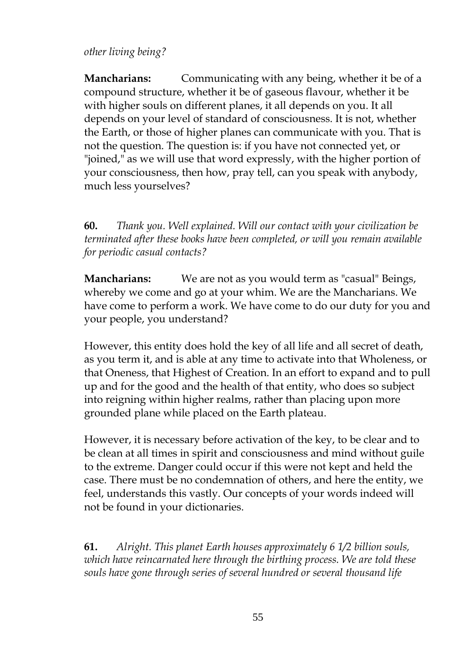## *other living being?*

**Mancharians:** Communicating with any being, whether it be of a compound structure, whether it be of gaseous flavour, whether it be with higher souls on different planes, it all depends on you. It all depends on your level of standard of consciousness. It is not, whether the Earth, or those of higher planes can communicate with you. That is not the question. The question is: if you have not connected yet, or "joined," as we will use that word expressly, with the higher portion of your consciousness, then how, pray tell, can you speak with anybody, much less yourselves?

**60.** *Thank you. Well explained. Will our contact with your civilization be terminated after these books have been completed, or will you remain available for periodic casual contacts?*

**Mancharians:** We are not as you would term as "casual" Beings, whereby we come and go at your whim. We are the Mancharians. We have come to perform a work. We have come to do our duty for you and your people, you understand?

However, this entity does hold the key of all life and all secret of death, as you term it, and is able at any time to activate into that Wholeness, or that Oneness, that Highest of Creation. In an effort to expand and to pull up and for the good and the health of that entity, who does so subject into reigning within higher realms, rather than placing upon more grounded plane while placed on the Earth plateau.

However, it is necessary before activation of the key, to be clear and to be clean at all times in spirit and consciousness and mind without guile to the extreme. Danger could occur if this were not kept and held the case. There must be no condemnation of others, and here the entity, we feel, understands this vastly. Our concepts of your words indeed will not be found in your dictionaries.

**61.** *Alright. This planet Earth houses approximately 6 1/2 billion souls, which have reincarnated here through the birthing process. We are told these souls have gone through series of several hundred or several thousand life*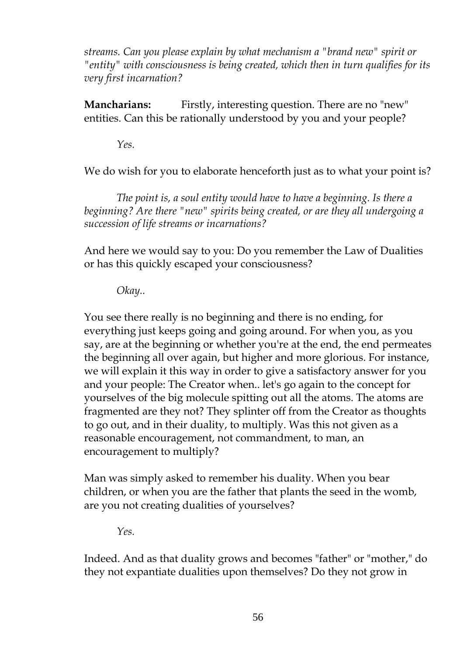*streams. Can you please explain by what mechanism a "brand new" spirit or "entity" with consciousness is being created, which then in turn qualifies for its very first incarnation?*

**Mancharians:** Firstly, interesting question. There are no "new" entities. Can this be rationally understood by you and your people?

*Yes.*

We do wish for you to elaborate henceforth just as to what your point is?

*The point is, a soul entity would have to have a beginning. Is there a beginning? Are there "new" spirits being created, or are they all undergoing a succession of life streams or incarnations?*

And here we would say to you: Do you remember the Law of Dualities or has this quickly escaped your consciousness?

*Okay..*

You see there really is no beginning and there is no ending, for everything just keeps going and going around. For when you, as you say, are at the beginning or whether you're at the end, the end permeates the beginning all over again, but higher and more glorious. For instance, we will explain it this way in order to give a satisfactory answer for you and your people: The Creator when.. let's go again to the concept for yourselves of the big molecule spitting out all the atoms. The atoms are fragmented are they not? They splinter off from the Creator as thoughts to go out, and in their duality, to multiply. Was this not given as a reasonable encouragement, not commandment, to man, an encouragement to multiply?

Man was simply asked to remember his duality. When you bear children, or when you are the father that plants the seed in the womb, are you not creating dualities of yourselves?

*Yes.*

Indeed. And as that duality grows and becomes "father" or "mother," do they not expantiate dualities upon themselves? Do they not grow in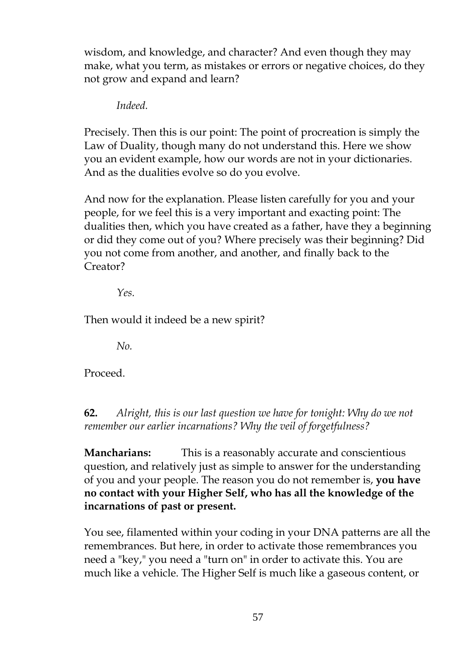wisdom, and knowledge, and character? And even though they may make, what you term, as mistakes or errors or negative choices, do they not grow and expand and learn?

*Indeed.*

Precisely. Then this is our point: The point of procreation is simply the Law of Duality, though many do not understand this. Here we show you an evident example, how our words are not in your dictionaries. And as the dualities evolve so do you evolve.

And now for the explanation. Please listen carefully for you and your people, for we feel this is a very important and exacting point: The dualities then, which you have created as a father, have they a beginning or did they come out of you? Where precisely was their beginning? Did you not come from another, and another, and finally back to the Creator?

*Yes.*

Then would it indeed be a new spirit?

*No.*

Proceed.

**62.** *Alright, this is our last question we have for tonight: Why do we not remember our earlier incarnations? Why the veil of forgetfulness?*

**Mancharians:** This is a reasonably accurate and conscientious question, and relatively just as simple to answer for the understanding of you and your people. The reason you do not remember is, **you have no contact with your Higher Self, who has all the knowledge of the incarnations of past or present.**

You see, filamented within your coding in your DNA patterns are all the remembrances. But here, in order to activate those remembrances you need a "key," you need a "turn on" in order to activate this. You are much like a vehicle. The Higher Self is much like a gaseous content, or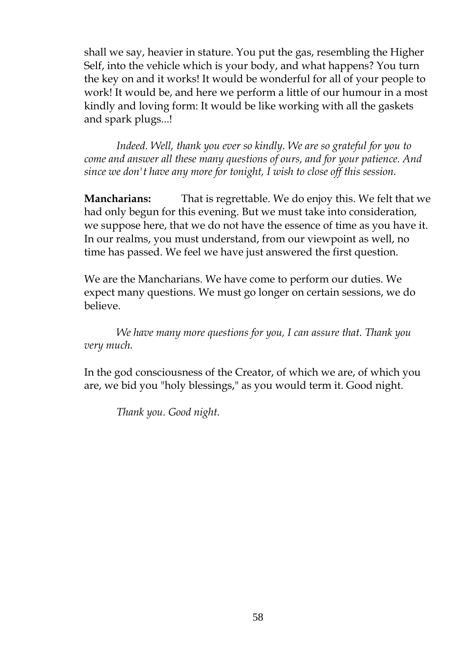shall we say, heavier in stature. You put the gas, resembling the Higher Self, into the vehicle which is your body, and what happens? You turn the key on and it works! It would be wonderful for all of your people to work! It would be, and here we perform a little of our humour in a most kindly and loving form: It would be like working with all the gaskets and spark plugs...!

*Indeed. Well, thank you ever so kindly. We are so grateful for you to come and answer all these many questions of ours, and for your patience. And since we don't have any more for tonight, I wish to close off this session.*

**Mancharians:** That is regrettable. We do enjoy this. We felt that we had only begun for this evening. But we must take into consideration, we suppose here, that we do not have the essence of time as you have it. In our realms, you must understand, from our viewpoint as well, no time has passed. We feel we have just answered the first question.

We are the Mancharians. We have come to perform our duties. We expect many questions. We must go longer on certain sessions, we do believe.

*We have many more questions for you, I can assure that. Thank you very much.*

In the god consciousness of the Creator, of which we are, of which you are, we bid you "holy blessings," as you would term it. Good night.

*Thank you. Good night.*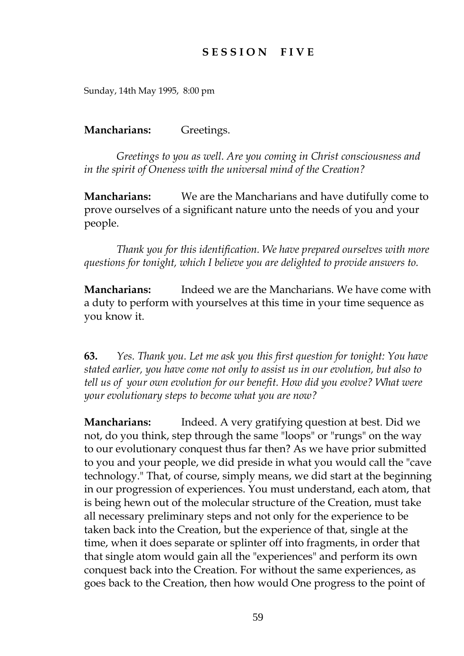# **S E S S I O N F I V E**

Sunday, 14th May 1995, 8:00 pm

#### **Mancharians:** Greetings.

*Greetings to you as well. Are you coming in Christ consciousness and in the spirit of Oneness with the universal mind of the Creation?*

**Mancharians:** We are the Mancharians and have dutifully come to prove ourselves of a significant nature unto the needs of you and your people.

*Thank you for this identification. We have prepared ourselves with more questions for tonight, which I believe you are delighted to provide answers to.*

**Mancharians:** Indeed we are the Mancharians. We have come with a duty to perform with yourselves at this time in your time sequence as you know it.

**63.** *Yes. Thank you. Let me ask you this first question for tonight: You have stated earlier, you have come not only to assist us in our evolution, but also to tell us of your own evolution for our benefit. How did you evolve? What were your evolutionary steps to become what you are now?*

**Mancharians:** Indeed. A very gratifying question at best. Did we not, do you think, step through the same "loops" or "rungs" on the way to our evolutionary conquest thus far then? As we have prior submitted to you and your people, we did preside in what you would call the "cave technology." That, of course, simply means, we did start at the beginning in our progression of experiences. You must understand, each atom, that is being hewn out of the molecular structure of the Creation, must take all necessary preliminary steps and not only for the experience to be taken back into the Creation, but the experience of that, single at the time, when it does separate or splinter off into fragments, in order that that single atom would gain all the "experiences" and perform its own conquest back into the Creation. For without the same experiences, as goes back to the Creation, then how would One progress to the point of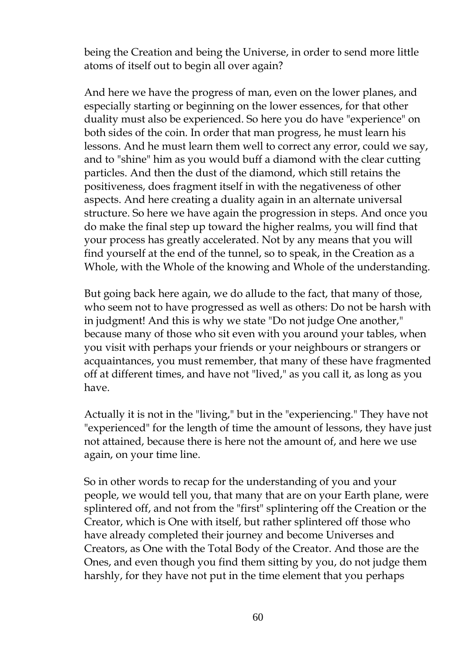being the Creation and being the Universe, in order to send more little atoms of itself out to begin all over again?

And here we have the progress of man, even on the lower planes, and especially starting or beginning on the lower essences, for that other duality must also be experienced. So here you do have "experience" on both sides of the coin. In order that man progress, he must learn his lessons. And he must learn them well to correct any error, could we say, and to "shine" him as you would buff a diamond with the clear cutting particles. And then the dust of the diamond, which still retains the positiveness, does fragment itself in with the negativeness of other aspects. And here creating a duality again in an alternate universal structure. So here we have again the progression in steps. And once you do make the final step up toward the higher realms, you will find that your process has greatly accelerated. Not by any means that you will find yourself at the end of the tunnel, so to speak, in the Creation as a Whole, with the Whole of the knowing and Whole of the understanding.

But going back here again, we do allude to the fact, that many of those, who seem not to have progressed as well as others: Do not be harsh with in judgment! And this is why we state "Do not judge One another," because many of those who sit even with you around your tables, when you visit with perhaps your friends or your neighbours or strangers or acquaintances, you must remember, that many of these have fragmented off at different times, and have not "lived," as you call it, as long as you have.

Actually it is not in the "living," but in the "experiencing." They have not "experienced" for the length of time the amount of lessons, they have just not attained, because there is here not the amount of, and here we use again, on your time line.

So in other words to recap for the understanding of you and your people, we would tell you, that many that are on your Earth plane, were splintered off, and not from the "first" splintering off the Creation or the Creator, which is One with itself, but rather splintered off those who have already completed their journey and become Universes and Creators, as One with the Total Body of the Creator. And those are the Ones, and even though you find them sitting by you, do not judge them harshly, for they have not put in the time element that you perhaps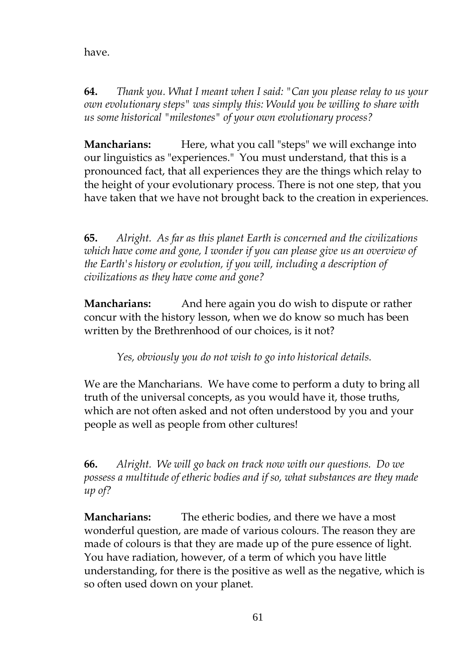have.

**64.** *Thank you. What I meant when I said: "Can you please relay to us your own evolutionary steps" was simply this: Would you be willing to share with us some historical "milestones" of your own evolutionary process?*

**Mancharians:** Here, what you call "steps" we will exchange into our linguistics as "experiences." You must understand, that this is a pronounced fact, that all experiences they are the things which relay to the height of your evolutionary process. There is not one step, that you have taken that we have not brought back to the creation in experiences.

**65.** *Alright. As far as this planet Earth is concerned and the civilizations which have come and gone, I wonder if you can please give us an overview of the Earth's history or evolution, if you will, including a description of civilizations as they have come and gone?*

**Mancharians:** And here again you do wish to dispute or rather concur with the history lesson, when we do know so much has been written by the Brethrenhood of our choices, is it not?

*Yes, obviously you do not wish to go into historical details.*

We are the Mancharians. We have come to perform a duty to bring all truth of the universal concepts, as you would have it, those truths, which are not often asked and not often understood by you and your people as well as people from other cultures!

**66.** *Alright. We will go back on track now with our questions. Do we possess a multitude of etheric bodies and if so, what substances are they made up of?*

**Mancharians:** The etheric bodies, and there we have a most wonderful question, are made of various colours. The reason they are made of colours is that they are made up of the pure essence of light. You have radiation, however, of a term of which you have little understanding, for there is the positive as well as the negative, which is so often used down on your planet.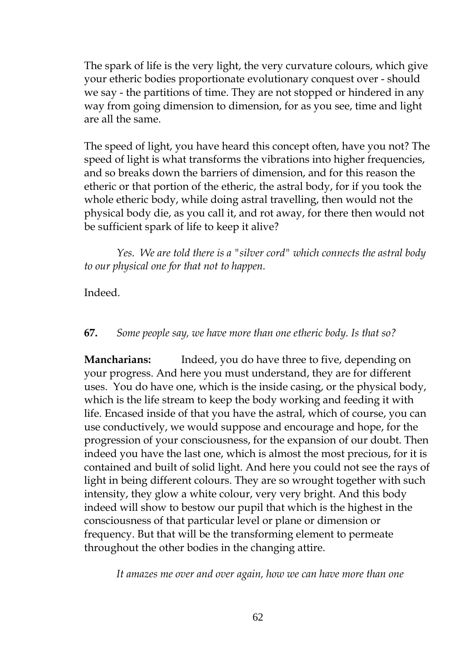The spark of life is the very light, the very curvature colours, which give your etheric bodies proportionate evolutionary conquest over - should we say - the partitions of time. They are not stopped or hindered in any way from going dimension to dimension, for as you see, time and light are all the same.

The speed of light, you have heard this concept often, have you not? The speed of light is what transforms the vibrations into higher frequencies, and so breaks down the barriers of dimension, and for this reason the etheric or that portion of the etheric, the astral body, for if you took the whole etheric body, while doing astral travelling, then would not the physical body die, as you call it, and rot away, for there then would not be sufficient spark of life to keep it alive?

*Yes. We are told there is a "silver cord" which connects the astral body to our physical one for that not to happen.*

Indeed.

## **67.** *Some people say, we have more than one etheric body. Is that so?*

**Mancharians:** Indeed, you do have three to five, depending on your progress. And here you must understand, they are for different uses. You do have one, which is the inside casing, or the physical body, which is the life stream to keep the body working and feeding it with life. Encased inside of that you have the astral, which of course, you can use conductively, we would suppose and encourage and hope, for the progression of your consciousness, for the expansion of our doubt. Then indeed you have the last one, which is almost the most precious, for it is contained and built of solid light. And here you could not see the rays of light in being different colours. They are so wrought together with such intensity, they glow a white colour, very very bright. And this body indeed will show to bestow our pupil that which is the highest in the consciousness of that particular level or plane or dimension or frequency. But that will be the transforming element to permeate throughout the other bodies in the changing attire.

*It amazes me over and over again, how we can have more than one*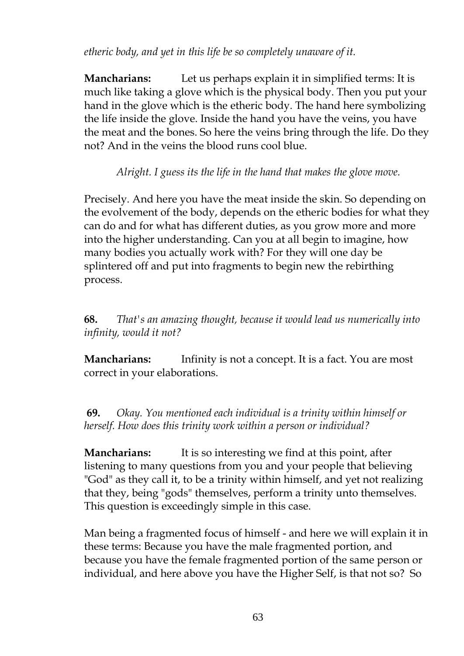*etheric body, and yet in this life be so completely unaware of it.*

**Mancharians:** Let us perhaps explain it in simplified terms: It is much like taking a glove which is the physical body. Then you put your hand in the glove which is the etheric body. The hand here symbolizing the life inside the glove. Inside the hand you have the veins, you have the meat and the bones. So here the veins bring through the life. Do they not? And in the veins the blood runs cool blue.

*Alright. I guess its the life in the hand that makes the glove move.*

Precisely. And here you have the meat inside the skin. So depending on the evolvement of the body, depends on the etheric bodies for what they can do and for what has different duties, as you grow more and more into the higher understanding. Can you at all begin to imagine, how many bodies you actually work with? For they will one day be splintered off and put into fragments to begin new the rebirthing process.

**68.** *That's an amazing thought, because it would lead us numerically into infinity, would it not?*

**Mancharians:** Infinity is not a concept. It is a fact. You are most correct in your elaborations.

**69.** *Okay. You mentioned each individual is a trinity within himself or herself. How does this trinity work within a person or individual?*

**Mancharians:** It is so interesting we find at this point, after listening to many questions from you and your people that believing "God" as they call it, to be a trinity within himself, and yet not realizing that they, being "gods" themselves, perform a trinity unto themselves. This question is exceedingly simple in this case.

Man being a fragmented focus of himself - and here we will explain it in these terms: Because you have the male fragmented portion, and because you have the female fragmented portion of the same person or individual, and here above you have the Higher Self, is that not so? So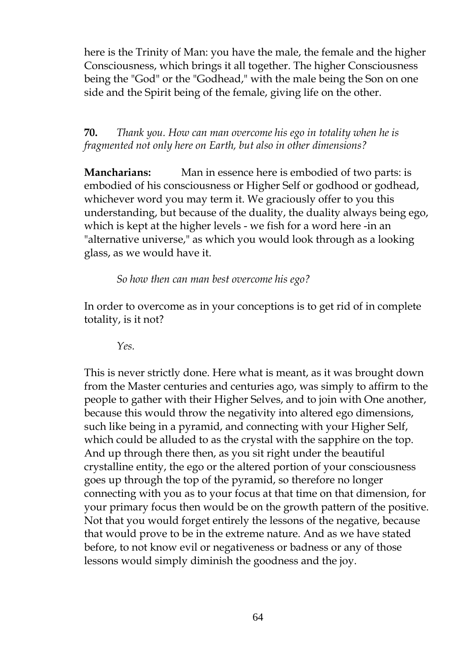here is the Trinity of Man: you have the male, the female and the higher Consciousness, which brings it all together. The higher Consciousness being the "God" or the "Godhead," with the male being the Son on one side and the Spirit being of the female, giving life on the other.

**70.** *Thank you. How can man overcome his ego in totality when he is fragmented not only here on Earth, but also in other dimensions?*

**Mancharians:** Man in essence here is embodied of two parts: is embodied of his consciousness or Higher Self or godhood or godhead, whichever word you may term it. We graciously offer to you this understanding, but because of the duality, the duality always being ego, which is kept at the higher levels - we fish for a word here -in an "alternative universe," as which you would look through as a looking glass, as we would have it.

*So how then can man best overcome his ego?*

In order to overcome as in your conceptions is to get rid of in complete totality, is it not?

*Yes.*

This is never strictly done. Here what is meant, as it was brought down from the Master centuries and centuries ago, was simply to affirm to the people to gather with their Higher Selves, and to join with One another, because this would throw the negativity into altered ego dimensions, such like being in a pyramid, and connecting with your Higher Self, which could be alluded to as the crystal with the sapphire on the top. And up through there then, as you sit right under the beautiful crystalline entity, the ego or the altered portion of your consciousness goes up through the top of the pyramid, so therefore no longer connecting with you as to your focus at that time on that dimension, for your primary focus then would be on the growth pattern of the positive. Not that you would forget entirely the lessons of the negative, because that would prove to be in the extreme nature. And as we have stated before, to not know evil or negativeness or badness or any of those lessons would simply diminish the goodness and the joy.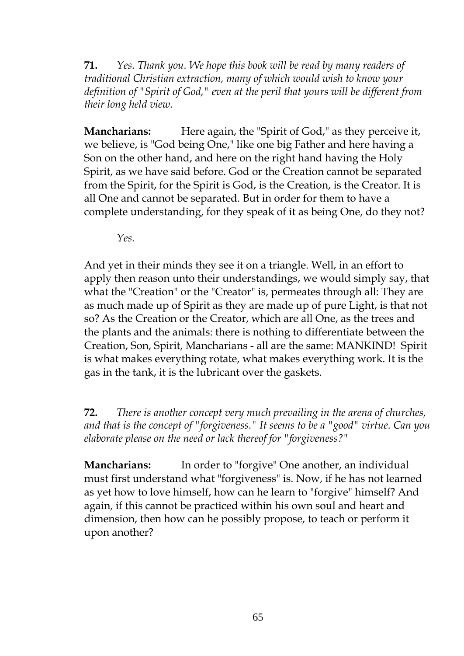**71.** *Yes. Thank you. We hope this book will be read by many readers of traditional Christian extraction, many of which would wish to know your definition of "Spirit of God," even at the peril that yours will be different from their long held view.*

**Mancharians:** Here again, the "Spirit of God," as they perceive it, we believe, is "God being One," like one big Father and here having a Son on the other hand, and here on the right hand having the Holy Spirit, as we have said before. God or the Creation cannot be separated from the Spirit, for the Spirit is God, is the Creation, is the Creator. It is all One and cannot be separated. But in order for them to have a complete understanding, for they speak of it as being One, do they not?

*Yes.*

And yet in their minds they see it on a triangle. Well, in an effort to apply then reason unto their understandings, we would simply say, that what the "Creation" or the "Creator" is, permeates through all: They are as much made up of Spirit as they are made up of pure Light, is that not so? As the Creation or the Creator, which are all One, as the trees and the plants and the animals: there is nothing to differentiate between the Creation, Son, Spirit, Mancharians - all are the same: MANKIND! Spirit is what makes everything rotate, what makes everything work. It is the gas in the tank, it is the lubricant over the gaskets.

**72.** *There is another concept very much prevailing in the arena of churches, and that is the concept of "forgiveness." It seems to be a "good" virtue. Can you elaborate please on the need or lack thereof for "forgiveness?"*

**Mancharians:** In order to "forgive" One another, an individual must first understand what "forgiveness" is. Now, if he has not learned as yet how to love himself, how can he learn to "forgive" himself? And again, if this cannot be practiced within his own soul and heart and dimension, then how can he possibly propose, to teach or perform it upon another?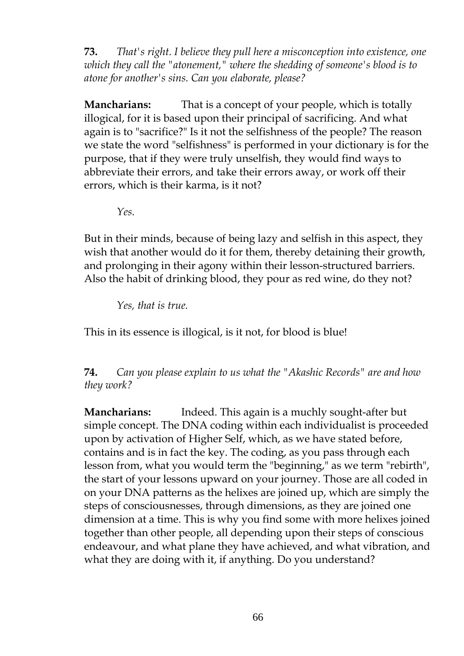**73.** *That's right. I believe they pull here a misconception into existence, one which they call the "atonement," where the shedding of someone's blood is to atone for another's sins. Can you elaborate, please?*

**Mancharians:** That is a concept of your people, which is totally illogical, for it is based upon their principal of sacrificing. And what again is to "sacrifice?" Is it not the selfishness of the people? The reason we state the word "selfishness" is performed in your dictionary is for the purpose, that if they were truly unselfish, they would find ways to abbreviate their errors, and take their errors away, or work off their errors, which is their karma, is it not?

*Yes.*

But in their minds, because of being lazy and selfish in this aspect, they wish that another would do it for them, thereby detaining their growth, and prolonging in their agony within their lesson-structured barriers. Also the habit of drinking blood, they pour as red wine, do they not?

*Yes, that is true.*

This in its essence is illogical, is it not, for blood is blue!

**74.** *Can you please explain to us what the "Akashic Records" are and how they work?*

**Mancharians:** Indeed. This again is a muchly sought-after but simple concept. The DNA coding within each individualist is proceeded upon by activation of Higher Self, which, as we have stated before, contains and is in fact the key. The coding, as you pass through each lesson from, what you would term the "beginning," as we term "rebirth", the start of your lessons upward on your journey. Those are all coded in on your DNA patterns as the helixes are joined up, which are simply the steps of consciousnesses, through dimensions, as they are joined one dimension at a time. This is why you find some with more helixes joined together than other people, all depending upon their steps of conscious endeavour, and what plane they have achieved, and what vibration, and what they are doing with it, if anything. Do you understand?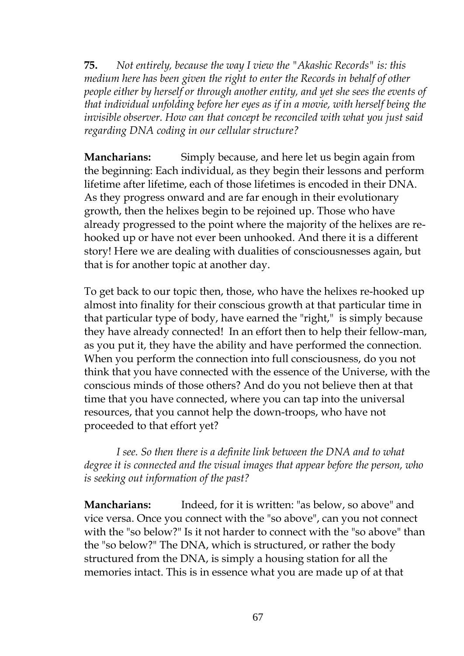**75.** *Not entirely, because the way I view the "Akashic Records" is: this medium here has been given the right to enter the Records in behalf of other people either by herself or through another entity, and yet she sees the events of that individual unfolding before her eyes as if in a movie, with herself being the invisible observer. How can that concept be reconciled with what you just said regarding DNA coding in our cellular structure?*

**Mancharians:** Simply because, and here let us begin again from the beginning: Each individual, as they begin their lessons and perform lifetime after lifetime, each of those lifetimes is encoded in their DNA. As they progress onward and are far enough in their evolutionary growth, then the helixes begin to be rejoined up. Those who have already progressed to the point where the majority of the helixes are rehooked up or have not ever been unhooked. And there it is a different story! Here we are dealing with dualities of consciousnesses again, but that is for another topic at another day.

To get back to our topic then, those, who have the helixes re-hooked up almost into finality for their conscious growth at that particular time in that particular type of body, have earned the "right," is simply because they have already connected! In an effort then to help their fellow-man, as you put it, they have the ability and have performed the connection. When you perform the connection into full consciousness, do you not think that you have connected with the essence of the Universe, with the conscious minds of those others? And do you not believe then at that time that you have connected, where you can tap into the universal resources, that you cannot help the down-troops, who have not proceeded to that effort yet?

*I see. So then there is a definite link between the DNA and to what degree it is connected and the visual images that appear before the person, who is seeking out information of the past?*

**Mancharians:** Indeed, for it is written: "as below, so above" and vice versa. Once you connect with the "so above", can you not connect with the "so below?" Is it not harder to connect with the "so above" than the "so below?" The DNA, which is structured, or rather the body structured from the DNA, is simply a housing station for all the memories intact. This is in essence what you are made up of at that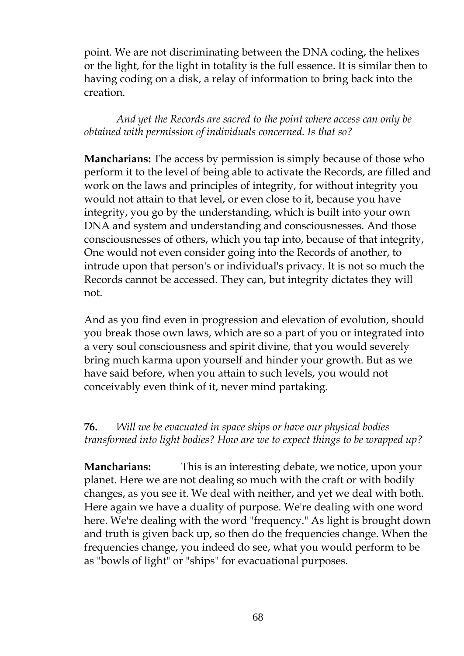point. We are not discriminating between the DNA coding, the helixes or the light, for the light in totality is the full essence. It is similar then to having coding on a disk, a relay of information to bring back into the creation.

*And yet the Records are sacred to the point where access can only be obtained with permission of individuals concerned. Is that so?*

**Mancharians:** The access by permission is simply because of those who perform it to the level of being able to activate the Records, are filled and work on the laws and principles of integrity, for without integrity you would not attain to that level, or even close to it, because you have integrity, you go by the understanding, which is built into your own DNA and system and understanding and consciousnesses. And those consciousnesses of others, which you tap into, because of that integrity, One would not even consider going into the Records of another, to intrude upon that person's or individual's privacy. It is not so much the Records cannot be accessed. They can, but integrity dictates they will not.

And as you find even in progression and elevation of evolution, should you break those own laws, which are so a part of you or integrated into a very soul consciousness and spirit divine, that you would severely bring much karma upon yourself and hinder your growth. But as we have said before, when you attain to such levels, you would not conceivably even think of it, never mind partaking.

**76.** *Will we be evacuated in space ships or have our physical bodies transformed into light bodies? How are we to expect things to be wrapped up?*

**Mancharians:** This is an interesting debate, we notice, upon your planet. Here we are not dealing so much with the craft or with bodily changes, as you see it. We deal with neither, and yet we deal with both. Here again we have a duality of purpose. We're dealing with one word here. We're dealing with the word "frequency." As light is brought down and truth is given back up, so then do the frequencies change. When the frequencies change, you indeed do see, what you would perform to be as "bowls of light" or "ships" for evacuational purposes.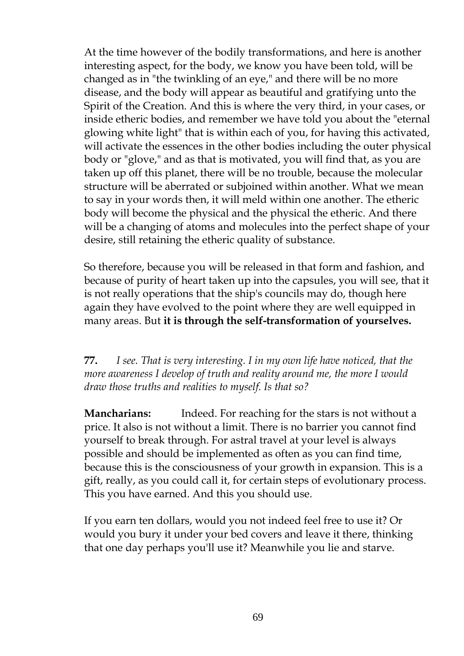At the time however of the bodily transformations, and here is another interesting aspect, for the body, we know you have been told, will be changed as in "the twinkling of an eye," and there will be no more disease, and the body will appear as beautiful and gratifying unto the Spirit of the Creation. And this is where the very third, in your cases, or inside etheric bodies, and remember we have told you about the "eternal glowing white light" that is within each of you, for having this activated, will activate the essences in the other bodies including the outer physical body or "glove," and as that is motivated, you will find that, as you are taken up off this planet, there will be no trouble, because the molecular structure will be aberrated or subjoined within another. What we mean to say in your words then, it will meld within one another. The etheric body will become the physical and the physical the etheric. And there will be a changing of atoms and molecules into the perfect shape of your desire, still retaining the etheric quality of substance.

So therefore, because you will be released in that form and fashion, and because of purity of heart taken up into the capsules, you will see, that it is not really operations that the ship's councils may do, though here again they have evolved to the point where they are well equipped in many areas. But **it is through the self-transformation of yourselves.**

**77.** *I see. That is very interesting. I in my own life have noticed, that the more awareness I develop of truth and reality around me, the more I would draw those truths and realities to myself. Is that so?*

**Mancharians:** Indeed. For reaching for the stars is not without a price. It also is not without a limit. There is no barrier you cannot find yourself to break through. For astral travel at your level is always possible and should be implemented as often as you can find time, because this is the consciousness of your growth in expansion. This is a gift, really, as you could call it, for certain steps of evolutionary process. This you have earned. And this you should use.

If you earn ten dollars, would you not indeed feel free to use it? Or would you bury it under your bed covers and leave it there, thinking that one day perhaps you'll use it? Meanwhile you lie and starve.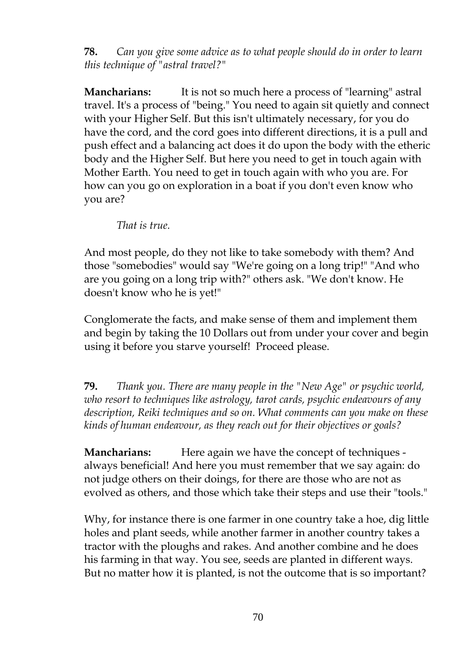**78.** *Can you give some advice as to what people should do in order to learn this technique of "astral travel?"*

**Mancharians:** It is not so much here a process of "learning" astral travel. It's a process of "being." You need to again sit quietly and connect with your Higher Self. But this isn't ultimately necessary, for you do have the cord, and the cord goes into different directions, it is a pull and push effect and a balancing act does it do upon the body with the etheric body and the Higher Self. But here you need to get in touch again with Mother Earth. You need to get in touch again with who you are. For how can you go on exploration in a boat if you don't even know who you are?

*That is true.*

And most people, do they not like to take somebody with them? And those "somebodies" would say "We're going on a long trip!" "And who are you going on a long trip with?" others ask. "We don't know. He doesn't know who he is yet!"

Conglomerate the facts, and make sense of them and implement them and begin by taking the 10 Dollars out from under your cover and begin using it before you starve yourself! Proceed please.

**79.** *Thank you. There are many people in the "New Age" or psychic world, who resort to techniques like astrology, tarot cards, psychic endeavours of any description, Reiki techniques and so on. What comments can you make on these kinds of human endeavour, as they reach out for their objectives or goals?*

**Mancharians:** Here again we have the concept of techniques always beneficial! And here you must remember that we say again: do not judge others on their doings, for there are those who are not as evolved as others, and those which take their steps and use their "tools."

Why, for instance there is one farmer in one country take a hoe, dig little holes and plant seeds, while another farmer in another country takes a tractor with the ploughs and rakes. And another combine and he does his farming in that way. You see, seeds are planted in different ways. But no matter how it is planted, is not the outcome that is so important?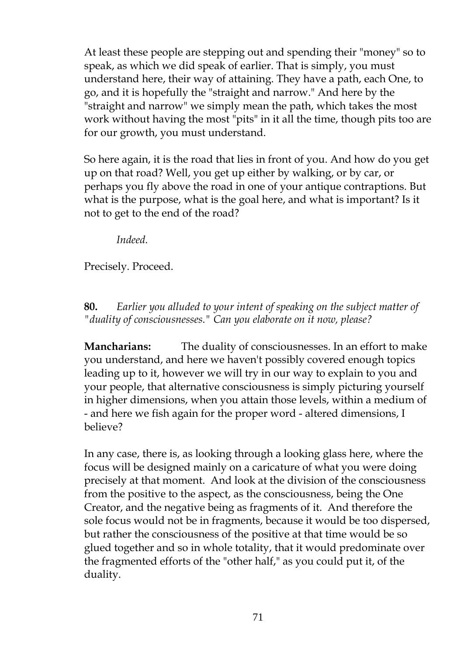At least these people are stepping out and spending their "money" so to speak, as which we did speak of earlier. That is simply, you must understand here, their way of attaining. They have a path, each One, to go, and it is hopefully the "straight and narrow." And here by the "straight and narrow" we simply mean the path, which takes the most work without having the most "pits" in it all the time, though pits too are for our growth, you must understand.

So here again, it is the road that lies in front of you. And how do you get up on that road? Well, you get up either by walking, or by car, or perhaps you fly above the road in one of your antique contraptions. But what is the purpose, what is the goal here, and what is important? Is it not to get to the end of the road?

*Indeed.*

Precisely. Proceed.

**80.** *Earlier you alluded to your intent of speaking on the subject matter of "duality of consciousnesses." Can you elaborate on it now, please?*

**Mancharians:** The duality of consciousnesses. In an effort to make you understand, and here we haven't possibly covered enough topics leading up to it, however we will try in our way to explain to you and your people, that alternative consciousness is simply picturing yourself in higher dimensions, when you attain those levels, within a medium of - and here we fish again for the proper word - altered dimensions, I believe?

In any case, there is, as looking through a looking glass here, where the focus will be designed mainly on a caricature of what you were doing precisely at that moment. And look at the division of the consciousness from the positive to the aspect, as the consciousness, being the One Creator, and the negative being as fragments of it. And therefore the sole focus would not be in fragments, because it would be too dispersed, but rather the consciousness of the positive at that time would be so glued together and so in whole totality, that it would predominate over the fragmented efforts of the "other half," as you could put it, of the duality.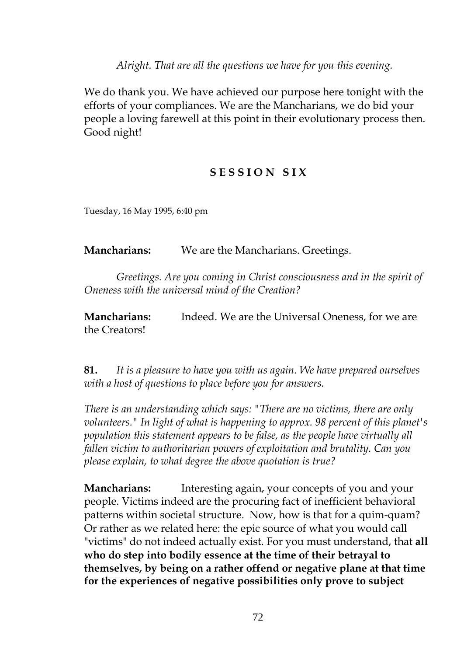*Alright. That are all the questions we have for you this evening.*

We do thank you. We have achieved our purpose here tonight with the efforts of your compliances. We are the Mancharians, we do bid your people a loving farewell at this point in their evolutionary process then. Good night!

## **S E S S I O N S I X**

Tuesday, 16 May 1995, 6:40 pm

**Mancharians:** We are the Mancharians. Greetings.

*Greetings. Are you coming in Christ consciousness and in the spirit of Oneness with the universal mind of the Creation?*

**Mancharians:** Indeed. We are the Universal Oneness, for we are the Creators!

**81.** *It is a pleasure to have you with us again. We have prepared ourselves with a host of questions to place before you for answers.*

*There is an understanding which says: "There are no victims, there are only volunteers." In light of what is happening to approx. 98 percent of this planet's population this statement appears to be false, as the people have virtually all fallen victim to authoritarian powers of exploitation and brutality. Can you please explain, to what degree the above quotation is true?*

**Mancharians:** Interesting again, your concepts of you and your people. Victims indeed are the procuring fact of inefficient behavioral patterns within societal structure. Now, how is that for a quim-quam? Or rather as we related here: the epic source of what you would call "victims" do not indeed actually exist. For you must understand, that **all who do step into bodily essence at the time of their betrayal to themselves, by being on a rather offend or negative plane at that time for the experiences of negative possibilities only prove to subject**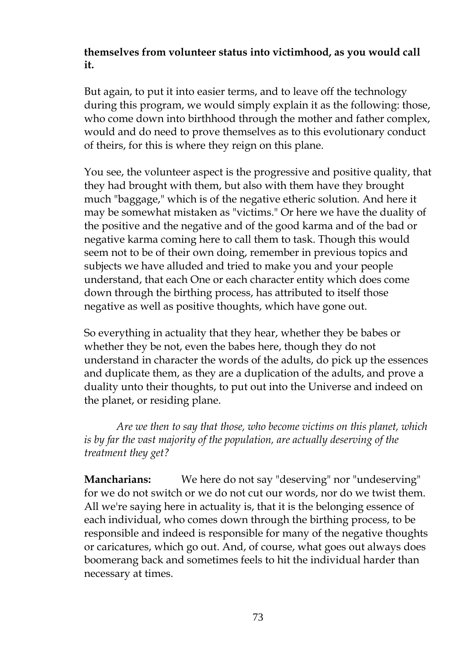# **themselves from volunteer status into victimhood, as you would call it.**

But again, to put it into easier terms, and to leave off the technology during this program, we would simply explain it as the following: those, who come down into birthhood through the mother and father complex, would and do need to prove themselves as to this evolutionary conduct of theirs, for this is where they reign on this plane.

You see, the volunteer aspect is the progressive and positive quality, that they had brought with them, but also with them have they brought much "baggage," which is of the negative etheric solution. And here it may be somewhat mistaken as "victims." Or here we have the duality of the positive and the negative and of the good karma and of the bad or negative karma coming here to call them to task. Though this would seem not to be of their own doing, remember in previous topics and subjects we have alluded and tried to make you and your people understand, that each One or each character entity which does come down through the birthing process, has attributed to itself those negative as well as positive thoughts, which have gone out.

So everything in actuality that they hear, whether they be babes or whether they be not, even the babes here, though they do not understand in character the words of the adults, do pick up the essences and duplicate them, as they are a duplication of the adults, and prove a duality unto their thoughts, to put out into the Universe and indeed on the planet, or residing plane.

*Are we then to say that those, who become victims on this planet, which is by far the vast majority of the population, are actually deserving of the treatment they get?*

**Mancharians:** We here do not say "deserving" nor "undeserving" for we do not switch or we do not cut our words, nor do we twist them. All we're saying here in actuality is, that it is the belonging essence of each individual, who comes down through the birthing process, to be responsible and indeed is responsible for many of the negative thoughts or caricatures, which go out. And, of course, what goes out always does boomerang back and sometimes feels to hit the individual harder than necessary at times.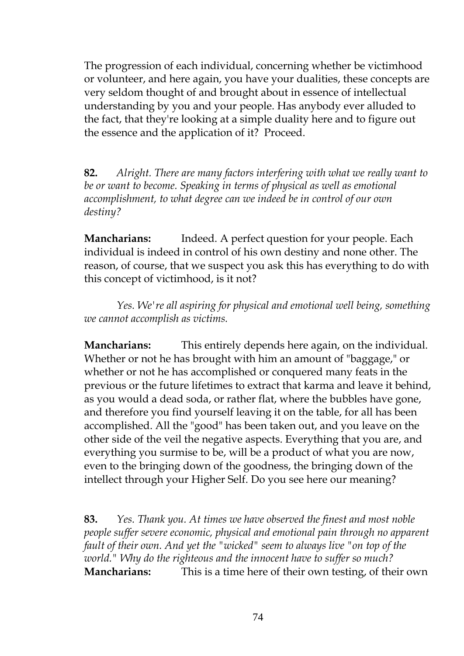The progression of each individual, concerning whether be victimhood or volunteer, and here again, you have your dualities, these concepts are very seldom thought of and brought about in essence of intellectual understanding by you and your people. Has anybody ever alluded to the fact, that they're looking at a simple duality here and to figure out the essence and the application of it? Proceed.

**82.** *Alright. There are many factors interfering with what we really want to be or want to become. Speaking in terms of physical as well as emotional accomplishment, to what degree can we indeed be in control of our own destiny?*

**Mancharians:** Indeed. A perfect question for your people. Each individual is indeed in control of his own destiny and none other. The reason, of course, that we suspect you ask this has everything to do with this concept of victimhood, is it not?

*Yes. We're all aspiring for physical and emotional well being, something we cannot accomplish as victims.*

**Mancharians:** This entirely depends here again, on the individual. Whether or not he has brought with him an amount of "baggage," or whether or not he has accomplished or conquered many feats in the previous or the future lifetimes to extract that karma and leave it behind, as you would a dead soda, or rather flat, where the bubbles have gone, and therefore you find yourself leaving it on the table, for all has been accomplished. All the "good" has been taken out, and you leave on the other side of the veil the negative aspects. Everything that you are, and everything you surmise to be, will be a product of what you are now, even to the bringing down of the goodness, the bringing down of the intellect through your Higher Self. Do you see here our meaning?

**83.** *Yes. Thank you. At times we have observed the finest and most noble people suffer severe economic, physical and emotional pain through no apparent fault of their own. And yet the "wicked" seem to always live "on top of the world." Why do the righteous and the innocent have to suffer so much?* **Mancharians:** This is a time here of their own testing, of their own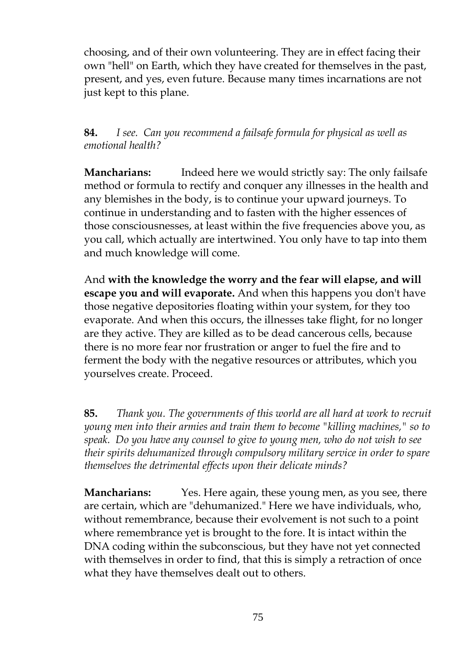choosing, and of their own volunteering. They are in effect facing their own "hell" on Earth, which they have created for themselves in the past, present, and yes, even future. Because many times incarnations are not just kept to this plane.

**84.** *I see. Can you recommend a failsafe formula for physical as well as emotional health?*

**Mancharians:** Indeed here we would strictly say: The only failsafe method or formula to rectify and conquer any illnesses in the health and any blemishes in the body, is to continue your upward journeys. To continue in understanding and to fasten with the higher essences of those consciousnesses, at least within the five frequencies above you, as you call, which actually are intertwined. You only have to tap into them and much knowledge will come.

And **with the knowledge the worry and the fear will elapse, and will escape you and will evaporate.** And when this happens you don't have those negative depositories floating within your system, for they too evaporate. And when this occurs, the illnesses take flight, for no longer are they active. They are killed as to be dead cancerous cells, because there is no more fear nor frustration or anger to fuel the fire and to ferment the body with the negative resources or attributes, which you yourselves create. Proceed.

**85.** *Thank you. The governments of this world are all hard at work to recruit young men into their armies and train them to become "killing machines," so to speak. Do you have any counsel to give to young men, who do not wish to see their spirits dehumanized through compulsory military service in order to spare themselves the detrimental effects upon their delicate minds?*

**Mancharians:** Yes. Here again, these young men, as you see, there are certain, which are "dehumanized." Here we have individuals, who, without remembrance, because their evolvement is not such to a point where remembrance yet is brought to the fore. It is intact within the DNA coding within the subconscious, but they have not yet connected with themselves in order to find, that this is simply a retraction of once what they have themselves dealt out to others.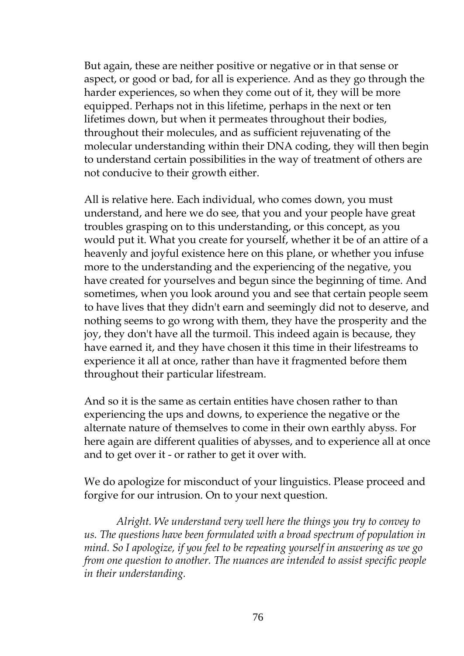But again, these are neither positive or negative or in that sense or aspect, or good or bad, for all is experience. And as they go through the harder experiences, so when they come out of it, they will be more equipped. Perhaps not in this lifetime, perhaps in the next or ten lifetimes down, but when it permeates throughout their bodies, throughout their molecules, and as sufficient rejuvenating of the molecular understanding within their DNA coding, they will then begin to understand certain possibilities in the way of treatment of others are not conducive to their growth either.

All is relative here. Each individual, who comes down, you must understand, and here we do see, that you and your people have great troubles grasping on to this understanding, or this concept, as you would put it. What you create for yourself, whether it be of an attire of a heavenly and joyful existence here on this plane, or whether you infuse more to the understanding and the experiencing of the negative, you have created for yourselves and begun since the beginning of time. And sometimes, when you look around you and see that certain people seem to have lives that they didn't earn and seemingly did not to deserve, and nothing seems to go wrong with them, they have the prosperity and the joy, they don't have all the turmoil. This indeed again is because, they have earned it, and they have chosen it this time in their lifestreams to experience it all at once, rather than have it fragmented before them throughout their particular lifestream.

And so it is the same as certain entities have chosen rather to than experiencing the ups and downs, to experience the negative or the alternate nature of themselves to come in their own earthly abyss. For here again are different qualities of abysses, and to experience all at once and to get over it - or rather to get it over with.

We do apologize for misconduct of your linguistics. Please proceed and forgive for our intrusion. On to your next question.

*Alright. We understand very well here the things you try to convey to us. The questions have been formulated with a broad spectrum of population in mind. So I apologize, if you feel to be repeating yourself in answering as we go from one question to another. The nuances are intended to assist specific people in their understanding.*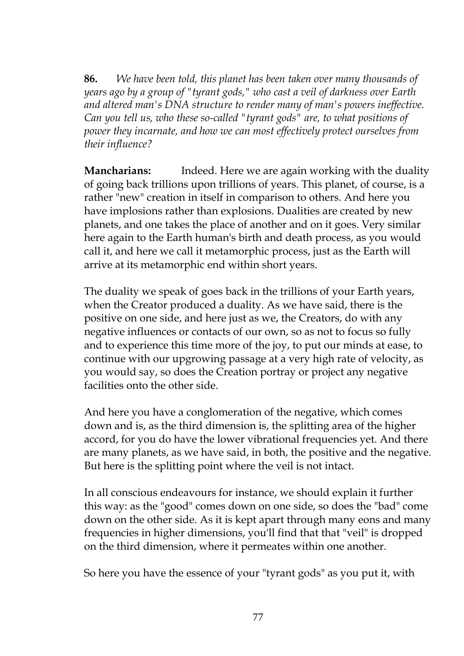**86.** *We have been told, this planet has been taken over many thousands of years ago by a group of "tyrant gods," who cast a veil of darkness over Earth and altered man's DNA structure to render many of man's powers ineffective. Can you tell us, who these so-called "tyrant gods" are, to what positions of power they incarnate, and how we can most effectively protect ourselves from their influence?*

**Mancharians:** Indeed. Here we are again working with the duality of going back trillions upon trillions of years. This planet, of course, is a rather "new" creation in itself in comparison to others. And here you have implosions rather than explosions. Dualities are created by new planets, and one takes the place of another and on it goes. Very similar here again to the Earth human's birth and death process, as you would call it, and here we call it metamorphic process, just as the Earth will arrive at its metamorphic end within short years.

The duality we speak of goes back in the trillions of your Earth years, when the Creator produced a duality. As we have said, there is the positive on one side, and here just as we, the Creators, do with any negative influences or contacts of our own, so as not to focus so fully and to experience this time more of the joy, to put our minds at ease, to continue with our upgrowing passage at a very high rate of velocity, as you would say, so does the Creation portray or project any negative facilities onto the other side.

And here you have a conglomeration of the negative, which comes down and is, as the third dimension is, the splitting area of the higher accord, for you do have the lower vibrational frequencies yet. And there are many planets, as we have said, in both, the positive and the negative. But here is the splitting point where the veil is not intact.

In all conscious endeavours for instance, we should explain it further this way: as the "good" comes down on one side, so does the "bad" come down on the other side. As it is kept apart through many eons and many frequencies in higher dimensions, you'll find that that "veil" is dropped on the third dimension, where it permeates within one another.

So here you have the essence of your "tyrant gods" as you put it, with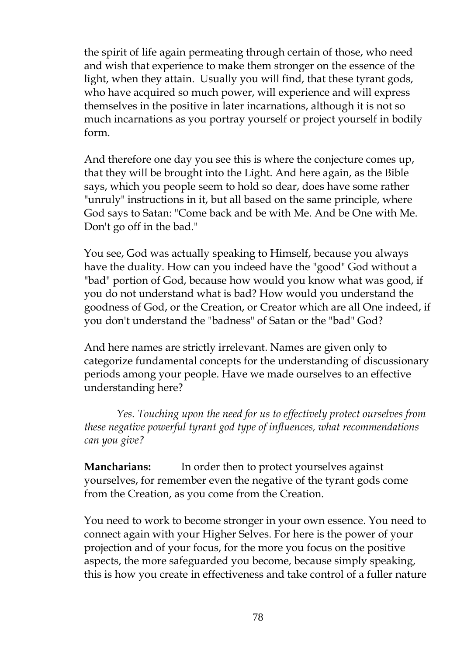the spirit of life again permeating through certain of those, who need and wish that experience to make them stronger on the essence of the light, when they attain. Usually you will find, that these tyrant gods, who have acquired so much power, will experience and will express themselves in the positive in later incarnations, although it is not so much incarnations as you portray yourself or project yourself in bodily form.

And therefore one day you see this is where the conjecture comes up, that they will be brought into the Light. And here again, as the Bible says, which you people seem to hold so dear, does have some rather "unruly" instructions in it, but all based on the same principle, where God says to Satan: "Come back and be with Me. And be One with Me. Don't go off in the bad."

You see, God was actually speaking to Himself, because you always have the duality. How can you indeed have the "good" God without a "bad" portion of God, because how would you know what was good, if you do not understand what is bad? How would you understand the goodness of God, or the Creation, or Creator which are all One indeed, if you don't understand the "badness" of Satan or the "bad" God?

And here names are strictly irrelevant. Names are given only to categorize fundamental concepts for the understanding of discussionary periods among your people. Have we made ourselves to an effective understanding here?

*Yes. Touching upon the need for us to effectively protect ourselves from these negative powerful tyrant god type of influences, what recommendations can you give?*

**Mancharians:** In order then to protect yourselves against yourselves, for remember even the negative of the tyrant gods come from the Creation, as you come from the Creation.

You need to work to become stronger in your own essence. You need to connect again with your Higher Selves. For here is the power of your projection and of your focus, for the more you focus on the positive aspects, the more safeguarded you become, because simply speaking, this is how you create in effectiveness and take control of a fuller nature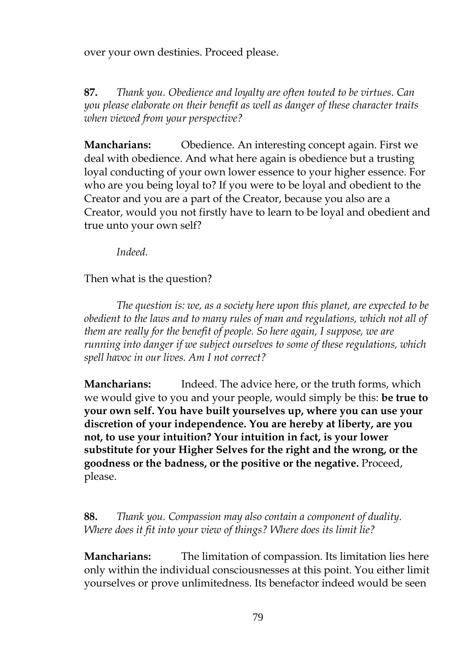over your own destinies. Proceed please.

**87.** *Thank you. Obedience and loyalty are often touted to be virtues. Can you please elaborate on their benefit as well as danger of these character traits when viewed from your perspective?*

**Mancharians:** Obedience. An interesting concept again. First we deal with obedience. And what here again is obedience but a trusting loyal conducting of your own lower essence to your higher essence. For who are you being loyal to? If you were to be loyal and obedient to the Creator and you are a part of the Creator, because you also are a Creator, would you not firstly have to learn to be loyal and obedient and true unto your own self?

*Indeed.*

Then what is the question?

*The question is: we, as a society here upon this planet, are expected to be obedient to the laws and to many rules of man and regulations, which not all of them are really for the benefit of people. So here again, I suppose, we are running into danger if we subject ourselves to some of these regulations, which spell havoc in our lives. Am I not correct?*

**Mancharians:** Indeed. The advice here, or the truth forms, which we would give to you and your people, would simply be this: **be true to your own self. You have built yourselves up, where you can use your discretion of your independence. You are hereby at liberty, are you not, to use your intuition? Your intuition in fact, is your lower substitute for your Higher Selves for the right and the wrong, or the goodness or the badness, or the positive or the negative.** Proceed, please.

**88.** *Thank you. Compassion may also contain a component of duality. Where does it fit into your view of things? Where does its limit lie?*

**Mancharians:** The limitation of compassion. Its limitation lies here only within the individual consciousnesses at this point. You either limit yourselves or prove unlimitedness. Its benefactor indeed would be seen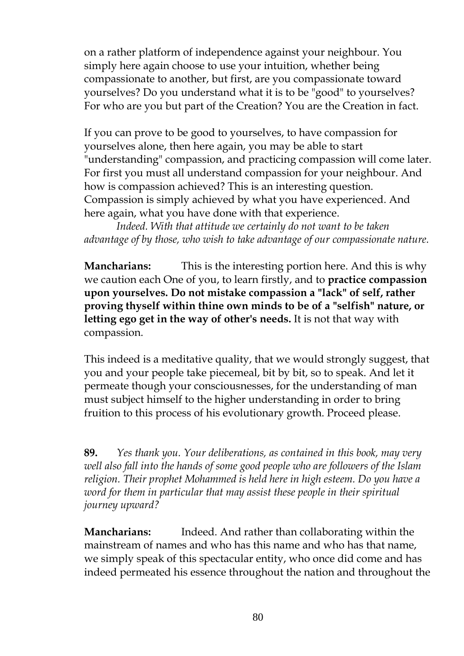on a rather platform of independence against your neighbour. You simply here again choose to use your intuition, whether being compassionate to another, but first, are you compassionate toward yourselves? Do you understand what it is to be "good" to yourselves? For who are you but part of the Creation? You are the Creation in fact.

If you can prove to be good to yourselves, to have compassion for yourselves alone, then here again, you may be able to start "understanding" compassion, and practicing compassion will come later. For first you must all understand compassion for your neighbour. And how is compassion achieved? This is an interesting question. Compassion is simply achieved by what you have experienced. And here again, what you have done with that experience.

*Indeed. With that attitude we certainly do not want to be taken advantage of by those, who wish to take advantage of our compassionate nature.*

**Mancharians:** This is the interesting portion here. And this is why we caution each One of you, to learn firstly, and to **practice compassion upon yourselves. Do not mistake compassion a "lack" of self, rather proving thyself within thine own minds to be of a "selfish" nature, or letting ego get in the way of other's needs.** It is not that way with compassion.

This indeed is a meditative quality, that we would strongly suggest, that you and your people take piecemeal, bit by bit, so to speak. And let it permeate though your consciousnesses, for the understanding of man must subject himself to the higher understanding in order to bring fruition to this process of his evolutionary growth. Proceed please.

**89.** *Yes thank you. Your deliberations, as contained in this book, may very well also fall into the hands of some good people who are followers of the Islam religion. Their prophet Mohammed is held here in high esteem. Do you have a word for them in particular that may assist these people in their spiritual journey upward?*

**Mancharians:** Indeed. And rather than collaborating within the mainstream of names and who has this name and who has that name, we simply speak of this spectacular entity, who once did come and has indeed permeated his essence throughout the nation and throughout the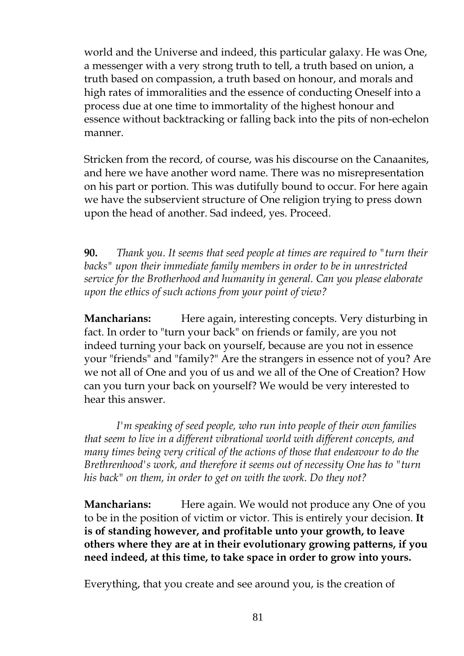world and the Universe and indeed, this particular galaxy. He was One, a messenger with a very strong truth to tell, a truth based on union, a truth based on compassion, a truth based on honour, and morals and high rates of immoralities and the essence of conducting Oneself into a process due at one time to immortality of the highest honour and essence without backtracking or falling back into the pits of non-echelon manner.

Stricken from the record, of course, was his discourse on the Canaanites, and here we have another word name. There was no misrepresentation on his part or portion. This was dutifully bound to occur. For here again we have the subservient structure of One religion trying to press down upon the head of another. Sad indeed, yes. Proceed.

**90.** *Thank you. It seems that seed people at times are required to "turn their backs" upon their immediate family members in order to be in unrestricted service for the Brotherhood and humanity in general. Can you please elaborate upon the ethics of such actions from your point of view?*

**Mancharians:** Here again, interesting concepts. Very disturbing in fact. In order to "turn your back" on friends or family, are you not indeed turning your back on yourself, because are you not in essence your "friends" and "family?" Are the strangers in essence not of you? Are we not all of One and you of us and we all of the One of Creation? How can you turn your back on yourself? We would be very interested to hear this answer.

*I'm speaking of seed people, who run into people of their own families that seem to live in a different vibrational world with different concepts, and many times being very critical of the actions of those that endeavour to do the Brethrenhood's work, and therefore it seems out of necessity One has to "turn his back" on them, in order to get on with the work. Do they not?*

**Mancharians:** Here again. We would not produce any One of you to be in the position of victim or victor. This is entirely your decision. **It is of standing however, and profitable unto your growth, to leave others where they are at in their evolutionary growing patterns, if you need indeed, at this time, to take space in order to grow into yours.**

Everything, that you create and see around you, is the creation of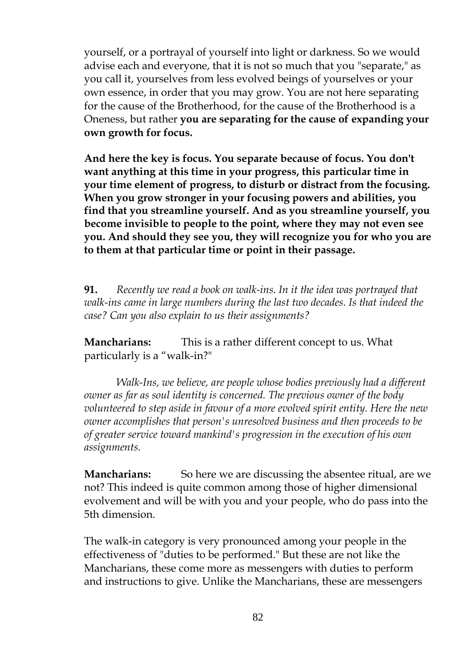yourself, or a portrayal of yourself into light or darkness. So we would advise each and everyone, that it is not so much that you "separate," as you call it, yourselves from less evolved beings of yourselves or your own essence, in order that you may grow. You are not here separating for the cause of the Brotherhood, for the cause of the Brotherhood is a Oneness, but rather **you are separating for the cause of expanding your own growth for focus.**

**And here the key is focus. You separate because of focus. You don't want anything at this time in your progress, this particular time in your time element of progress, to disturb or distract from the focusing. When you grow stronger in your focusing powers and abilities, you find that you streamline yourself. And as you streamline yourself, you become invisible to people to the point, where they may not even see you. And should they see you, they will recognize you for who you are to them at that particular time or point in their passage.**

**91.** *Recently we read a book on walk-ins. In it the idea was portrayed that walk-ins came in large numbers during the last two decades. Is that indeed the case? Can you also explain to us their assignments?*

**Mancharians:** This is a rather different concept to us. What particularly is a "walk-in?"

*Walk-Ins, we believe, are people whose bodies previously had a different owner as far as soul identity is concerned. The previous owner of the body volunteered to step aside in favour of a more evolved spirit entity. Here the new owner accomplishes that person's unresolved business and then proceeds to be of greater service toward mankind's progression in the execution of his own assignments.*

**Mancharians:** So here we are discussing the absentee ritual, are we not? This indeed is quite common among those of higher dimensional evolvement and will be with you and your people, who do pass into the 5th dimension.

The walk-in category is very pronounced among your people in the effectiveness of "duties to be performed." But these are not like the Mancharians, these come more as messengers with duties to perform and instructions to give. Unlike the Mancharians, these are messengers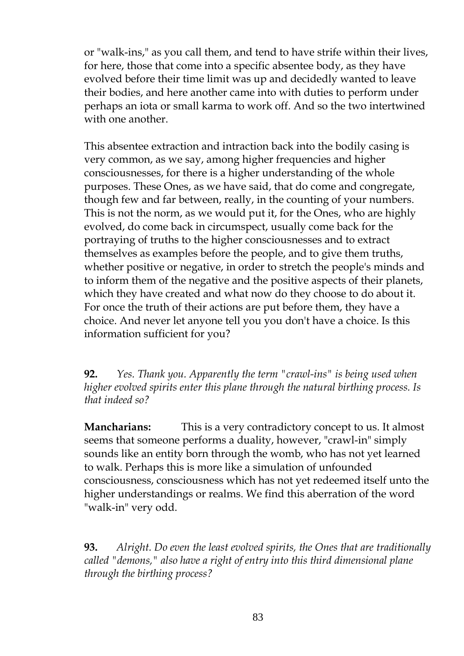or "walk-ins," as you call them, and tend to have strife within their lives, for here, those that come into a specific absentee body, as they have evolved before their time limit was up and decidedly wanted to leave their bodies, and here another came into with duties to perform under perhaps an iota or small karma to work off. And so the two intertwined with one another.

This absentee extraction and intraction back into the bodily casing is very common, as we say, among higher frequencies and higher consciousnesses, for there is a higher understanding of the whole purposes. These Ones, as we have said, that do come and congregate, though few and far between, really, in the counting of your numbers. This is not the norm, as we would put it, for the Ones, who are highly evolved, do come back in circumspect, usually come back for the portraying of truths to the higher consciousnesses and to extract themselves as examples before the people, and to give them truths, whether positive or negative, in order to stretch the people's minds and to inform them of the negative and the positive aspects of their planets, which they have created and what now do they choose to do about it. For once the truth of their actions are put before them, they have a choice. And never let anyone tell you you don't have a choice. Is this information sufficient for you?

**92.** *Yes. Thank you. Apparently the term "crawl-ins" is being used when higher evolved spirits enter this plane through the natural birthing process. Is that indeed so?*

**Mancharians:** This is a very contradictory concept to us. It almost seems that someone performs a duality, however, "crawl-in" simply sounds like an entity born through the womb, who has not yet learned to walk. Perhaps this is more like a simulation of unfounded consciousness, consciousness which has not yet redeemed itself unto the higher understandings or realms. We find this aberration of the word "walk-in" very odd.

**93.** *Alright. Do even the least evolved spirits, the Ones that are traditionally called "demons," also have a right of entry into this third dimensional plane through the birthing process?*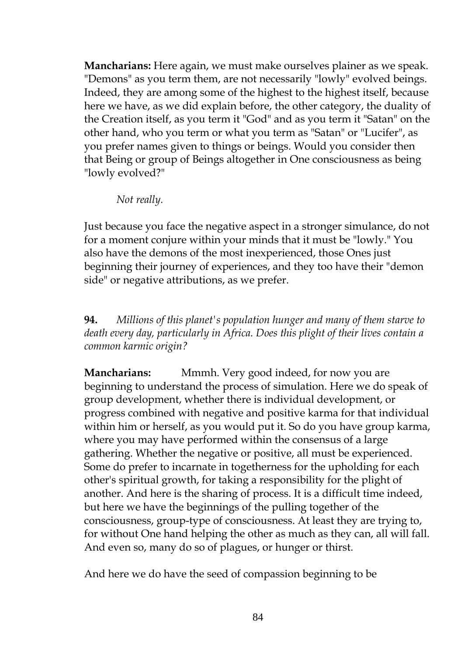**Mancharians:** Here again, we must make ourselves plainer as we speak. "Demons" as you term them, are not necessarily "lowly" evolved beings. Indeed, they are among some of the highest to the highest itself, because here we have, as we did explain before, the other category, the duality of the Creation itself, as you term it "God" and as you term it "Satan" on the other hand, who you term or what you term as "Satan" or "Lucifer", as you prefer names given to things or beings. Would you consider then that Being or group of Beings altogether in One consciousness as being "lowly evolved?"

*Not really.*

Just because you face the negative aspect in a stronger simulance, do not for a moment conjure within your minds that it must be "lowly." You also have the demons of the most inexperienced, those Ones just beginning their journey of experiences, and they too have their "demon side" or negative attributions, as we prefer.

**94.** *Millions of this planet's population hunger and many of them starve to death every day, particularly in Africa. Does this plight of their lives contain a common karmic origin?*

**Mancharians:** Mmmh. Very good indeed, for now you are beginning to understand the process of simulation. Here we do speak of group development, whether there is individual development, or progress combined with negative and positive karma for that individual within him or herself, as you would put it. So do you have group karma, where you may have performed within the consensus of a large gathering. Whether the negative or positive, all must be experienced. Some do prefer to incarnate in togetherness for the upholding for each other's spiritual growth, for taking a responsibility for the plight of another. And here is the sharing of process. It is a difficult time indeed, but here we have the beginnings of the pulling together of the consciousness, group-type of consciousness. At least they are trying to, for without One hand helping the other as much as they can, all will fall. And even so, many do so of plagues, or hunger or thirst.

And here we do have the seed of compassion beginning to be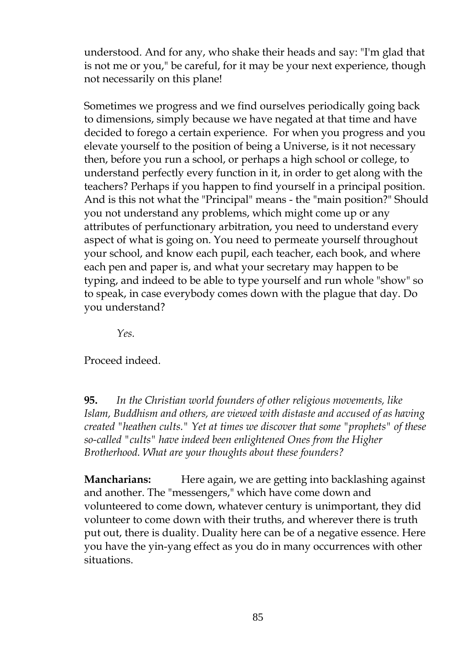understood. And for any, who shake their heads and say: "I'm glad that is not me or you," be careful, for it may be your next experience, though not necessarily on this plane!

Sometimes we progress and we find ourselves periodically going back to dimensions, simply because we have negated at that time and have decided to forego a certain experience. For when you progress and you elevate yourself to the position of being a Universe, is it not necessary then, before you run a school, or perhaps a high school or college, to understand perfectly every function in it, in order to get along with the teachers? Perhaps if you happen to find yourself in a principal position. And is this not what the "Principal" means - the "main position?" Should you not understand any problems, which might come up or any attributes of perfunctionary arbitration, you need to understand every aspect of what is going on. You need to permeate yourself throughout your school, and know each pupil, each teacher, each book, and where each pen and paper is, and what your secretary may happen to be typing, and indeed to be able to type yourself and run whole "show" so to speak, in case everybody comes down with the plague that day. Do you understand?

*Yes.*

Proceed indeed.

**95.** *In the Christian world founders of other religious movements, like Islam, Buddhism and others, are viewed with distaste and accused of as having created "heathen cults." Yet at times we discover that some "prophets" of these so-called "cults" have indeed been enlightened Ones from the Higher Brotherhood. What are your thoughts about these founders?*

**Mancharians:** Here again, we are getting into backlashing against and another. The "messengers," which have come down and volunteered to come down, whatever century is unimportant, they did volunteer to come down with their truths, and wherever there is truth put out, there is duality. Duality here can be of a negative essence. Here you have the yin-yang effect as you do in many occurrences with other situations.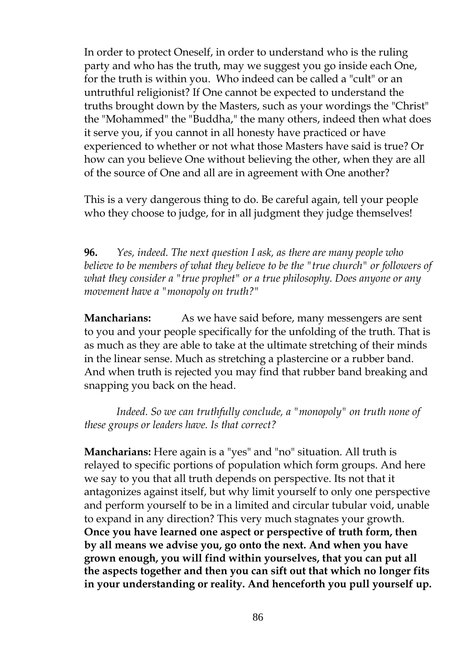In order to protect Oneself, in order to understand who is the ruling party and who has the truth, may we suggest you go inside each One, for the truth is within you. Who indeed can be called a "cult" or an untruthful religionist? If One cannot be expected to understand the truths brought down by the Masters, such as your wordings the "Christ" the "Mohammed" the "Buddha," the many others, indeed then what does it serve you, if you cannot in all honesty have practiced or have experienced to whether or not what those Masters have said is true? Or how can you believe One without believing the other, when they are all of the source of One and all are in agreement with One another?

This is a very dangerous thing to do. Be careful again, tell your people who they choose to judge, for in all judgment they judge themselves!

**96.** *Yes, indeed. The next question I ask, as there are many people who believe to be members of what they believe to be the "true church" or followers of what they consider a "true prophet" or a true philosophy. Does anyone or any movement have a "monopoly on truth?"*

**Mancharians:** As we have said before, many messengers are sent to you and your people specifically for the unfolding of the truth. That is as much as they are able to take at the ultimate stretching of their minds in the linear sense. Much as stretching a plastercine or a rubber band. And when truth is rejected you may find that rubber band breaking and snapping you back on the head.

*Indeed. So we can truthfully conclude, a "monopoly" on truth none of these groups or leaders have. Is that correct?*

**Mancharians:** Here again is a "yes" and "no" situation. All truth is relayed to specific portions of population which form groups. And here we say to you that all truth depends on perspective. Its not that it antagonizes against itself, but why limit yourself to only one perspective and perform yourself to be in a limited and circular tubular void, unable to expand in any direction? This very much stagnates your growth. **Once you have learned one aspect or perspective of truth form, then by all means we advise you, go onto the next. And when you have grown enough, you will find within yourselves, that you can put all the aspects together and then you can sift out that which no longer fits in your understanding or reality. And henceforth you pull yourself up.**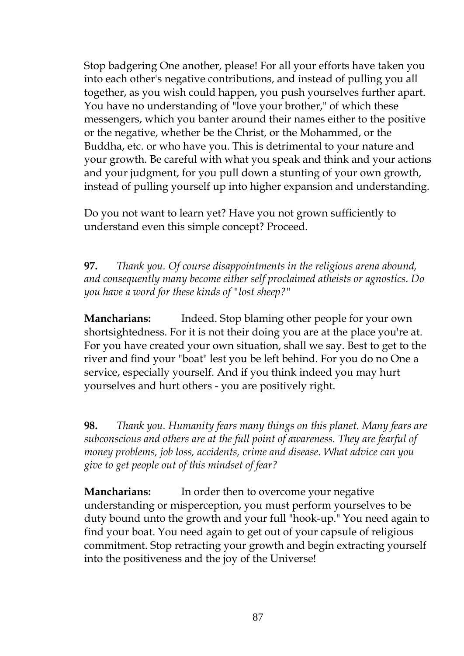Stop badgering One another, please! For all your efforts have taken you into each other's negative contributions, and instead of pulling you all together, as you wish could happen, you push yourselves further apart. You have no understanding of "love your brother," of which these messengers, which you banter around their names either to the positive or the negative, whether be the Christ, or the Mohammed, or the Buddha, etc. or who have you. This is detrimental to your nature and your growth. Be careful with what you speak and think and your actions and your judgment, for you pull down a stunting of your own growth, instead of pulling yourself up into higher expansion and understanding.

Do you not want to learn yet? Have you not grown sufficiently to understand even this simple concept? Proceed.

**97.** *Thank you. Of course disappointments in the religious arena abound, and consequently many become either self proclaimed atheists or agnostics. Do you have a word for these kinds of "lost sheep?"*

**Mancharians:** Indeed. Stop blaming other people for your own shortsightedness. For it is not their doing you are at the place you're at. For you have created your own situation, shall we say. Best to get to the river and find your "boat" lest you be left behind. For you do no One a service, especially yourself. And if you think indeed you may hurt yourselves and hurt others - you are positively right.

**98.** *Thank you. Humanity fears many things on this planet. Many fears are subconscious and others are at the full point of awareness. They are fearful of money problems, job loss, accidents, crime and disease. What advice can you give to get people out of this mindset of fear?*

**Mancharians:** In order then to overcome your negative understanding or misperception, you must perform yourselves to be duty bound unto the growth and your full "hook-up." You need again to find your boat. You need again to get out of your capsule of religious commitment. Stop retracting your growth and begin extracting yourself into the positiveness and the joy of the Universe!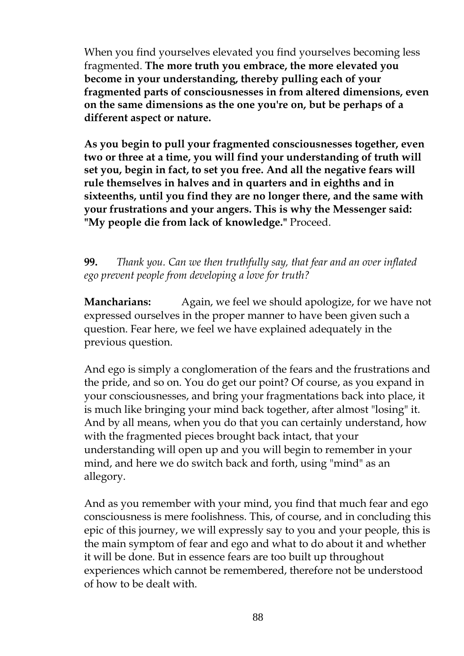When you find yourselves elevated you find yourselves becoming less fragmented. **The more truth you embrace, the more elevated you become in your understanding, thereby pulling each of your fragmented parts of consciousnesses in from altered dimensions, even on the same dimensions as the one you're on, but be perhaps of a different aspect or nature.**

**As you begin to pull your fragmented consciousnesses together, even two or three at a time, you will find your understanding of truth will set you, begin in fact, to set you free. And all the negative fears will rule themselves in halves and in quarters and in eighths and in sixteenths, until you find they are no longer there, and the same with your frustrations and your angers. This is why the Messenger said: "My people die from lack of knowledge."** Proceed.

**99.** *Thank you. Can we then truthfully say, that fear and an over inflated ego prevent people from developing a love for truth?*

**Mancharians:** Again, we feel we should apologize, for we have not expressed ourselves in the proper manner to have been given such a question. Fear here, we feel we have explained adequately in the previous question.

And ego is simply a conglomeration of the fears and the frustrations and the pride, and so on. You do get our point? Of course, as you expand in your consciousnesses, and bring your fragmentations back into place, it is much like bringing your mind back together, after almost "losing" it. And by all means, when you do that you can certainly understand, how with the fragmented pieces brought back intact, that your understanding will open up and you will begin to remember in your mind, and here we do switch back and forth, using "mind" as an allegory.

And as you remember with your mind, you find that much fear and ego consciousness is mere foolishness. This, of course, and in concluding this epic of this journey, we will expressly say to you and your people, this is the main symptom of fear and ego and what to do about it and whether it will be done. But in essence fears are too built up throughout experiences which cannot be remembered, therefore not be understood of how to be dealt with.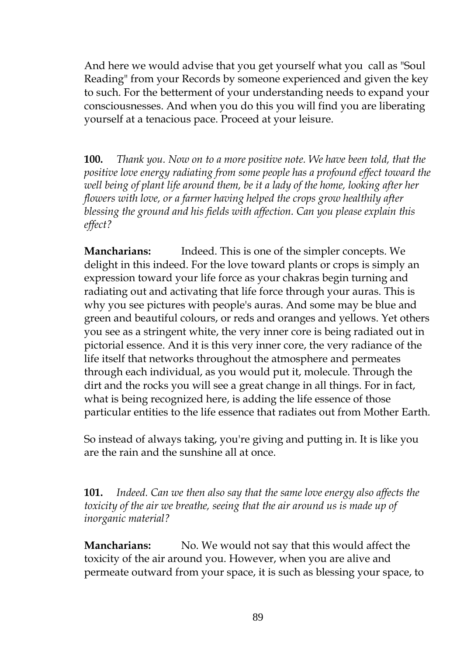And here we would advise that you get yourself what you call as "Soul Reading" from your Records by someone experienced and given the key to such. For the betterment of your understanding needs to expand your consciousnesses. And when you do this you will find you are liberating yourself at a tenacious pace. Proceed at your leisure.

**100.** *Thank you. Now on to a more positive note. We have been told, that the positive love energy radiating from some people has a profound effect toward the well being of plant life around them, be it a lady of the home, looking after her flowers with love, or a farmer having helped the crops grow healthily after blessing the ground and his fields with affection. Can you please explain this effect?*

**Mancharians:** Indeed. This is one of the simpler concepts. We delight in this indeed. For the love toward plants or crops is simply an expression toward your life force as your chakras begin turning and radiating out and activating that life force through your auras. This is why you see pictures with people's auras. And some may be blue and green and beautiful colours, or reds and oranges and yellows. Yet others you see as a stringent white, the very inner core is being radiated out in pictorial essence. And it is this very inner core, the very radiance of the life itself that networks throughout the atmosphere and permeates through each individual, as you would put it, molecule. Through the dirt and the rocks you will see a great change in all things. For in fact, what is being recognized here, is adding the life essence of those particular entities to the life essence that radiates out from Mother Earth.

So instead of always taking, you're giving and putting in. It is like you are the rain and the sunshine all at once.

**101.** *Indeed. Can we then also say that the same love energy also affects the toxicity of the air we breathe, seeing that the air around us is made up of inorganic material?*

**Mancharians:** No. We would not say that this would affect the toxicity of the air around you. However, when you are alive and permeate outward from your space, it is such as blessing your space, to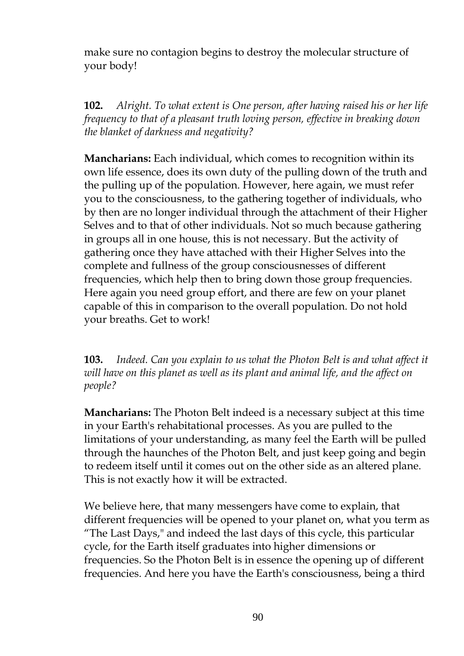make sure no contagion begins to destroy the molecular structure of your body!

**102.** *Alright. To what extent is One person, after having raised his or her life frequency to that of a pleasant truth loving person, effective in breaking down the blanket of darkness and negativity?*

**Mancharians:** Each individual, which comes to recognition within its own life essence, does its own duty of the pulling down of the truth and the pulling up of the population. However, here again, we must refer you to the consciousness, to the gathering together of individuals, who by then are no longer individual through the attachment of their Higher Selves and to that of other individuals. Not so much because gathering in groups all in one house, this is not necessary. But the activity of gathering once they have attached with their Higher Selves into the complete and fullness of the group consciousnesses of different frequencies, which help then to bring down those group frequencies. Here again you need group effort, and there are few on your planet capable of this in comparison to the overall population. Do not hold your breaths. Get to work!

**103.** *Indeed. Can you explain to us what the Photon Belt is and what affect it will have on this planet as well as its plant and animal life, and the affect on people?*

**Mancharians:** The Photon Belt indeed is a necessary subject at this time in your Earth's rehabitational processes. As you are pulled to the limitations of your understanding, as many feel the Earth will be pulled through the haunches of the Photon Belt, and just keep going and begin to redeem itself until it comes out on the other side as an altered plane. This is not exactly how it will be extracted.

We believe here, that many messengers have come to explain, that different frequencies will be opened to your planet on, what you term as "The Last Days," and indeed the last days of this cycle, this particular cycle, for the Earth itself graduates into higher dimensions or frequencies. So the Photon Belt is in essence the opening up of different frequencies. And here you have the Earth's consciousness, being a third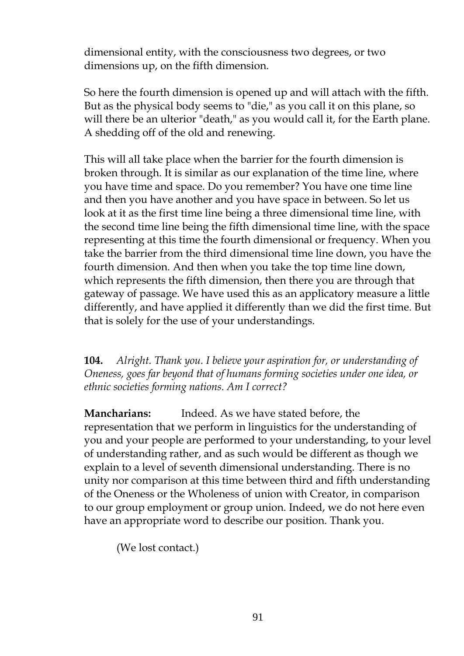dimensional entity, with the consciousness two degrees, or two dimensions up, on the fifth dimension.

So here the fourth dimension is opened up and will attach with the fifth. But as the physical body seems to "die," as you call it on this plane, so will there be an ulterior "death," as you would call it, for the Earth plane. A shedding off of the old and renewing.

This will all take place when the barrier for the fourth dimension is broken through. It is similar as our explanation of the time line, where you have time and space. Do you remember? You have one time line and then you have another and you have space in between. So let us look at it as the first time line being a three dimensional time line, with the second time line being the fifth dimensional time line, with the space representing at this time the fourth dimensional or frequency. When you take the barrier from the third dimensional time line down, you have the fourth dimension. And then when you take the top time line down, which represents the fifth dimension, then there you are through that gateway of passage. We have used this as an applicatory measure a little differently, and have applied it differently than we did the first time. But that is solely for the use of your understandings.

**104.** *Alright. Thank you. I believe your aspiration for, or understanding of Oneness, goes far beyond that of humans forming societies under one idea, or ethnic societies forming nations. Am I correct?*

**Mancharians:** Indeed. As we have stated before, the representation that we perform in linguistics for the understanding of you and your people are performed to your understanding, to your level of understanding rather, and as such would be different as though we explain to a level of seventh dimensional understanding. There is no unity nor comparison at this time between third and fifth understanding of the Oneness or the Wholeness of union with Creator, in comparison to our group employment or group union. Indeed, we do not here even have an appropriate word to describe our position. Thank you.

(We lost contact.)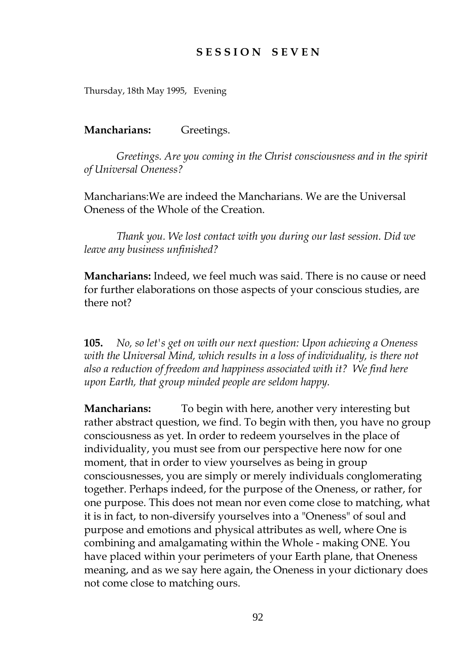# **S E S S I O N S E V E N**

Thursday, 18th May 1995, Evening

**Mancharians:** Greetings.

*Greetings. Are you coming in the Christ consciousness and in the spirit of Universal Oneness?*

Mancharians:We are indeed the Mancharians. We are the Universal Oneness of the Whole of the Creation.

*Thank you. We lost contact with you during our last session. Did we leave any business unfinished?*

**Mancharians:** Indeed, we feel much was said. There is no cause or need for further elaborations on those aspects of your conscious studies, are there not?

**105.** *No, so let's get on with our next question: Upon achieving a Oneness with the Universal Mind, which results in a loss of individuality, is there not also a reduction of freedom and happiness associated with it? We find here upon Earth, that group minded people are seldom happy.*

**Mancharians:** To begin with here, another very interesting but rather abstract question, we find. To begin with then, you have no group consciousness as yet. In order to redeem yourselves in the place of individuality, you must see from our perspective here now for one moment, that in order to view yourselves as being in group consciousnesses, you are simply or merely individuals conglomerating together. Perhaps indeed, for the purpose of the Oneness, or rather, for one purpose. This does not mean nor even come close to matching, what it is in fact, to non-diversify yourselves into a "Oneness" of soul and purpose and emotions and physical attributes as well, where One is combining and amalgamating within the Whole - making ONE. You have placed within your perimeters of your Earth plane, that Oneness meaning, and as we say here again, the Oneness in your dictionary does not come close to matching ours.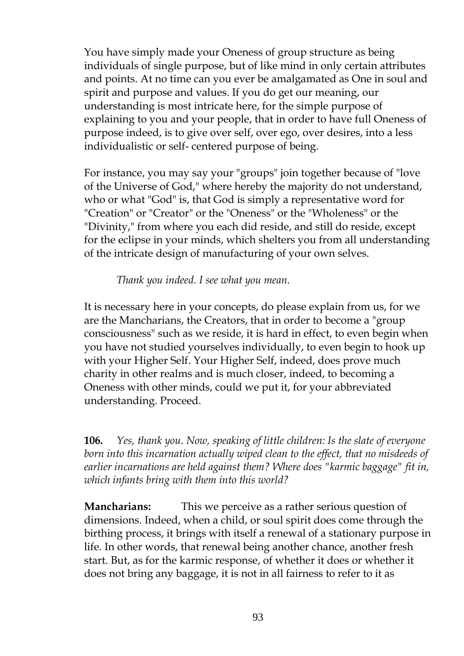You have simply made your Oneness of group structure as being individuals of single purpose, but of like mind in only certain attributes and points. At no time can you ever be amalgamated as One in soul and spirit and purpose and values. If you do get our meaning, our understanding is most intricate here, for the simple purpose of explaining to you and your people, that in order to have full Oneness of purpose indeed, is to give over self, over ego, over desires, into a less individualistic or self- centered purpose of being.

For instance, you may say your "groups" join together because of "love of the Universe of God," where hereby the majority do not understand, who or what "God" is, that God is simply a representative word for "Creation" or "Creator" or the "Oneness" or the "Wholeness" or the "Divinity," from where you each did reside, and still do reside, except for the eclipse in your minds, which shelters you from all understanding of the intricate design of manufacturing of your own selves.

#### *Thank you indeed. I see what you mean.*

It is necessary here in your concepts, do please explain from us, for we are the Mancharians, the Creators, that in order to become a "group consciousness" such as we reside, it is hard in effect, to even begin when you have not studied yourselves individually, to even begin to hook up with your Higher Self. Your Higher Self, indeed, does prove much charity in other realms and is much closer, indeed, to becoming a Oneness with other minds, could we put it, for your abbreviated understanding. Proceed.

**106.** *Yes, thank you. Now, speaking of little children: Is the slate of everyone born into this incarnation actually wiped clean to the effect, that no misdeeds of earlier incarnations are held against them? Where does "karmic baggage" fit in, which infants bring with them into this world?*

**Mancharians:** This we perceive as a rather serious question of dimensions. Indeed, when a child, or soul spirit does come through the birthing process, it brings with itself a renewal of a stationary purpose in life. In other words, that renewal being another chance, another fresh start. But, as for the karmic response, of whether it does or whether it does not bring any baggage, it is not in all fairness to refer to it as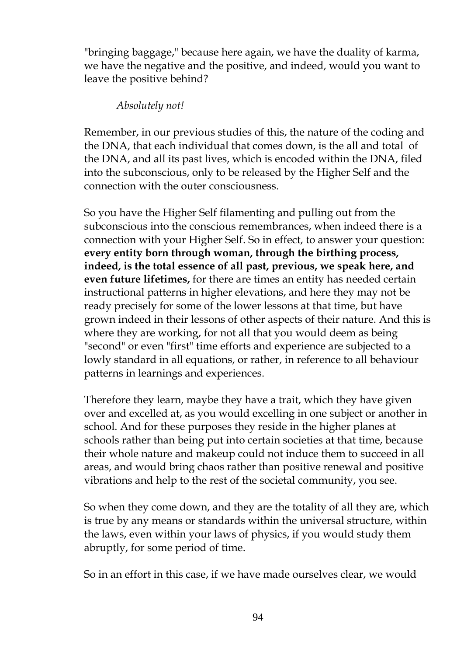"bringing baggage," because here again, we have the duality of karma, we have the negative and the positive, and indeed, would you want to leave the positive behind?

### *Absolutely not!*

Remember, in our previous studies of this, the nature of the coding and the DNA, that each individual that comes down, is the all and total of the DNA, and all its past lives, which is encoded within the DNA, filed into the subconscious, only to be released by the Higher Self and the connection with the outer consciousness.

So you have the Higher Self filamenting and pulling out from the subconscious into the conscious remembrances, when indeed there is a connection with your Higher Self. So in effect, to answer your question: **every entity born through woman, through the birthing process, indeed, is the total essence of all past, previous, we speak here, and even future lifetimes,** for there are times an entity has needed certain instructional patterns in higher elevations, and here they may not be ready precisely for some of the lower lessons at that time, but have grown indeed in their lessons of other aspects of their nature. And this is where they are working, for not all that you would deem as being "second" or even "first" time efforts and experience are subjected to a lowly standard in all equations, or rather, in reference to all behaviour patterns in learnings and experiences.

Therefore they learn, maybe they have a trait, which they have given over and excelled at, as you would excelling in one subject or another in school. And for these purposes they reside in the higher planes at schools rather than being put into certain societies at that time, because their whole nature and makeup could not induce them to succeed in all areas, and would bring chaos rather than positive renewal and positive vibrations and help to the rest of the societal community, you see.

So when they come down, and they are the totality of all they are, which is true by any means or standards within the universal structure, within the laws, even within your laws of physics, if you would study them abruptly, for some period of time.

So in an effort in this case, if we have made ourselves clear, we would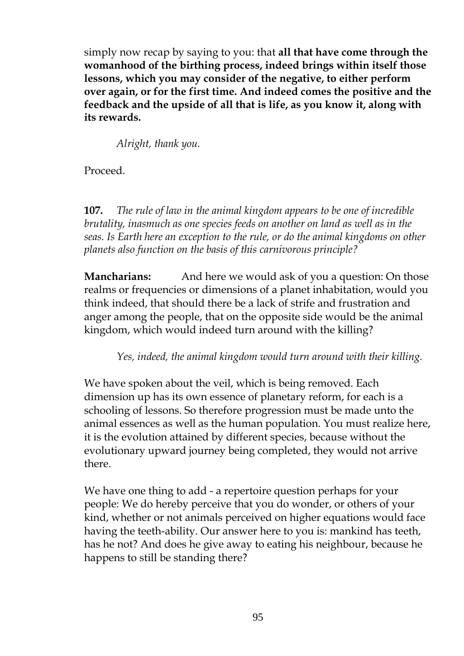simply now recap by saying to you: that **all that have come through the womanhood of the birthing process, indeed brings within itself those lessons, which you may consider of the negative, to either perform over again, or for the first time. And indeed comes the positive and the feedback and the upside of all that is life, as you know it, along with its rewards.**

*Alright, thank you.*

Proceed.

**107.** *The rule of law in the animal kingdom appears to be one of incredible brutality, inasmuch as one species feeds on another on land as well as in the seas. Is Earth here an exception to the rule, or do the animal kingdoms on other planets also function on the basis of this carnivorous principle?*

**Mancharians:** And here we would ask of you a question: On those realms or frequencies or dimensions of a planet inhabitation, would you think indeed, that should there be a lack of strife and frustration and anger among the people, that on the opposite side would be the animal kingdom, which would indeed turn around with the killing?

*Yes, indeed, the animal kingdom would turn around with their killing.*

We have spoken about the veil, which is being removed. Each dimension up has its own essence of planetary reform, for each is a schooling of lessons. So therefore progression must be made unto the animal essences as well as the human population. You must realize here, it is the evolution attained by different species, because without the evolutionary upward journey being completed, they would not arrive there.

We have one thing to add - a repertoire question perhaps for your people: We do hereby perceive that you do wonder, or others of your kind, whether or not animals perceived on higher equations would face having the teeth-ability. Our answer here to you is: mankind has teeth, has he not? And does he give away to eating his neighbour, because he happens to still be standing there?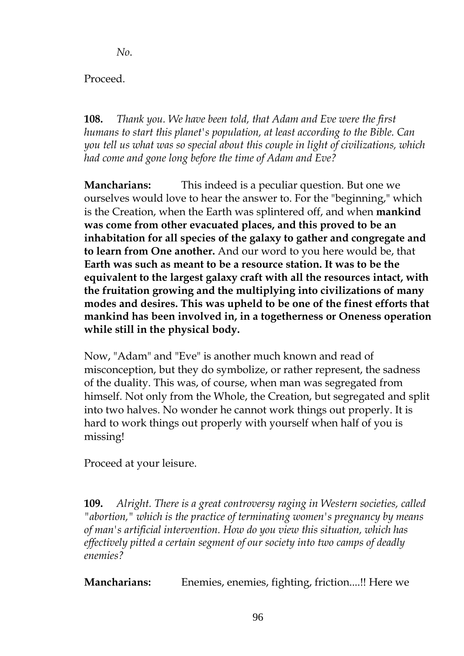*No*.

Proceed.

**108.** *Thank you. We have been told, that Adam and Eve were the first humans to start this planet's population, at least according to the Bible. Can you tell us what was so special about this couple in light of civilizations, which had come and gone long before the time of Adam and Eve?*

**Mancharians:** This indeed is a peculiar question. But one we ourselves would love to hear the answer to. For the "beginning," which is the Creation, when the Earth was splintered off, and when **mankind was come from other evacuated places, and this proved to be an inhabitation for all species of the galaxy to gather and congregate and to learn from One another.** And our word to you here would be, that **Earth was such as meant to be a resource station. It was to be the equivalent to the largest galaxy craft with all the resources intact, with the fruitation growing and the multiplying into civilizations of many modes and desires. This was upheld to be one of the finest efforts that mankind has been involved in, in a togetherness or Oneness operation while still in the physical body.**

Now, "Adam" and "Eve" is another much known and read of misconception, but they do symbolize, or rather represent, the sadness of the duality. This was, of course, when man was segregated from himself. Not only from the Whole, the Creation, but segregated and split into two halves. No wonder he cannot work things out properly. It is hard to work things out properly with yourself when half of you is missing!

Proceed at your leisure.

**109.** *Alright. There is a great controversy raging in Western societies, called "abortion," which is the practice of terminating women's pregnancy by means of man's artificial intervention. How do you view this situation, which has effectively pitted a certain segment of our society into two camps of deadly enemies?*

**Mancharians:** Enemies, enemies, fighting, friction....!! Here we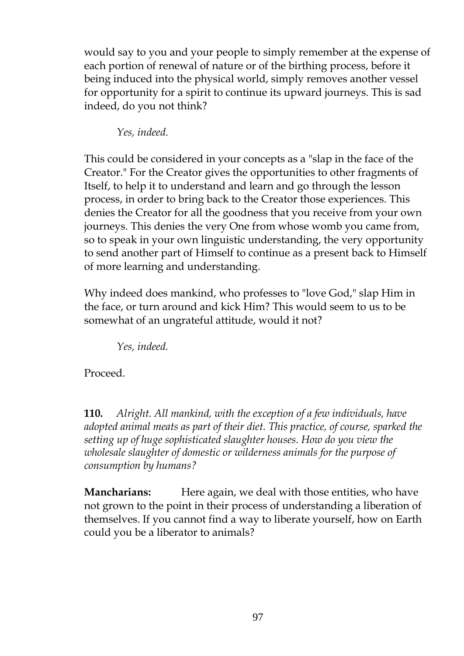would say to you and your people to simply remember at the expense of each portion of renewal of nature or of the birthing process, before it being induced into the physical world, simply removes another vessel for opportunity for a spirit to continue its upward journeys. This is sad indeed, do you not think?

*Yes, indeed.*

This could be considered in your concepts as a "slap in the face of the Creator." For the Creator gives the opportunities to other fragments of Itself, to help it to understand and learn and go through the lesson process, in order to bring back to the Creator those experiences. This denies the Creator for all the goodness that you receive from your own journeys. This denies the very One from whose womb you came from, so to speak in your own linguistic understanding, the very opportunity to send another part of Himself to continue as a present back to Himself of more learning and understanding.

Why indeed does mankind, who professes to "love God," slap Him in the face, or turn around and kick Him? This would seem to us to be somewhat of an ungrateful attitude, would it not?

*Yes, indeed.*

Proceed.

**110.** *Alright. All mankind, with the exception of a few individuals, have adopted animal meats as part of their diet. This practice, of course, sparked the setting up of huge sophisticated slaughter houses. How do you view the wholesale slaughter of domestic or wilderness animals for the purpose of consumption by humans?*

**Mancharians:** Here again, we deal with those entities, who have not grown to the point in their process of understanding a liberation of themselves. If you cannot find a way to liberate yourself, how on Earth could you be a liberator to animals?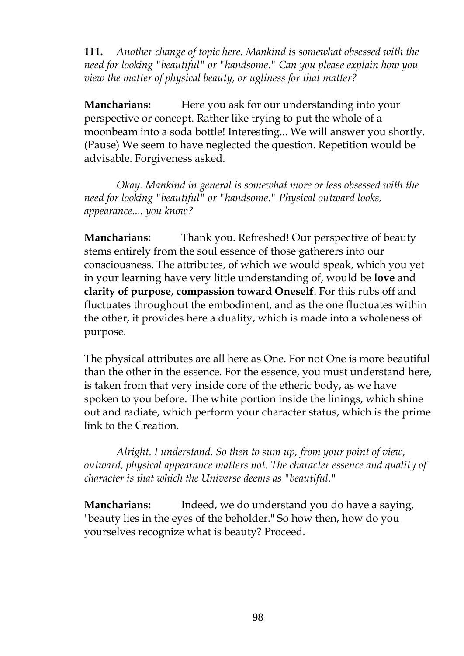**111.** *Another change of topic here. Mankind is somewhat obsessed with the need for looking "beautiful" or "handsome." Can you please explain how you view the matter of physical beauty, or ugliness for that matter?*

**Mancharians:** Here you ask for our understanding into your perspective or concept. Rather like trying to put the whole of a moonbeam into a soda bottle! Interesting... We will answer you shortly. (Pause) We seem to have neglected the question. Repetition would be advisable. Forgiveness asked.

*Okay. Mankind in general is somewhat more or less obsessed with the need for looking "beautiful" or "handsome." Physical outward looks, appearance.... you know?*

**Mancharians:** Thank you. Refreshed! Our perspective of beauty stems entirely from the soul essence of those gatherers into our consciousness. The attributes, of which we would speak, which you yet in your learning have very little understanding of, would be **love** and **clarity of purpose**, **compassion toward Oneself**. For this rubs off and fluctuates throughout the embodiment, and as the one fluctuates within the other, it provides here a duality, which is made into a wholeness of purpose.

The physical attributes are all here as One. For not One is more beautiful than the other in the essence. For the essence, you must understand here, is taken from that very inside core of the etheric body, as we have spoken to you before. The white portion inside the linings, which shine out and radiate, which perform your character status, which is the prime link to the Creation.

*Alright. I understand. So then to sum up, from your point of view, outward, physical appearance matters not. The character essence and quality of character is that which the Universe deems as "beautiful."*

**Mancharians:** Indeed, we do understand you do have a saying, "beauty lies in the eyes of the beholder." So how then, how do you yourselves recognize what is beauty? Proceed.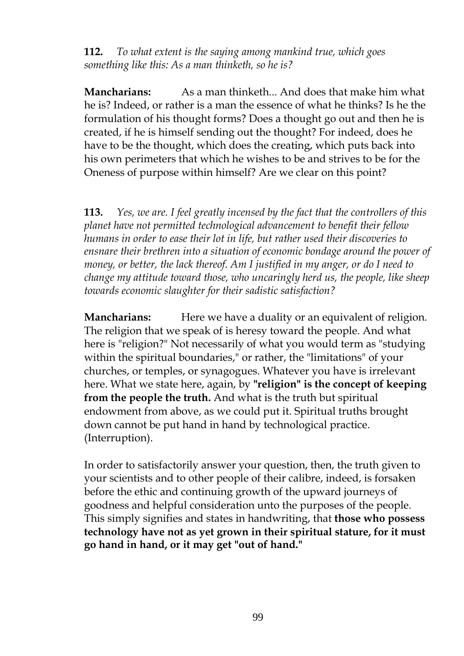**112.** *To what extent is the saying among mankind true, which goes something like this: As a man thinketh, so he is?*

**Mancharians:** As a man thinketh... And does that make him what he is? Indeed, or rather is a man the essence of what he thinks? Is he the formulation of his thought forms? Does a thought go out and then he is created, if he is himself sending out the thought? For indeed, does he have to be the thought, which does the creating, which puts back into his own perimeters that which he wishes to be and strives to be for the Oneness of purpose within himself? Are we clear on this point?

**113.** *Yes, we are. I feel greatly incensed by the fact that the controllers of this planet have not permitted technological advancement to benefit their fellow humans in order to ease their lot in life, but rather used their discoveries to ensnare their brethren into a situation of economic bondage around the power of money, or better, the lack thereof. Am I justified in my anger, or do I need to change my attitude toward those, who uncaringly herd us, the people, like sheep towards economic slaughter for their sadistic satisfaction?*

**Mancharians:** Here we have a duality or an equivalent of religion. The religion that we speak of is heresy toward the people. And what here is "religion?" Not necessarily of what you would term as "studying within the spiritual boundaries," or rather, the "limitations" of your churches, or temples, or synagogues. Whatever you have is irrelevant here. What we state here, again, by **"religion" is the concept of keeping from the people the truth.** And what is the truth but spiritual endowment from above, as we could put it. Spiritual truths brought down cannot be put hand in hand by technological practice. (Interruption).

In order to satisfactorily answer your question, then, the truth given to your scientists and to other people of their calibre, indeed, is forsaken before the ethic and continuing growth of the upward journeys of goodness and helpful consideration unto the purposes of the people. This simply signifies and states in handwriting, that **those who possess technology have not as yet grown in their spiritual stature, for it must go hand in hand, or it may get "out of hand."**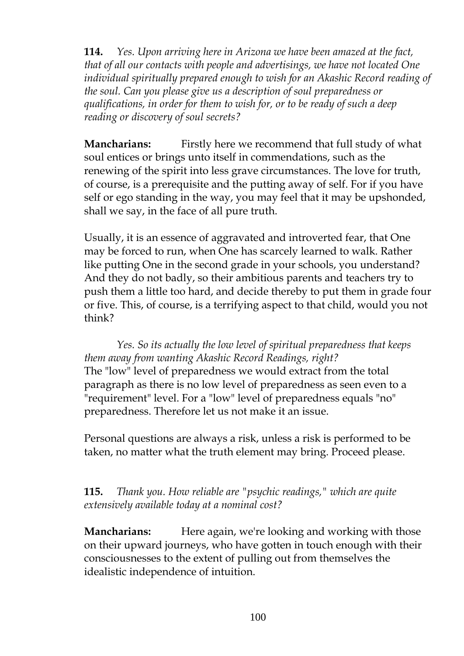**114.** *Yes. Upon arriving here in Arizona we have been amazed at the fact, that of all our contacts with people and advertisings, we have not located One individual spiritually prepared enough to wish for an Akashic Record reading of the soul. Can you please give us a description of soul preparedness or qualifications, in order for them to wish for, or to be ready of such a deep reading or discovery of soul secrets?*

**Mancharians:** Firstly here we recommend that full study of what soul entices or brings unto itself in commendations, such as the renewing of the spirit into less grave circumstances. The love for truth, of course, is a prerequisite and the putting away of self. For if you have self or ego standing in the way, you may feel that it may be upshonded, shall we say, in the face of all pure truth.

Usually, it is an essence of aggravated and introverted fear, that One may be forced to run, when One has scarcely learned to walk. Rather like putting One in the second grade in your schools, you understand? And they do not badly, so their ambitious parents and teachers try to push them a little too hard, and decide thereby to put them in grade four or five. This, of course, is a terrifying aspect to that child, would you not think?

*Yes. So its actually the low level of spiritual preparedness that keeps them away from wanting Akashic Record Readings, right?* The "low" level of preparedness we would extract from the total paragraph as there is no low level of preparedness as seen even to a "requirement" level. For a "low" level of preparedness equals "no" preparedness. Therefore let us not make it an issue.

Personal questions are always a risk, unless a risk is performed to be taken, no matter what the truth element may bring. Proceed please.

# **115.** *Thank you. How reliable are "psychic readings," which are quite extensively available today at a nominal cost?*

**Mancharians:** Here again, we're looking and working with those on their upward journeys, who have gotten in touch enough with their consciousnesses to the extent of pulling out from themselves the idealistic independence of intuition.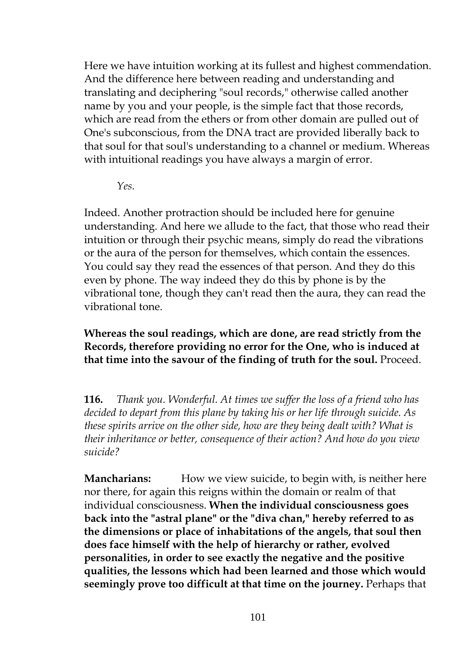Here we have intuition working at its fullest and highest commendation. And the difference here between reading and understanding and translating and deciphering "soul records," otherwise called another name by you and your people, is the simple fact that those records, which are read from the ethers or from other domain are pulled out of One's subconscious, from the DNA tract are provided liberally back to that soul for that soul's understanding to a channel or medium. Whereas with intuitional readings you have always a margin of error.

*Yes.*

Indeed. Another protraction should be included here for genuine understanding. And here we allude to the fact, that those who read their intuition or through their psychic means, simply do read the vibrations or the aura of the person for themselves, which contain the essences. You could say they read the essences of that person. And they do this even by phone. The way indeed they do this by phone is by the vibrational tone, though they can't read then the aura, they can read the vibrational tone.

**Whereas the soul readings, which are done, are read strictly from the Records, therefore providing no error for the One, who is induced at that time into the savour of the finding of truth for the soul.** Proceed.

**116.** *Thank you. Wonderful. At times we suffer the loss of a friend who has decided to depart from this plane by taking his or her life through suicide. As these spirits arrive on the other side, how are they being dealt with? What is their inheritance or better, consequence of their action? And how do you view suicide?*

**Mancharians:** How we view suicide, to begin with, is neither here nor there, for again this reigns within the domain or realm of that individual consciousness. **When the individual consciousness goes back into the "astral plane" or the "diva chan," hereby referred to as the dimensions or place of inhabitations of the angels, that soul then does face himself with the help of hierarchy or rather, evolved personalities, in order to see exactly the negative and the positive qualities, the lessons which had been learned and those which would seemingly prove too difficult at that time on the journey.** Perhaps that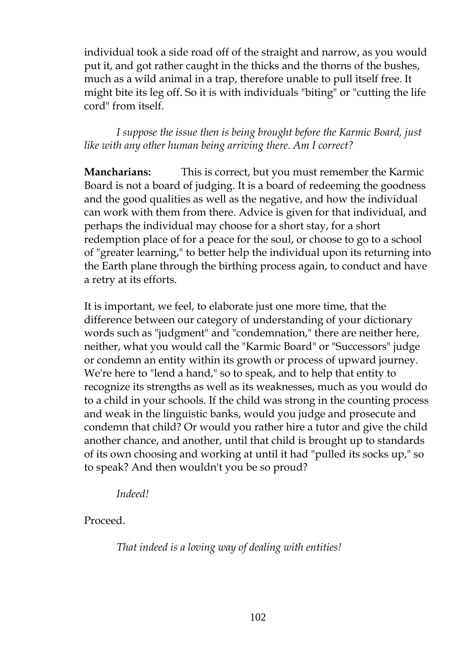individual took a side road off of the straight and narrow, as you would put it, and got rather caught in the thicks and the thorns of the bushes, much as a wild animal in a trap, therefore unable to pull itself free. It might bite its leg off. So it is with individuals "biting" or "cutting the life cord" from itself.

*I suppose the issue then is being brought before the Karmic Board, just like with any other human being arriving there. Am I correct?*

**Mancharians:** This is correct, but you must remember the Karmic Board is not a board of judging. It is a board of redeeming the goodness and the good qualities as well as the negative, and how the individual can work with them from there. Advice is given for that individual, and perhaps the individual may choose for a short stay, for a short redemption place of for a peace for the soul, or choose to go to a school of "greater learning," to better help the individual upon its returning into the Earth plane through the birthing process again, to conduct and have a retry at its efforts.

It is important, we feel, to elaborate just one more time, that the difference between our category of understanding of your dictionary words such as "judgment" and "condemnation," there are neither here, neither, what you would call the "Karmic Board" or "Successors" judge or condemn an entity within its growth or process of upward journey. We're here to "lend a hand," so to speak, and to help that entity to recognize its strengths as well as its weaknesses, much as you would do to a child in your schools. If the child was strong in the counting process and weak in the linguistic banks, would you judge and prosecute and condemn that child? Or would you rather hire a tutor and give the child another chance, and another, until that child is brought up to standards of its own choosing and working at until it had "pulled its socks up," so to speak? And then wouldn't you be so proud?

*Indeed!*

Proceed.

*That indeed is a loving way of dealing with entities!*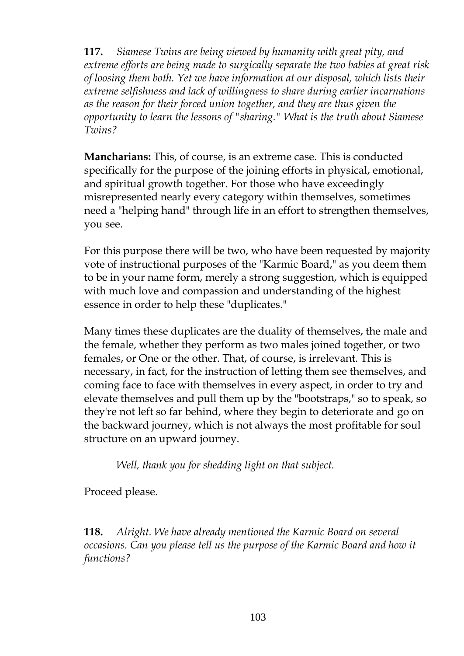**117.** *Siamese Twins are being viewed by humanity with great pity, and extreme efforts are being made to surgically separate the two babies at great risk of loosing them both. Yet we have information at our disposal, which lists their extreme selfishness and lack of willingness to share during earlier incarnations as the reason for their forced union together, and they are thus given the opportunity to learn the lessons of "sharing." What is the truth about Siamese Twins?*

**Mancharians:** This, of course, is an extreme case. This is conducted specifically for the purpose of the joining efforts in physical, emotional, and spiritual growth together. For those who have exceedingly misrepresented nearly every category within themselves, sometimes need a "helping hand" through life in an effort to strengthen themselves, you see.

For this purpose there will be two, who have been requested by majority vote of instructional purposes of the "Karmic Board," as you deem them to be in your name form, merely a strong suggestion, which is equipped with much love and compassion and understanding of the highest essence in order to help these "duplicates."

Many times these duplicates are the duality of themselves, the male and the female, whether they perform as two males joined together, or two females, or One or the other. That, of course, is irrelevant. This is necessary, in fact, for the instruction of letting them see themselves, and coming face to face with themselves in every aspect, in order to try and elevate themselves and pull them up by the "bootstraps," so to speak, so they're not left so far behind, where they begin to deteriorate and go on the backward journey, which is not always the most profitable for soul structure on an upward journey.

*Well, thank you for shedding light on that subject.*

Proceed please.

**118.** *Alright. We have already mentioned the Karmic Board on several occasions. Can you please tell us the purpose of the Karmic Board and how it functions?*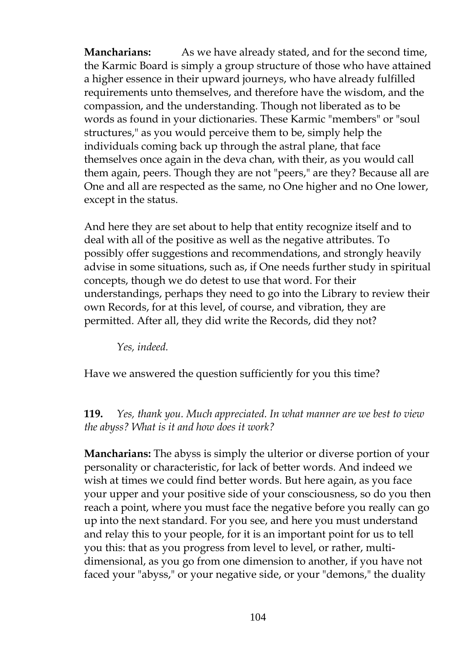**Mancharians:** As we have already stated, and for the second time, the Karmic Board is simply a group structure of those who have attained a higher essence in their upward journeys, who have already fulfilled requirements unto themselves, and therefore have the wisdom, and the compassion, and the understanding. Though not liberated as to be words as found in your dictionaries. These Karmic "members" or "soul structures," as you would perceive them to be, simply help the individuals coming back up through the astral plane, that face themselves once again in the deva chan, with their, as you would call them again, peers. Though they are not "peers," are they? Because all are One and all are respected as the same, no One higher and no One lower, except in the status.

And here they are set about to help that entity recognize itself and to deal with all of the positive as well as the negative attributes. To possibly offer suggestions and recommendations, and strongly heavily advise in some situations, such as, if One needs further study in spiritual concepts, though we do detest to use that word. For their understandings, perhaps they need to go into the Library to review their own Records, for at this level, of course, and vibration, they are permitted. After all, they did write the Records, did they not?

*Yes, indeed.*

Have we answered the question sufficiently for you this time?

**119.** *Yes, thank you. Much appreciated. In what manner are we best to view the abyss? What is it and how does it work?*

**Mancharians:** The abyss is simply the ulterior or diverse portion of your personality or characteristic, for lack of better words. And indeed we wish at times we could find better words. But here again, as you face your upper and your positive side of your consciousness, so do you then reach a point, where you must face the negative before you really can go up into the next standard. For you see, and here you must understand and relay this to your people, for it is an important point for us to tell you this: that as you progress from level to level, or rather, multidimensional, as you go from one dimension to another, if you have not faced your "abyss," or your negative side, or your "demons," the duality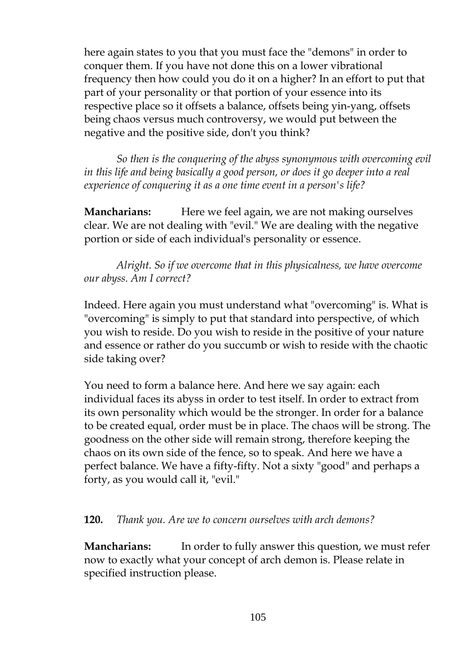here again states to you that you must face the "demons" in order to conquer them. If you have not done this on a lower vibrational frequency then how could you do it on a higher? In an effort to put that part of your personality or that portion of your essence into its respective place so it offsets a balance, offsets being yin-yang, offsets being chaos versus much controversy, we would put between the negative and the positive side, don't you think?

*So then is the conquering of the abyss synonymous with overcoming evil in this life and being basically a good person, or does it go deeper into a real experience of conquering it as a one time event in a person's life?*

**Mancharians:** Here we feel again, we are not making ourselves clear. We are not dealing with "evil." We are dealing with the negative portion or side of each individual's personality or essence.

*Alright. So if we overcome that in this physicalness, we have overcome our abyss. Am I correct?*

Indeed. Here again you must understand what "overcoming" is. What is "overcoming" is simply to put that standard into perspective, of which you wish to reside. Do you wish to reside in the positive of your nature and essence or rather do you succumb or wish to reside with the chaotic side taking over?

You need to form a balance here. And here we say again: each individual faces its abyss in order to test itself. In order to extract from its own personality which would be the stronger. In order for a balance to be created equal, order must be in place. The chaos will be strong. The goodness on the other side will remain strong, therefore keeping the chaos on its own side of the fence, so to speak. And here we have a perfect balance. We have a fifty-fifty. Not a sixty "good" and perhaps a forty, as you would call it, "evil."

### **120.** *Thank you. Are we to concern ourselves with arch demons?*

**Mancharians:** In order to fully answer this question, we must refer now to exactly what your concept of arch demon is. Please relate in specified instruction please.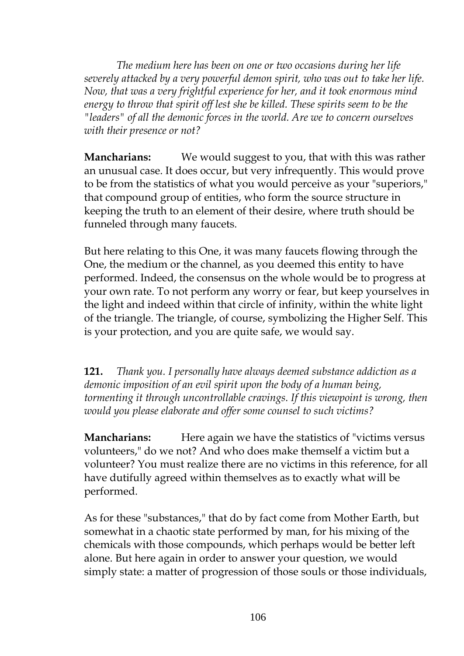*The medium here has been on one or two occasions during her life severely attacked by a very powerful demon spirit, who was out to take her life. Now, that was a very frightful experience for her, and it took enormous mind energy to throw that spirit off lest she be killed. These spirits seem to be the "leaders" of all the demonic forces in the world. Are we to concern ourselves with their presence or not?*

**Mancharians:** We would suggest to you, that with this was rather an unusual case. It does occur, but very infrequently. This would prove to be from the statistics of what you would perceive as your "superiors," that compound group of entities, who form the source structure in keeping the truth to an element of their desire, where truth should be funneled through many faucets.

But here relating to this One, it was many faucets flowing through the One, the medium or the channel, as you deemed this entity to have performed. Indeed, the consensus on the whole would be to progress at your own rate. To not perform any worry or fear, but keep yourselves in the light and indeed within that circle of infinity, within the white light of the triangle. The triangle, of course, symbolizing the Higher Self. This is your protection, and you are quite safe, we would say.

**121.** *Thank you. I personally have always deemed substance addiction as a demonic imposition of an evil spirit upon the body of a human being, tormenting it through uncontrollable cravings. If this viewpoint is wrong, then would you please elaborate and offer some counsel to such victims?*

**Mancharians:** Here again we have the statistics of "victims versus volunteers," do we not? And who does make themself a victim but a volunteer? You must realize there are no victims in this reference, for all have dutifully agreed within themselves as to exactly what will be performed.

As for these "substances," that do by fact come from Mother Earth, but somewhat in a chaotic state performed by man, for his mixing of the chemicals with those compounds, which perhaps would be better left alone. But here again in order to answer your question, we would simply state: a matter of progression of those souls or those individuals,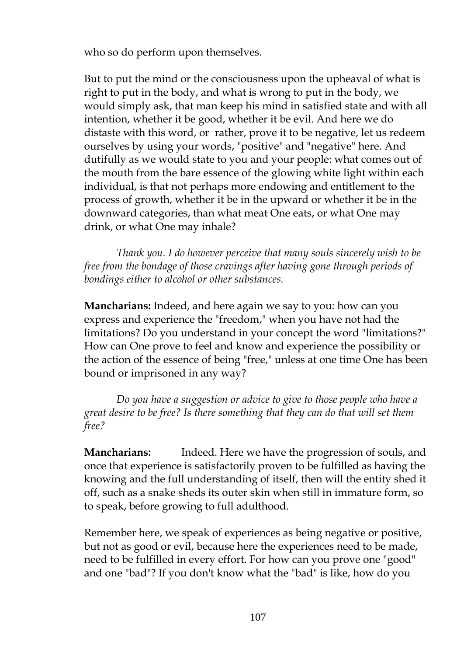who so do perform upon themselves.

But to put the mind or the consciousness upon the upheaval of what is right to put in the body, and what is wrong to put in the body, we would simply ask, that man keep his mind in satisfied state and with all intention, whether it be good, whether it be evil. And here we do distaste with this word, or rather, prove it to be negative, let us redeem ourselves by using your words, "positive" and "negative" here. And dutifully as we would state to you and your people: what comes out of the mouth from the bare essence of the glowing white light within each individual, is that not perhaps more endowing and entitlement to the process of growth, whether it be in the upward or whether it be in the downward categories, than what meat One eats, or what One may drink, or what One may inhale?

*Thank you. I do however perceive that many souls sincerely wish to be free from the bondage of those cravings after having gone through periods of bondings either to alcohol or other substances.*

**Mancharians:** Indeed, and here again we say to you: how can you express and experience the "freedom," when you have not had the limitations? Do you understand in your concept the word "limitations?" How can One prove to feel and know and experience the possibility or the action of the essence of being "free," unless at one time One has been bound or imprisoned in any way?

*Do you have a suggestion or advice to give to those people who have a great desire to be free? Is there something that they can do that will set them free?*

**Mancharians:** Indeed. Here we have the progression of souls, and once that experience is satisfactorily proven to be fulfilled as having the knowing and the full understanding of itself, then will the entity shed it off, such as a snake sheds its outer skin when still in immature form, so to speak, before growing to full adulthood.

Remember here, we speak of experiences as being negative or positive, but not as good or evil, because here the experiences need to be made, need to be fulfilled in every effort. For how can you prove one "good" and one "bad"? If you don't know what the "bad" is like, how do you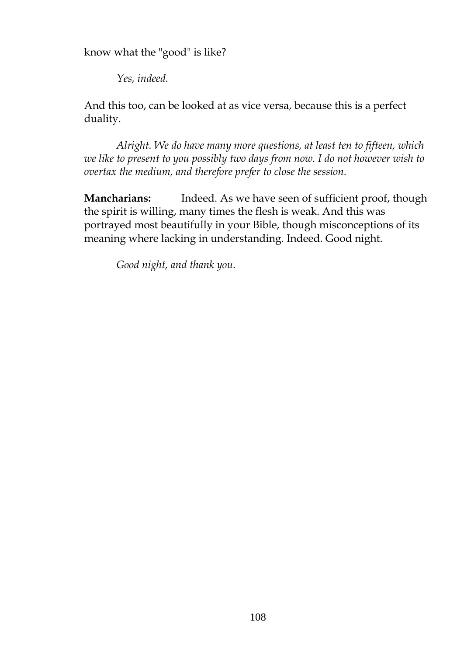know what the "good" is like?

*Yes, indeed.*

And this too, can be looked at as vice versa, because this is a perfect duality.

*Alright. We do have many more questions, at least ten to fifteen, which we like to present to you possibly two days from now. I do not however wish to overtax the medium, and therefore prefer to close the session.*

**Mancharians:** Indeed. As we have seen of sufficient proof, though the spirit is willing, many times the flesh is weak. And this was portrayed most beautifully in your Bible, though misconceptions of its meaning where lacking in understanding. Indeed. Good night.

*Good night, and thank you.*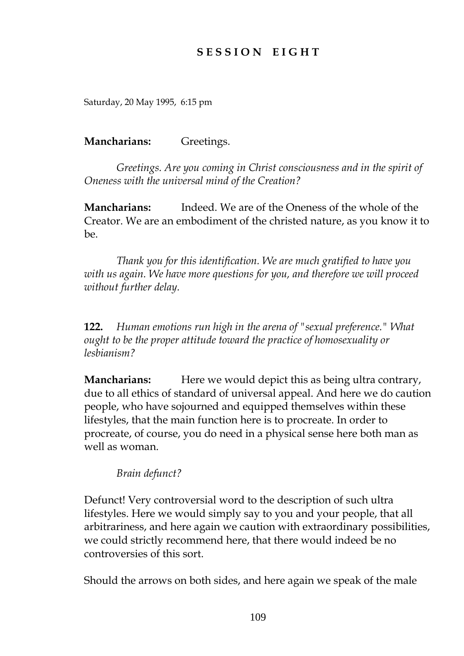# **S E S S I O N E I G H T**

Saturday, 20 May 1995, 6:15 pm

**Mancharians:** Greetings.

*Greetings. Are you coming in Christ consciousness and in the spirit of Oneness with the universal mind of the Creation?*

**Mancharians:** Indeed. We are of the Oneness of the whole of the Creator. We are an embodiment of the christed nature, as you know it to  $he$ 

*Thank you for this identification. We are much gratified to have you with us again. We have more questions for you, and therefore we will proceed without further delay.*

**122.** *Human emotions run high in the arena of "sexual preference." What ought to be the proper attitude toward the practice of homosexuality or lesbianism?*

**Mancharians:** Here we would depict this as being ultra contrary, due to all ethics of standard of universal appeal. And here we do caution people, who have sojourned and equipped themselves within these lifestyles, that the main function here is to procreate. In order to procreate, of course, you do need in a physical sense here both man as well as woman.

*Brain defunct?*

Defunct! Very controversial word to the description of such ultra lifestyles. Here we would simply say to you and your people, that all arbitrariness, and here again we caution with extraordinary possibilities, we could strictly recommend here, that there would indeed be no controversies of this sort.

Should the arrows on both sides, and here again we speak of the male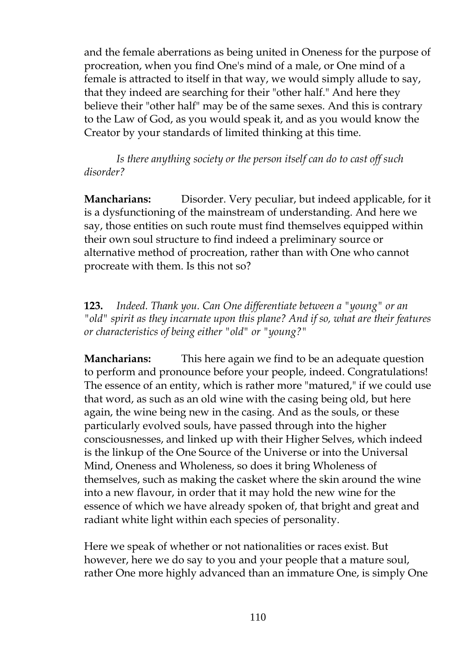and the female aberrations as being united in Oneness for the purpose of procreation, when you find One's mind of a male, or One mind of a female is attracted to itself in that way, we would simply allude to say, that they indeed are searching for their "other half." And here they believe their "other half" may be of the same sexes. And this is contrary to the Law of God, as you would speak it, and as you would know the Creator by your standards of limited thinking at this time.

*Is there anything society or the person itself can do to cast off such disorder?*

**Mancharians:** Disorder. Very peculiar, but indeed applicable, for it is a dysfunctioning of the mainstream of understanding. And here we say, those entities on such route must find themselves equipped within their own soul structure to find indeed a preliminary source or alternative method of procreation, rather than with One who cannot procreate with them. Is this not so?

**123.** *Indeed. Thank you. Can One differentiate between a "young" or an "old" spirit as they incarnate upon this plane? And if so, what are their features or characteristics of being either "old" or "young?"*

**Mancharians:** This here again we find to be an adequate question to perform and pronounce before your people, indeed. Congratulations! The essence of an entity, which is rather more "matured," if we could use that word, as such as an old wine with the casing being old, but here again, the wine being new in the casing. And as the souls, or these particularly evolved souls, have passed through into the higher consciousnesses, and linked up with their Higher Selves, which indeed is the linkup of the One Source of the Universe or into the Universal Mind, Oneness and Wholeness, so does it bring Wholeness of themselves, such as making the casket where the skin around the wine into a new flavour, in order that it may hold the new wine for the essence of which we have already spoken of, that bright and great and radiant white light within each species of personality.

Here we speak of whether or not nationalities or races exist. But however, here we do say to you and your people that a mature soul, rather One more highly advanced than an immature One, is simply One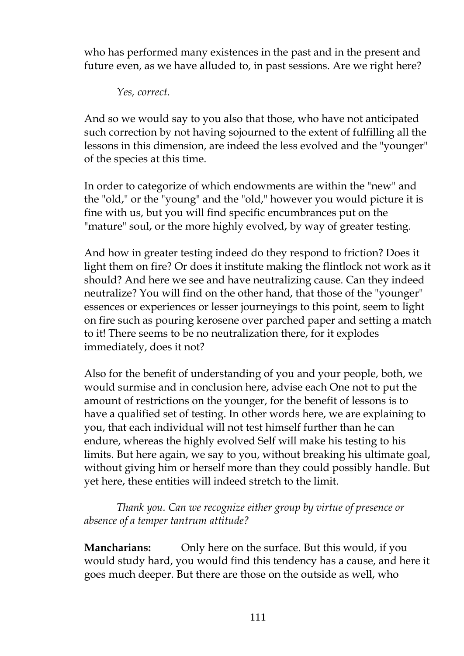who has performed many existences in the past and in the present and future even, as we have alluded to, in past sessions. Are we right here?

*Yes, correct.*

And so we would say to you also that those, who have not anticipated such correction by not having sojourned to the extent of fulfilling all the lessons in this dimension, are indeed the less evolved and the "younger" of the species at this time.

In order to categorize of which endowments are within the "new" and the "old," or the "young" and the "old," however you would picture it is fine with us, but you will find specific encumbrances put on the "mature" soul, or the more highly evolved, by way of greater testing.

And how in greater testing indeed do they respond to friction? Does it light them on fire? Or does it institute making the flintlock not work as it should? And here we see and have neutralizing cause. Can they indeed neutralize? You will find on the other hand, that those of the "younger" essences or experiences or lesser journeyings to this point, seem to light on fire such as pouring kerosene over parched paper and setting a match to it! There seems to be no neutralization there, for it explodes immediately, does it not?

Also for the benefit of understanding of you and your people, both, we would surmise and in conclusion here, advise each One not to put the amount of restrictions on the younger, for the benefit of lessons is to have a qualified set of testing. In other words here, we are explaining to you, that each individual will not test himself further than he can endure, whereas the highly evolved Self will make his testing to his limits. But here again, we say to you, without breaking his ultimate goal, without giving him or herself more than they could possibly handle. But yet here, these entities will indeed stretch to the limit.

*Thank you. Can we recognize either group by virtue of presence or absence of a temper tantrum attitude?*

**Mancharians:** Only here on the surface. But this would, if you would study hard, you would find this tendency has a cause, and here it goes much deeper. But there are those on the outside as well, who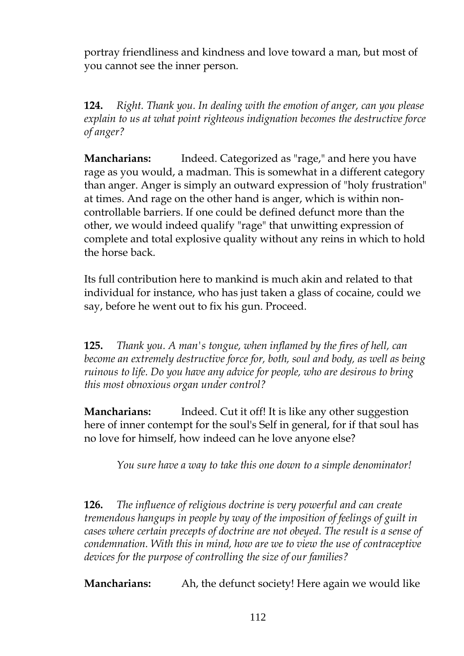portray friendliness and kindness and love toward a man, but most of you cannot see the inner person.

**124.** *Right. Thank you. In dealing with the emotion of anger, can you please explain to us at what point righteous indignation becomes the destructive force of anger?*

**Mancharians:** Indeed. Categorized as "rage," and here you have rage as you would, a madman. This is somewhat in a different category than anger. Anger is simply an outward expression of "holy frustration" at times. And rage on the other hand is anger, which is within noncontrollable barriers. If one could be defined defunct more than the other, we would indeed qualify "rage" that unwitting expression of complete and total explosive quality without any reins in which to hold the horse back.

Its full contribution here to mankind is much akin and related to that individual for instance, who has just taken a glass of cocaine, could we say, before he went out to fix his gun. Proceed.

**125.** *Thank you. A man's tongue, when inflamed by the fires of hell, can become an extremely destructive force for, both, soul and body, as well as being ruinous to life. Do you have any advice for people, who are desirous to bring this most obnoxious organ under control?*

**Mancharians:** Indeed. Cut it off! It is like any other suggestion here of inner contempt for the soul's Self in general, for if that soul has no love for himself, how indeed can he love anyone else?

*You sure have a way to take this one down to a simple denominator!*

**126.** *The influence of religious doctrine is very powerful and can create tremendous hangups in people by way of the imposition of feelings of guilt in cases where certain precepts of doctrine are not obeyed. The result is a sense of condemnation. With this in mind, how are we to view the use of contraceptive devices for the purpose of controlling the size of our families?*

**Mancharians:** Ah, the defunct society! Here again we would like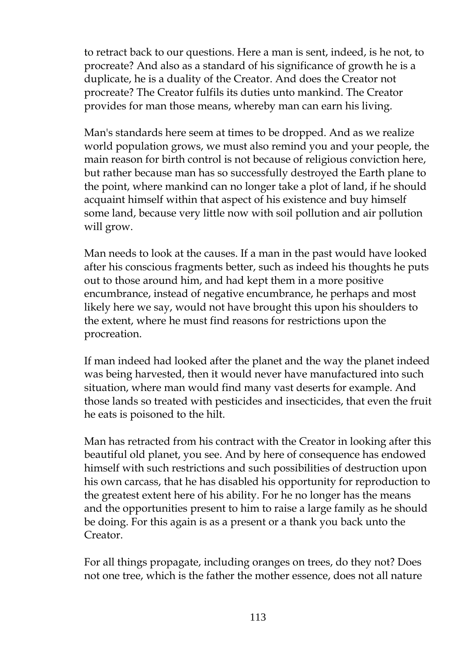to retract back to our questions. Here a man is sent, indeed, is he not, to procreate? And also as a standard of his significance of growth he is a duplicate, he is a duality of the Creator. And does the Creator not procreate? The Creator fulfils its duties unto mankind. The Creator provides for man those means, whereby man can earn his living.

Man's standards here seem at times to be dropped. And as we realize world population grows, we must also remind you and your people, the main reason for birth control is not because of religious conviction here, but rather because man has so successfully destroyed the Earth plane to the point, where mankind can no longer take a plot of land, if he should acquaint himself within that aspect of his existence and buy himself some land, because very little now with soil pollution and air pollution will grow.

Man needs to look at the causes. If a man in the past would have looked after his conscious fragments better, such as indeed his thoughts he puts out to those around him, and had kept them in a more positive encumbrance, instead of negative encumbrance, he perhaps and most likely here we say, would not have brought this upon his shoulders to the extent, where he must find reasons for restrictions upon the procreation.

If man indeed had looked after the planet and the way the planet indeed was being harvested, then it would never have manufactured into such situation, where man would find many vast deserts for example. And those lands so treated with pesticides and insecticides, that even the fruit he eats is poisoned to the hilt.

Man has retracted from his contract with the Creator in looking after this beautiful old planet, you see. And by here of consequence has endowed himself with such restrictions and such possibilities of destruction upon his own carcass, that he has disabled his opportunity for reproduction to the greatest extent here of his ability. For he no longer has the means and the opportunities present to him to raise a large family as he should be doing. For this again is as a present or a thank you back unto the Creator.

For all things propagate, including oranges on trees, do they not? Does not one tree, which is the father the mother essence, does not all nature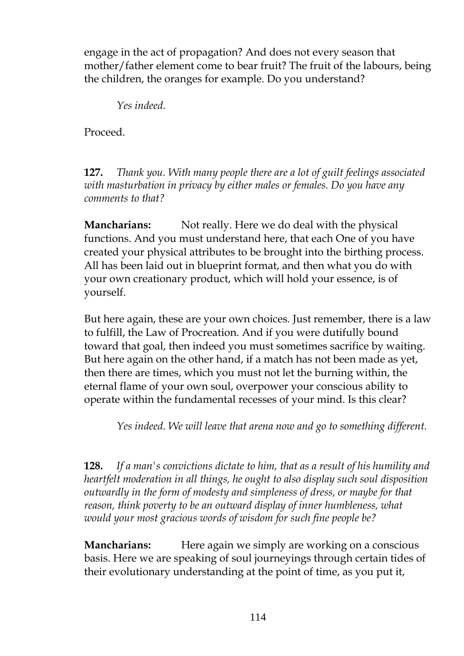engage in the act of propagation? And does not every season that mother/father element come to bear fruit? The fruit of the labours, being the children, the oranges for example. Do you understand?

*Yes indeed.*

Proceed.

**127.** *Thank you. With many people there are a lot of guilt feelings associated with masturbation in privacy by either males or females. Do you have any comments to that?*

**Mancharians:** Not really. Here we do deal with the physical functions. And you must understand here, that each One of you have created your physical attributes to be brought into the birthing process. All has been laid out in blueprint format, and then what you do with your own creationary product, which will hold your essence, is of yourself.

But here again, these are your own choices. Just remember, there is a law to fulfill, the Law of Procreation. And if you were dutifully bound toward that goal, then indeed you must sometimes sacrifice by waiting. But here again on the other hand, if a match has not been made as yet, then there are times, which you must not let the burning within, the eternal flame of your own soul, overpower your conscious ability to operate within the fundamental recesses of your mind. Is this clear?

*Yes indeed. We will leave that arena now and go to something different.*

**128.** *If a man's convictions dictate to him, that as a result of his humility and heartfelt moderation in all things, he ought to also display such soul disposition outwardly in the form of modesty and simpleness of dress, or maybe for that reason, think poverty to be an outward display of inner humbleness, what would your most gracious words of wisdom for such fine people be?*

**Mancharians:** Here again we simply are working on a conscious basis. Here we are speaking of soul journeyings through certain tides of their evolutionary understanding at the point of time, as you put it,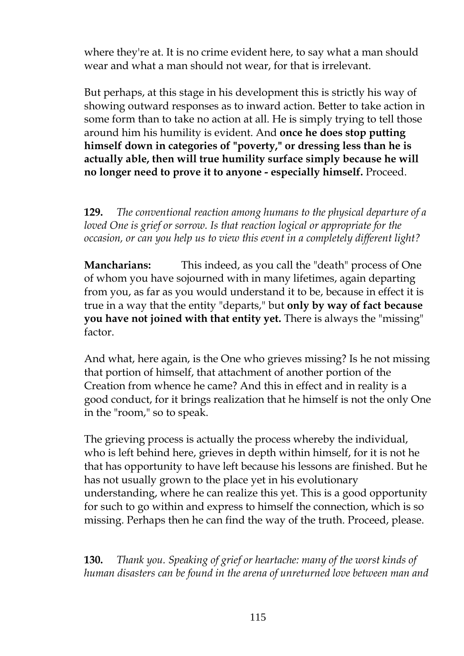where they're at. It is no crime evident here, to say what a man should wear and what a man should not wear, for that is irrelevant.

But perhaps, at this stage in his development this is strictly his way of showing outward responses as to inward action. Better to take action in some form than to take no action at all. He is simply trying to tell those around him his humility is evident. And **once he does stop putting himself down in categories of "poverty," or dressing less than he is actually able, then will true humility surface simply because he will no longer need to prove it to anyone - especially himself.** Proceed.

**129.** *The conventional reaction among humans to the physical departure of a loved One is grief or sorrow. Is that reaction logical or appropriate for the occasion, or can you help us to view this event in a completely different light?*

**Mancharians:** This indeed, as you call the "death" process of One of whom you have sojourned with in many lifetimes, again departing from you, as far as you would understand it to be, because in effect it is true in a way that the entity "departs," but **only by way of fact because you have not joined with that entity yet.** There is always the "missing" factor.

And what, here again, is the One who grieves missing? Is he not missing that portion of himself, that attachment of another portion of the Creation from whence he came? And this in effect and in reality is a good conduct, for it brings realization that he himself is not the only One in the "room," so to speak.

The grieving process is actually the process whereby the individual, who is left behind here, grieves in depth within himself, for it is not he that has opportunity to have left because his lessons are finished. But he has not usually grown to the place yet in his evolutionary understanding, where he can realize this yet. This is a good opportunity for such to go within and express to himself the connection, which is so missing. Perhaps then he can find the way of the truth. Proceed, please.

**130.** *Thank you. Speaking of grief or heartache: many of the worst kinds of human disasters can be found in the arena of unreturned love between man and*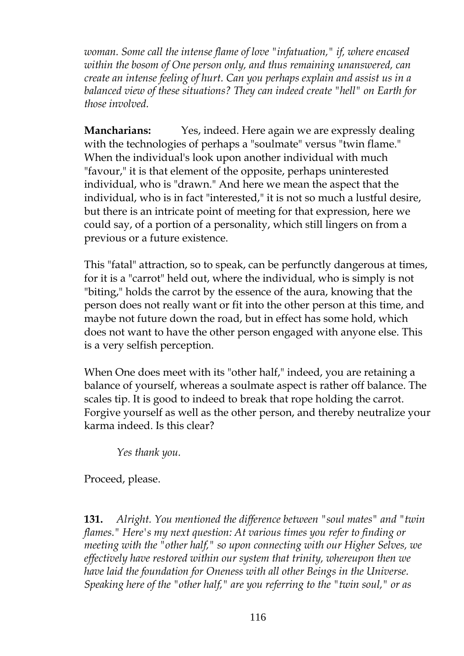*woman. Some call the intense flame of love "infatuation," if, where encased within the bosom of One person only, and thus remaining unanswered, can create an intense feeling of hurt. Can you perhaps explain and assist us in a balanced view of these situations? They can indeed create "hell" on Earth for those involved.*

**Mancharians:** Yes, indeed. Here again we are expressly dealing with the technologies of perhaps a "soulmate" versus "twin flame." When the individual's look upon another individual with much "favour," it is that element of the opposite, perhaps uninterested individual, who is "drawn." And here we mean the aspect that the individual, who is in fact "interested," it is not so much a lustful desire, but there is an intricate point of meeting for that expression, here we could say, of a portion of a personality, which still lingers on from a previous or a future existence.

This "fatal" attraction, so to speak, can be perfunctly dangerous at times, for it is a "carrot" held out, where the individual, who is simply is not "biting," holds the carrot by the essence of the aura, knowing that the person does not really want or fit into the other person at this time, and maybe not future down the road, but in effect has some hold, which does not want to have the other person engaged with anyone else. This is a very selfish perception.

When One does meet with its "other half," indeed, you are retaining a balance of yourself, whereas a soulmate aspect is rather off balance. The scales tip. It is good to indeed to break that rope holding the carrot. Forgive yourself as well as the other person, and thereby neutralize your karma indeed. Is this clear?

*Yes thank you.*

Proceed, please.

**131.** *Alright. You mentioned the difference between "soul mates" and "twin flames." Here's my next question: At various times you refer to finding or meeting with the "other half," so upon connecting with our Higher Selves, we effectively have restored within our system that trinity, whereupon then we have laid the foundation for Oneness with all other Beings in the Universe. Speaking here of the "other half," are you referring to the "twin soul," or as*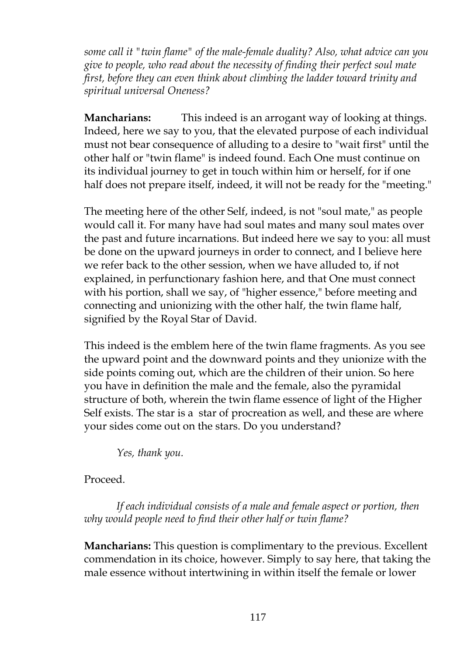*some call it "twin flame" of the male-female duality? Also, what advice can you give to people, who read about the necessity of finding their perfect soul mate first, before they can even think about climbing the ladder toward trinity and spiritual universal Oneness?*

**Mancharians:** This indeed is an arrogant way of looking at things. Indeed, here we say to you, that the elevated purpose of each individual must not bear consequence of alluding to a desire to "wait first" until the other half or "twin flame" is indeed found. Each One must continue on its individual journey to get in touch within him or herself, for if one half does not prepare itself, indeed, it will not be ready for the "meeting."

The meeting here of the other Self, indeed, is not "soul mate," as people would call it. For many have had soul mates and many soul mates over the past and future incarnations. But indeed here we say to you: all must be done on the upward journeys in order to connect, and I believe here we refer back to the other session, when we have alluded to, if not explained, in perfunctionary fashion here, and that One must connect with his portion, shall we say, of "higher essence," before meeting and connecting and unionizing with the other half, the twin flame half, signified by the Royal Star of David.

This indeed is the emblem here of the twin flame fragments. As you see the upward point and the downward points and they unionize with the side points coming out, which are the children of their union. So here you have in definition the male and the female, also the pyramidal structure of both, wherein the twin flame essence of light of the Higher Self exists. The star is a star of procreation as well, and these are where your sides come out on the stars. Do you understand?

*Yes, thank you.*

#### Proceed.

*If each individual consists of a male and female aspect or portion, then why would people need to find their other half or twin flame?*

**Mancharians:** This question is complimentary to the previous. Excellent commendation in its choice, however. Simply to say here, that taking the male essence without intertwining in within itself the female or lower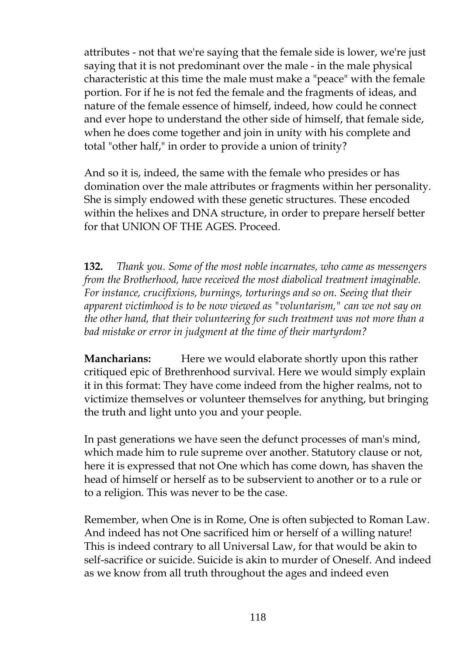attributes - not that we're saying that the female side is lower, we're just saying that it is not predominant over the male - in the male physical characteristic at this time the male must make a "peace" with the female portion. For if he is not fed the female and the fragments of ideas, and nature of the female essence of himself, indeed, how could he connect and ever hope to understand the other side of himself, that female side, when he does come together and join in unity with his complete and total "other half," in order to provide a union of trinity?

And so it is, indeed, the same with the female who presides or has domination over the male attributes or fragments within her personality. She is simply endowed with these genetic structures. These encoded within the helixes and DNA structure, in order to prepare herself better for that UNION OF THE AGES. Proceed.

**132.** *Thank you. Some of the most noble incarnates, who came as messengers from the Brotherhood, have received the most diabolical treatment imaginable. For instance, crucifixions, burnings, torturings and so on. Seeing that their apparent victimhood is to be now viewed as "voluntarism," can we not say on the other hand, that their volunteering for such treatment was not more than a bad mistake or error in judgment at the time of their martyrdom?*

**Mancharians:** Here we would elaborate shortly upon this rather critiqued epic of Brethrenhood survival. Here we would simply explain it in this format: They have come indeed from the higher realms, not to victimize themselves or volunteer themselves for anything, but bringing the truth and light unto you and your people.

In past generations we have seen the defunct processes of man's mind, which made him to rule supreme over another. Statutory clause or not, here it is expressed that not One which has come down, has shaven the head of himself or herself as to be subservient to another or to a rule or to a religion. This was never to be the case.

Remember, when One is in Rome, One is often subjected to Roman Law. And indeed has not One sacrificed him or herself of a willing nature! This is indeed contrary to all Universal Law, for that would be akin to self-sacrifice or suicide. Suicide is akin to murder of Oneself. And indeed as we know from all truth throughout the ages and indeed even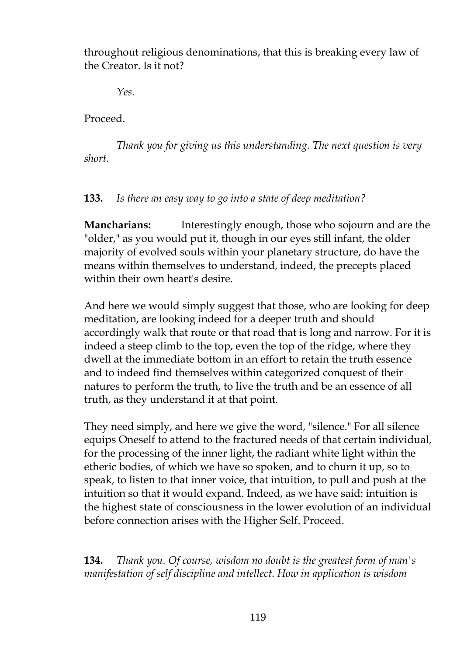throughout religious denominations, that this is breaking every law of the Creator. Is it not?

*Yes.*

Proceed.

*Thank you for giving us this understanding. The next question is very short.*

#### **133.** *Is there an easy way to go into a state of deep meditation?*

**Mancharians:** Interestingly enough, those who sojourn and are the "older," as you would put it, though in our eyes still infant, the older majority of evolved souls within your planetary structure, do have the means within themselves to understand, indeed, the precepts placed within their own heart's desire

And here we would simply suggest that those, who are looking for deep meditation, are looking indeed for a deeper truth and should accordingly walk that route or that road that is long and narrow. For it is indeed a steep climb to the top, even the top of the ridge, where they dwell at the immediate bottom in an effort to retain the truth essence and to indeed find themselves within categorized conquest of their natures to perform the truth, to live the truth and be an essence of all truth, as they understand it at that point.

They need simply, and here we give the word, "silence." For all silence equips Oneself to attend to the fractured needs of that certain individual, for the processing of the inner light, the radiant white light within the etheric bodies, of which we have so spoken, and to churn it up, so to speak, to listen to that inner voice, that intuition, to pull and push at the intuition so that it would expand. Indeed, as we have said: intuition is the highest state of consciousness in the lower evolution of an individual before connection arises with the Higher Self. Proceed.

**134.** *Thank you. Of course, wisdom no doubt is the greatest form of man's manifestation of self discipline and intellect. How in application is wisdom*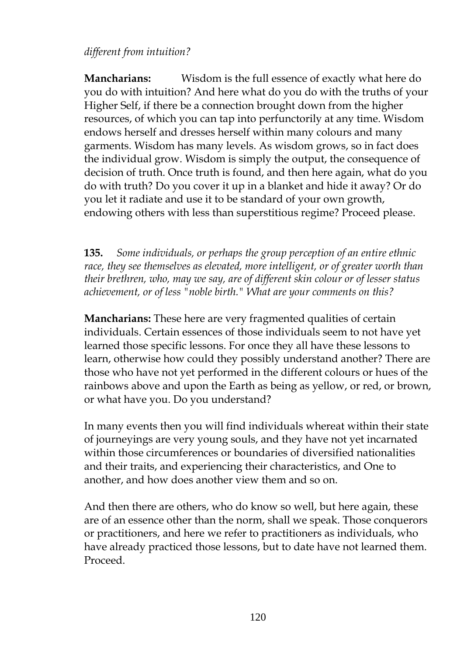# *different from intuition?*

**Mancharians:** Wisdom is the full essence of exactly what here do you do with intuition? And here what do you do with the truths of your Higher Self, if there be a connection brought down from the higher resources, of which you can tap into perfunctorily at any time. Wisdom endows herself and dresses herself within many colours and many garments. Wisdom has many levels. As wisdom grows, so in fact does the individual grow. Wisdom is simply the output, the consequence of decision of truth. Once truth is found, and then here again, what do you do with truth? Do you cover it up in a blanket and hide it away? Or do you let it radiate and use it to be standard of your own growth, endowing others with less than superstitious regime? Proceed please.

**135.** *Some individuals, or perhaps the group perception of an entire ethnic race, they see themselves as elevated, more intelligent, or of greater worth than their brethren, who, may we say, are of different skin colour or of lesser status achievement, or of less "noble birth." What are your comments on this?*

**Mancharians:** These here are very fragmented qualities of certain individuals. Certain essences of those individuals seem to not have yet learned those specific lessons. For once they all have these lessons to learn, otherwise how could they possibly understand another? There are those who have not yet performed in the different colours or hues of the rainbows above and upon the Earth as being as yellow, or red, or brown, or what have you. Do you understand?

In many events then you will find individuals whereat within their state of journeyings are very young souls, and they have not yet incarnated within those circumferences or boundaries of diversified nationalities and their traits, and experiencing their characteristics, and One to another, and how does another view them and so on.

And then there are others, who do know so well, but here again, these are of an essence other than the norm, shall we speak. Those conquerors or practitioners, and here we refer to practitioners as individuals, who have already practiced those lessons, but to date have not learned them. Proceed.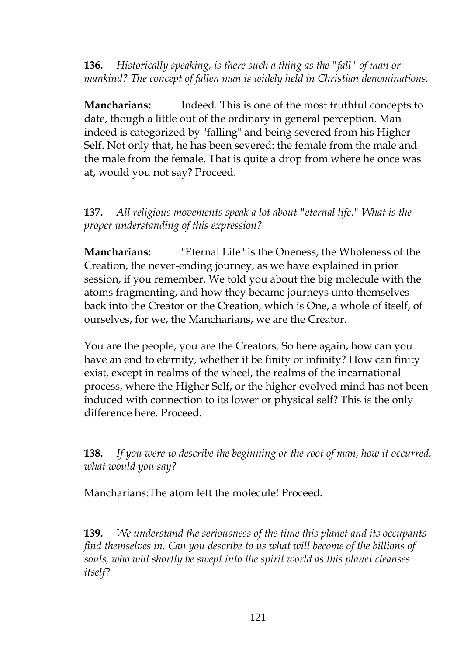**136.** *Historically speaking, is there such a thing as the "fall" of man or mankind? The concept of fallen man is widely held in Christian denominations.*

**Mancharians:** Indeed. This is one of the most truthful concepts to date, though a little out of the ordinary in general perception. Man indeed is categorized by "falling" and being severed from his Higher Self. Not only that, he has been severed: the female from the male and the male from the female. That is quite a drop from where he once was at, would you not say? Proceed.

**137.** *All religious movements speak a lot about "eternal life." What is the proper understanding of this expression?*

**Mancharians:** "Eternal Life" is the Oneness, the Wholeness of the Creation, the never-ending journey, as we have explained in prior session, if you remember. We told you about the big molecule with the atoms fragmenting, and how they became journeys unto themselves back into the Creator or the Creation, which is One, a whole of itself, of ourselves, for we, the Mancharians, we are the Creator.

You are the people, you are the Creators. So here again, how can you have an end to eternity, whether it be finity or infinity? How can finity exist, except in realms of the wheel, the realms of the incarnational process, where the Higher Self, or the higher evolved mind has not been induced with connection to its lower or physical self? This is the only difference here. Proceed.

**138.** *If you were to describe the beginning or the root of man, how it occurred, what would you say?*

Mancharians:The atom left the molecule! Proceed.

**139.** *We understand the seriousness of the time this planet and its occupants find themselves in. Can you describe to us what will become of the billions of souls, who will shortly be swept into the spirit world as this planet cleanses itself?*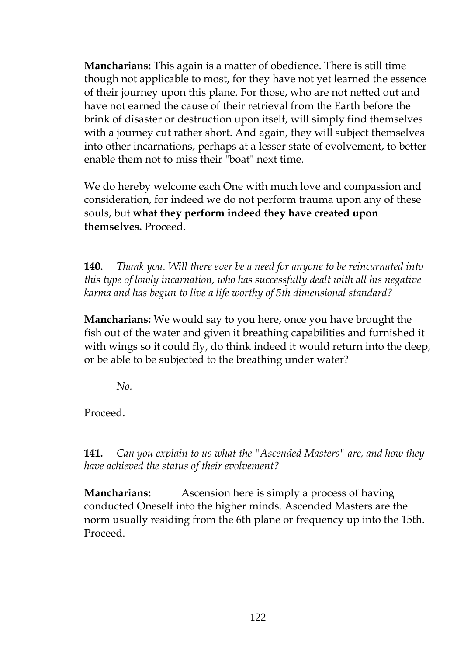**Mancharians:** This again is a matter of obedience. There is still time though not applicable to most, for they have not yet learned the essence of their journey upon this plane. For those, who are not netted out and have not earned the cause of their retrieval from the Earth before the brink of disaster or destruction upon itself, will simply find themselves with a journey cut rather short. And again, they will subject themselves into other incarnations, perhaps at a lesser state of evolvement, to better enable them not to miss their "boat" next time.

We do hereby welcome each One with much love and compassion and consideration, for indeed we do not perform trauma upon any of these souls, but **what they perform indeed they have created upon themselves.** Proceed.

**140.** *Thank you. Will there ever be a need for anyone to be reincarnated into this type of lowly incarnation, who has successfully dealt with all his negative karma and has begun to live a life worthy of 5th dimensional standard?*

**Mancharians:** We would say to you here, once you have brought the fish out of the water and given it breathing capabilities and furnished it with wings so it could fly, do think indeed it would return into the deep, or be able to be subjected to the breathing under water?

*No.*

Proceed.

**141.** *Can you explain to us what the "Ascended Masters" are, and how they have achieved the status of their evolvement?*

**Mancharians:** Ascension here is simply a process of having conducted Oneself into the higher minds. Ascended Masters are the norm usually residing from the 6th plane or frequency up into the 15th. Proceed.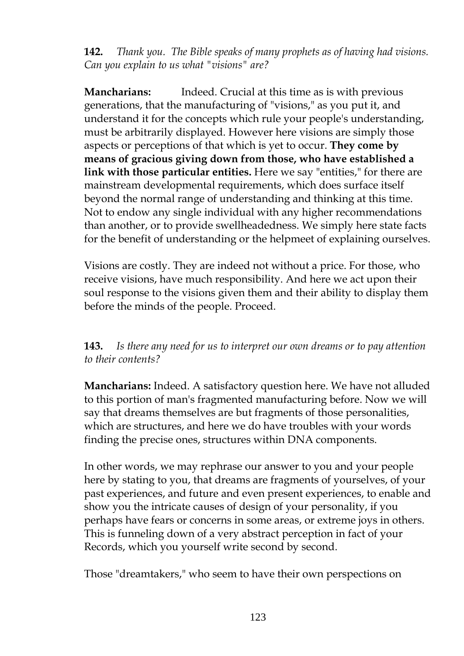**142.** *Thank you. The Bible speaks of many prophets as of having had visions. Can you explain to us what "visions" are?*

**Mancharians:** Indeed. Crucial at this time as is with previous generations, that the manufacturing of "visions," as you put it, and understand it for the concepts which rule your people's understanding, must be arbitrarily displayed. However here visions are simply those aspects or perceptions of that which is yet to occur. **They come by means of gracious giving down from those, who have established a link with those particular entities.** Here we say "entities," for there are mainstream developmental requirements, which does surface itself beyond the normal range of understanding and thinking at this time. Not to endow any single individual with any higher recommendations than another, or to provide swellheadedness. We simply here state facts for the benefit of understanding or the helpmeet of explaining ourselves.

Visions are costly. They are indeed not without a price. For those, who receive visions, have much responsibility. And here we act upon their soul response to the visions given them and their ability to display them before the minds of the people. Proceed.

# **143.** *Is there any need for us to interpret our own dreams or to pay attention to their contents?*

**Mancharians:** Indeed. A satisfactory question here. We have not alluded to this portion of man's fragmented manufacturing before. Now we will say that dreams themselves are but fragments of those personalities, which are structures, and here we do have troubles with your words finding the precise ones, structures within DNA components.

In other words, we may rephrase our answer to you and your people here by stating to you, that dreams are fragments of yourselves, of your past experiences, and future and even present experiences, to enable and show you the intricate causes of design of your personality, if you perhaps have fears or concerns in some areas, or extreme joys in others. This is funneling down of a very abstract perception in fact of your Records, which you yourself write second by second.

Those "dreamtakers," who seem to have their own perspections on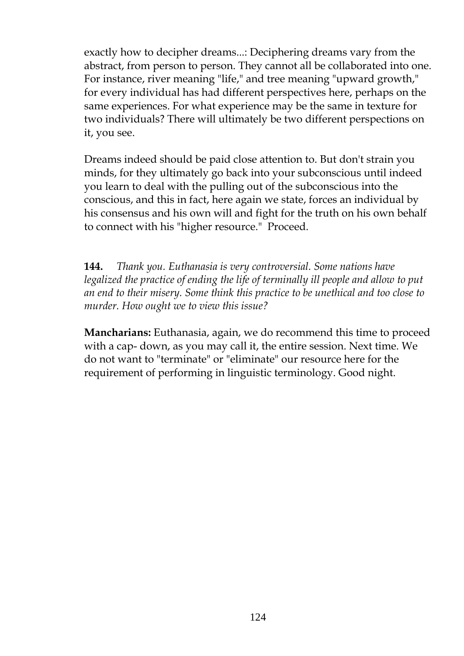exactly how to decipher dreams...: Deciphering dreams vary from the abstract, from person to person. They cannot all be collaborated into one. For instance, river meaning "life," and tree meaning "upward growth," for every individual has had different perspectives here, perhaps on the same experiences. For what experience may be the same in texture for two individuals? There will ultimately be two different perspections on it, you see.

Dreams indeed should be paid close attention to. But don't strain you minds, for they ultimately go back into your subconscious until indeed you learn to deal with the pulling out of the subconscious into the conscious, and this in fact, here again we state, forces an individual by his consensus and his own will and fight for the truth on his own behalf to connect with his "higher resource." Proceed.

**144.** *Thank you. Euthanasia is very controversial. Some nations have legalized the practice of ending the life of terminally ill people and allow to put an end to their misery. Some think this practice to be unethical and too close to murder. How ought we to view this issue?*

**Mancharians:** Euthanasia, again, we do recommend this time to proceed with a cap- down, as you may call it, the entire session. Next time. We do not want to "terminate" or "eliminate" our resource here for the requirement of performing in linguistic terminology. Good night.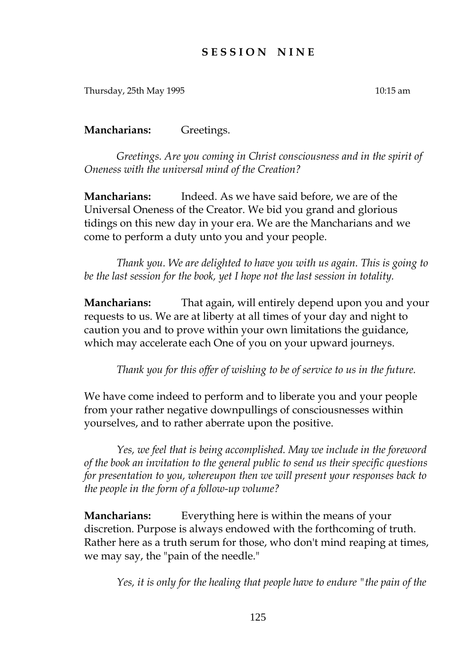## **S E S S I O N N I N E**

Thursday, 25th May 1995 10:15 am

**Mancharians:** Greetings.

*Greetings. Are you coming in Christ consciousness and in the spirit of Oneness with the universal mind of the Creation?*

**Mancharians:** Indeed. As we have said before, we are of the Universal Oneness of the Creator. We bid you grand and glorious tidings on this new day in your era. We are the Mancharians and we come to perform a duty unto you and your people.

*Thank you. We are delighted to have you with us again. This is going to be the last session for the book, yet I hope not the last session in totality.*

**Mancharians:** That again, will entirely depend upon you and your requests to us. We are at liberty at all times of your day and night to caution you and to prove within your own limitations the guidance, which may accelerate each One of you on your upward journeys.

*Thank you for this offer of wishing to be of service to us in the future.*

We have come indeed to perform and to liberate you and your people from your rather negative downpullings of consciousnesses within yourselves, and to rather aberrate upon the positive.

*Yes, we feel that is being accomplished. May we include in the foreword of the book an invitation to the general public to send us their specific questions for presentation to you, whereupon then we will present your responses back to the people in the form of a follow-up volume?*

**Mancharians:** Everything here is within the means of your discretion. Purpose is always endowed with the forthcoming of truth. Rather here as a truth serum for those, who don't mind reaping at times, we may say, the "pain of the needle."

*Yes, it is only for the healing that people have to endure "the pain of the*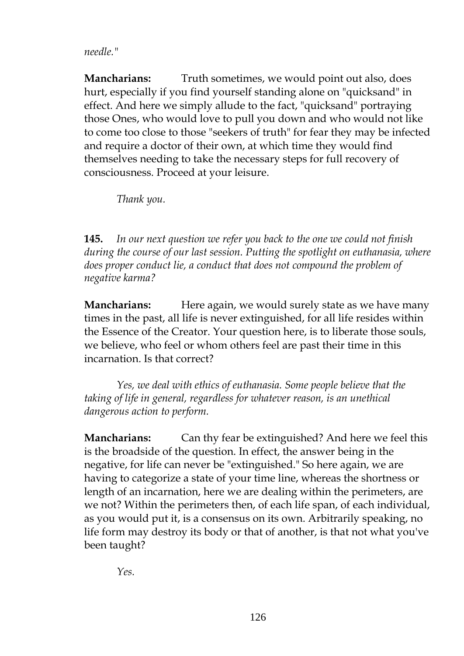#### *needle."*

**Mancharians:** Truth sometimes, we would point out also, does hurt, especially if you find yourself standing alone on "quicksand" in effect. And here we simply allude to the fact, "quicksand" portraying those Ones, who would love to pull you down and who would not like to come too close to those "seekers of truth" for fear they may be infected and require a doctor of their own, at which time they would find themselves needing to take the necessary steps for full recovery of consciousness. Proceed at your leisure.

*Thank you.*

**145.** *In our next question we refer you back to the one we could not finish during the course of our last session. Putting the spotlight on euthanasia, where does proper conduct lie, a conduct that does not compound the problem of negative karma?*

**Mancharians:** Here again, we would surely state as we have many times in the past, all life is never extinguished, for all life resides within the Essence of the Creator. Your question here, is to liberate those souls, we believe, who feel or whom others feel are past their time in this incarnation. Is that correct?

*Yes, we deal with ethics of euthanasia. Some people believe that the taking of life in general, regardless for whatever reason, is an unethical dangerous action to perform.*

**Mancharians:** Can thy fear be extinguished? And here we feel this is the broadside of the question. In effect, the answer being in the negative, for life can never be "extinguished." So here again, we are having to categorize a state of your time line, whereas the shortness or length of an incarnation, here we are dealing within the perimeters, are we not? Within the perimeters then, of each life span, of each individual, as you would put it, is a consensus on its own. Arbitrarily speaking, no life form may destroy its body or that of another, is that not what you've been taught?

*Yes.*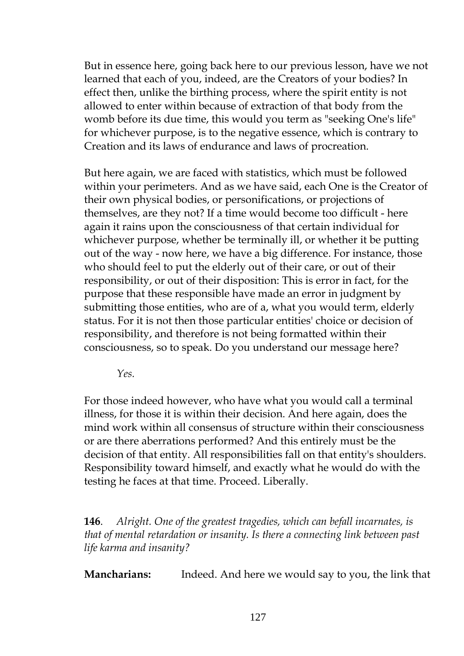But in essence here, going back here to our previous lesson, have we not learned that each of you, indeed, are the Creators of your bodies? In effect then, unlike the birthing process, where the spirit entity is not allowed to enter within because of extraction of that body from the womb before its due time, this would you term as "seeking One's life" for whichever purpose, is to the negative essence, which is contrary to Creation and its laws of endurance and laws of procreation.

But here again, we are faced with statistics, which must be followed within your perimeters. And as we have said, each One is the Creator of their own physical bodies, or personifications, or projections of themselves, are they not? If a time would become too difficult - here again it rains upon the consciousness of that certain individual for whichever purpose, whether be terminally ill, or whether it be putting out of the way - now here, we have a big difference. For instance, those who should feel to put the elderly out of their care, or out of their responsibility, or out of their disposition: This is error in fact, for the purpose that these responsible have made an error in judgment by submitting those entities, who are of a, what you would term, elderly status. For it is not then those particular entities' choice or decision of responsibility, and therefore is not being formatted within their consciousness, so to speak. Do you understand our message here?

*Yes.*

For those indeed however, who have what you would call a terminal illness, for those it is within their decision. And here again, does the mind work within all consensus of structure within their consciousness or are there aberrations performed? And this entirely must be the decision of that entity. All responsibilities fall on that entity's shoulders. Responsibility toward himself, and exactly what he would do with the testing he faces at that time. Proceed. Liberally.

**146**. *Alright. One of the greatest tragedies, which can befall incarnates, is that of mental retardation or insanity. Is there a connecting link between past life karma and insanity?*

**Mancharians:** Indeed. And here we would say to you, the link that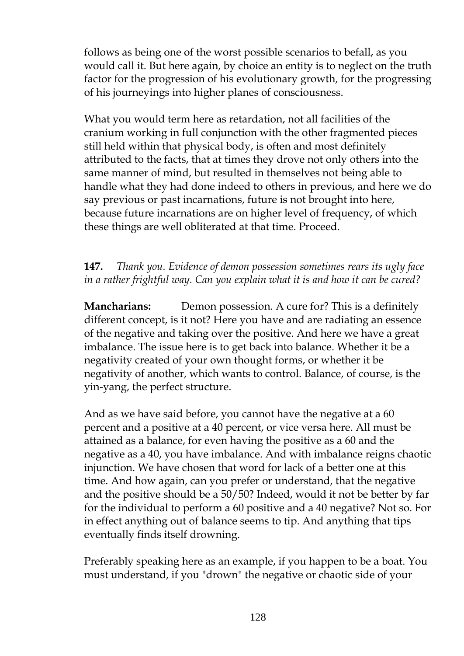follows as being one of the worst possible scenarios to befall, as you would call it. But here again, by choice an entity is to neglect on the truth factor for the progression of his evolutionary growth, for the progressing of his journeyings into higher planes of consciousness.

What you would term here as retardation, not all facilities of the cranium working in full conjunction with the other fragmented pieces still held within that physical body, is often and most definitely attributed to the facts, that at times they drove not only others into the same manner of mind, but resulted in themselves not being able to handle what they had done indeed to others in previous, and here we do say previous or past incarnations, future is not brought into here, because future incarnations are on higher level of frequency, of which these things are well obliterated at that time. Proceed.

# **147.** *Thank you. Evidence of demon possession sometimes rears its ugly face in a rather frightful way. Can you explain what it is and how it can be cured?*

**Mancharians:** Demon possession. A cure for? This is a definitely different concept, is it not? Here you have and are radiating an essence of the negative and taking over the positive. And here we have a great imbalance. The issue here is to get back into balance. Whether it be a negativity created of your own thought forms, or whether it be negativity of another, which wants to control. Balance, of course, is the yin-yang, the perfect structure.

And as we have said before, you cannot have the negative at a 60 percent and a positive at a 40 percent, or vice versa here. All must be attained as a balance, for even having the positive as a 60 and the negative as a 40, you have imbalance. And with imbalance reigns chaotic injunction. We have chosen that word for lack of a better one at this time. And how again, can you prefer or understand, that the negative and the positive should be a 50/50? Indeed, would it not be better by far for the individual to perform a 60 positive and a 40 negative? Not so. For in effect anything out of balance seems to tip. And anything that tips eventually finds itself drowning.

Preferably speaking here as an example, if you happen to be a boat. You must understand, if you "drown" the negative or chaotic side of your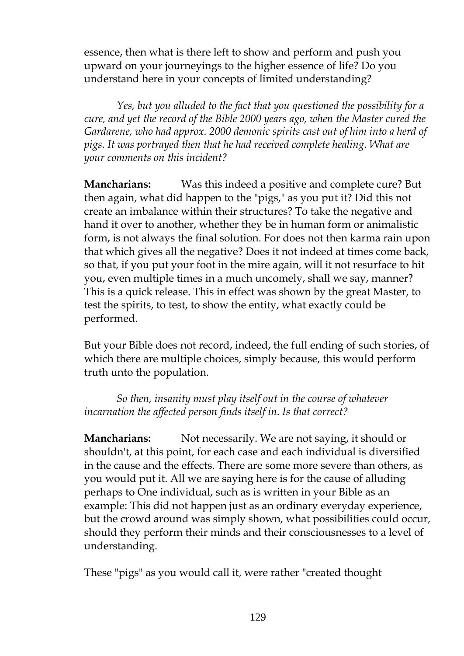essence, then what is there left to show and perform and push you upward on your journeyings to the higher essence of life? Do you understand here in your concepts of limited understanding?

*Yes, but you alluded to the fact that you questioned the possibility for a cure, and yet the record of the Bible 2000 years ago, when the Master cured the Gardarene, who had approx. 2000 demonic spirits cast out of him into a herd of pigs. It was portrayed then that he had received complete healing. What are your comments on this incident?*

**Mancharians:** Was this indeed a positive and complete cure? But then again, what did happen to the "pigs," as you put it? Did this not create an imbalance within their structures? To take the negative and hand it over to another, whether they be in human form or animalistic form, is not always the final solution. For does not then karma rain upon that which gives all the negative? Does it not indeed at times come back, so that, if you put your foot in the mire again, will it not resurface to hit you, even multiple times in a much uncomely, shall we say, manner? This is a quick release. This in effect was shown by the great Master, to test the spirits, to test, to show the entity, what exactly could be performed.

But your Bible does not record, indeed, the full ending of such stories, of which there are multiple choices, simply because, this would perform truth unto the population.

*So then, insanity must play itself out in the course of whatever incarnation the affected person finds itself in. Is that correct?*

**Mancharians:** Not necessarily. We are not saying, it should or shouldn't, at this point, for each case and each individual is diversified in the cause and the effects. There are some more severe than others, as you would put it. All we are saying here is for the cause of alluding perhaps to One individual, such as is written in your Bible as an example: This did not happen just as an ordinary everyday experience, but the crowd around was simply shown, what possibilities could occur, should they perform their minds and their consciousnesses to a level of understanding.

These "pigs" as you would call it, were rather "created thought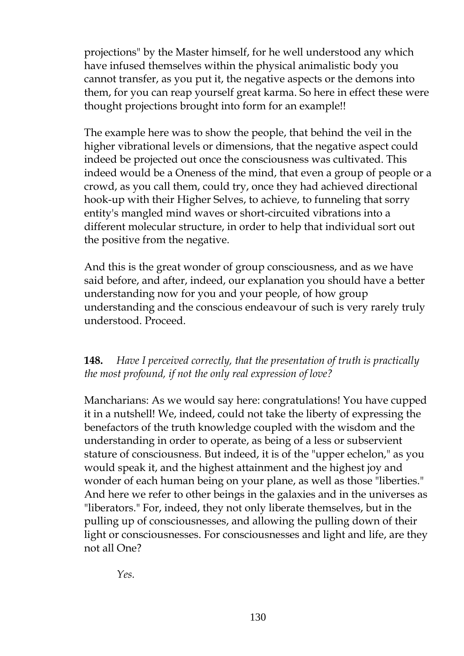projections" by the Master himself, for he well understood any which have infused themselves within the physical animalistic body you cannot transfer, as you put it, the negative aspects or the demons into them, for you can reap yourself great karma. So here in effect these were thought projections brought into form for an example!!

The example here was to show the people, that behind the veil in the higher vibrational levels or dimensions, that the negative aspect could indeed be projected out once the consciousness was cultivated. This indeed would be a Oneness of the mind, that even a group of people or a crowd, as you call them, could try, once they had achieved directional hook-up with their Higher Selves, to achieve, to funneling that sorry entity's mangled mind waves or short-circuited vibrations into a different molecular structure, in order to help that individual sort out the positive from the negative.

And this is the great wonder of group consciousness, and as we have said before, and after, indeed, our explanation you should have a better understanding now for you and your people, of how group understanding and the conscious endeavour of such is very rarely truly understood. Proceed.

# **148.** *Have I perceived correctly, that the presentation of truth is practically the most profound, if not the only real expression of love?*

Mancharians: As we would say here: congratulations! You have cupped it in a nutshell! We, indeed, could not take the liberty of expressing the benefactors of the truth knowledge coupled with the wisdom and the understanding in order to operate, as being of a less or subservient stature of consciousness. But indeed, it is of the "upper echelon," as you would speak it, and the highest attainment and the highest joy and wonder of each human being on your plane, as well as those "liberties." And here we refer to other beings in the galaxies and in the universes as "liberators." For, indeed, they not only liberate themselves, but in the pulling up of consciousnesses, and allowing the pulling down of their light or consciousnesses. For consciousnesses and light and life, are they not all One?

*Yes.*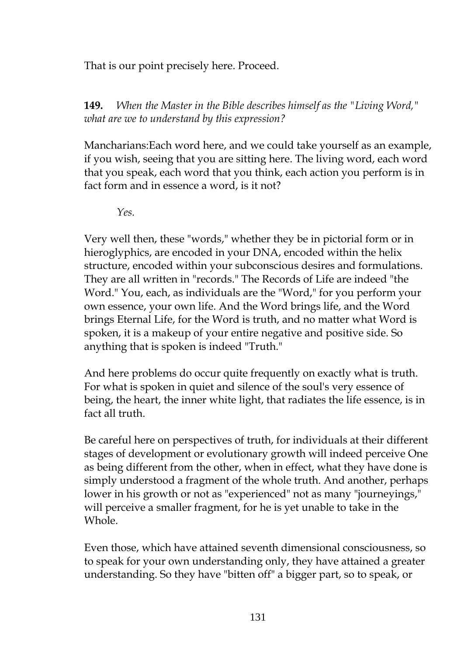That is our point precisely here. Proceed.

**149.** *When the Master in the Bible describes himself as the "Living Word," what are we to understand by this expression?*

Mancharians:Each word here, and we could take yourself as an example, if you wish, seeing that you are sitting here. The living word, each word that you speak, each word that you think, each action you perform is in fact form and in essence a word, is it not?

*Yes.*

Very well then, these "words," whether they be in pictorial form or in hieroglyphics, are encoded in your DNA, encoded within the helix structure, encoded within your subconscious desires and formulations. They are all written in "records." The Records of Life are indeed "the Word." You, each, as individuals are the "Word," for you perform your own essence, your own life. And the Word brings life, and the Word brings Eternal Life, for the Word is truth, and no matter what Word is spoken, it is a makeup of your entire negative and positive side. So anything that is spoken is indeed "Truth."

And here problems do occur quite frequently on exactly what is truth. For what is spoken in quiet and silence of the soul's very essence of being, the heart, the inner white light, that radiates the life essence, is in fact all truth.

Be careful here on perspectives of truth, for individuals at their different stages of development or evolutionary growth will indeed perceive One as being different from the other, when in effect, what they have done is simply understood a fragment of the whole truth. And another, perhaps lower in his growth or not as "experienced" not as many "journeyings," will perceive a smaller fragment, for he is yet unable to take in the Whole.

Even those, which have attained seventh dimensional consciousness, so to speak for your own understanding only, they have attained a greater understanding. So they have "bitten off" a bigger part, so to speak, or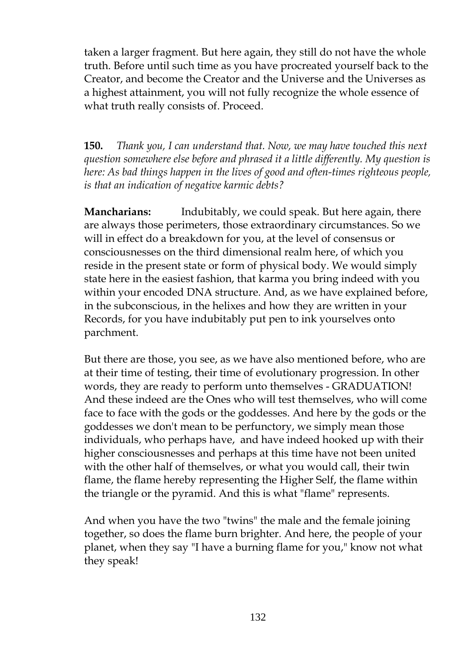taken a larger fragment. But here again, they still do not have the whole truth. Before until such time as you have procreated yourself back to the Creator, and become the Creator and the Universe and the Universes as a highest attainment, you will not fully recognize the whole essence of what truth really consists of. Proceed.

**150.** *Thank you, I can understand that. Now, we may have touched this next question somewhere else before and phrased it a little differently. My question is here: As bad things happen in the lives of good and often-times righteous people, is that an indication of negative karmic debts?*

**Mancharians:** Indubitably, we could speak. But here again, there are always those perimeters, those extraordinary circumstances. So we will in effect do a breakdown for you, at the level of consensus or consciousnesses on the third dimensional realm here, of which you reside in the present state or form of physical body. We would simply state here in the easiest fashion, that karma you bring indeed with you within your encoded DNA structure. And, as we have explained before, in the subconscious, in the helixes and how they are written in your Records, for you have indubitably put pen to ink yourselves onto parchment.

But there are those, you see, as we have also mentioned before, who are at their time of testing, their time of evolutionary progression. In other words, they are ready to perform unto themselves - GRADUATION! And these indeed are the Ones who will test themselves, who will come face to face with the gods or the goddesses. And here by the gods or the goddesses we don't mean to be perfunctory, we simply mean those individuals, who perhaps have, and have indeed hooked up with their higher consciousnesses and perhaps at this time have not been united with the other half of themselves, or what you would call, their twin flame, the flame hereby representing the Higher Self, the flame within the triangle or the pyramid. And this is what "flame" represents.

And when you have the two "twins" the male and the female joining together, so does the flame burn brighter. And here, the people of your planet, when they say "I have a burning flame for you," know not what they speak!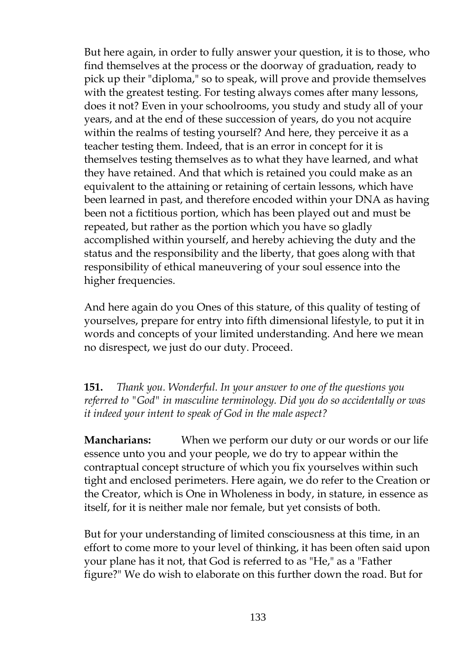But here again, in order to fully answer your question, it is to those, who find themselves at the process or the doorway of graduation, ready to pick up their "diploma," so to speak, will prove and provide themselves with the greatest testing. For testing always comes after many lessons, does it not? Even in your schoolrooms, you study and study all of your years, and at the end of these succession of years, do you not acquire within the realms of testing yourself? And here, they perceive it as a teacher testing them. Indeed, that is an error in concept for it is themselves testing themselves as to what they have learned, and what they have retained. And that which is retained you could make as an equivalent to the attaining or retaining of certain lessons, which have been learned in past, and therefore encoded within your DNA as having been not a fictitious portion, which has been played out and must be repeated, but rather as the portion which you have so gladly accomplished within yourself, and hereby achieving the duty and the status and the responsibility and the liberty, that goes along with that responsibility of ethical maneuvering of your soul essence into the higher frequencies.

And here again do you Ones of this stature, of this quality of testing of yourselves, prepare for entry into fifth dimensional lifestyle, to put it in words and concepts of your limited understanding. And here we mean no disrespect, we just do our duty. Proceed.

**151.** *Thank you. Wonderful. In your answer to one of the questions you referred to "God" in masculine terminology. Did you do so accidentally or was it indeed your intent to speak of God in the male aspect?*

**Mancharians:** When we perform our duty or our words or our life essence unto you and your people, we do try to appear within the contraptual concept structure of which you fix yourselves within such tight and enclosed perimeters. Here again, we do refer to the Creation or the Creator, which is One in Wholeness in body, in stature, in essence as itself, for it is neither male nor female, but yet consists of both.

But for your understanding of limited consciousness at this time, in an effort to come more to your level of thinking, it has been often said upon your plane has it not, that God is referred to as "He," as a "Father figure?" We do wish to elaborate on this further down the road. But for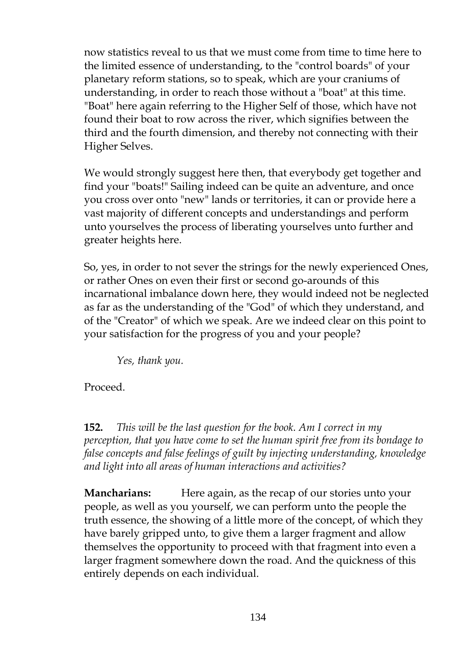now statistics reveal to us that we must come from time to time here to the limited essence of understanding, to the "control boards" of your planetary reform stations, so to speak, which are your craniums of understanding, in order to reach those without a "boat" at this time. "Boat" here again referring to the Higher Self of those, which have not found their boat to row across the river, which signifies between the third and the fourth dimension, and thereby not connecting with their Higher Selves.

We would strongly suggest here then, that everybody get together and find your "boats!" Sailing indeed can be quite an adventure, and once you cross over onto "new" lands or territories, it can or provide here a vast majority of different concepts and understandings and perform unto yourselves the process of liberating yourselves unto further and greater heights here.

So, yes, in order to not sever the strings for the newly experienced Ones, or rather Ones on even their first or second go-arounds of this incarnational imbalance down here, they would indeed not be neglected as far as the understanding of the "God" of which they understand, and of the "Creator" of which we speak. Are we indeed clear on this point to your satisfaction for the progress of you and your people?

*Yes, thank you.*

Proceed.

**152.** *This will be the last question for the book. Am I correct in my perception, that you have come to set the human spirit free from its bondage to false concepts and false feelings of guilt by injecting understanding, knowledge and light into all areas of human interactions and activities?*

**Mancharians:** Here again, as the recap of our stories unto your people, as well as you yourself, we can perform unto the people the truth essence, the showing of a little more of the concept, of which they have barely gripped unto, to give them a larger fragment and allow themselves the opportunity to proceed with that fragment into even a larger fragment somewhere down the road. And the quickness of this entirely depends on each individual.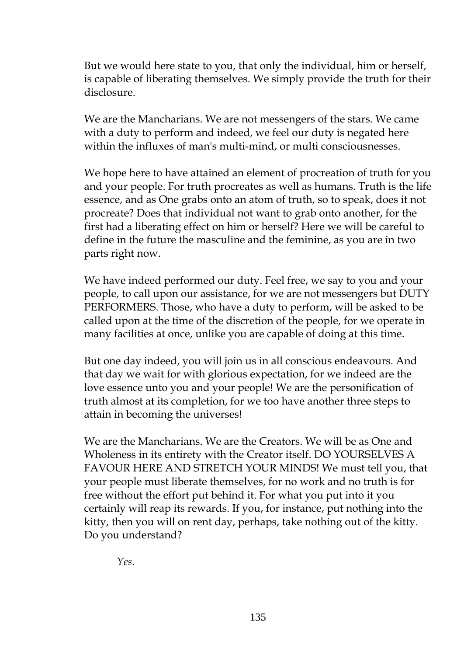But we would here state to you, that only the individual, him or herself, is capable of liberating themselves. We simply provide the truth for their disclosure.

We are the Mancharians. We are not messengers of the stars. We came with a duty to perform and indeed, we feel our duty is negated here within the influxes of man's multi-mind, or multi consciousnesses.

We hope here to have attained an element of procreation of truth for you and your people. For truth procreates as well as humans. Truth is the life essence, and as One grabs onto an atom of truth, so to speak, does it not procreate? Does that individual not want to grab onto another, for the first had a liberating effect on him or herself? Here we will be careful to define in the future the masculine and the feminine, as you are in two parts right now.

We have indeed performed our duty. Feel free, we say to you and your people, to call upon our assistance, for we are not messengers but DUTY PERFORMERS. Those, who have a duty to perform, will be asked to be called upon at the time of the discretion of the people, for we operate in many facilities at once, unlike you are capable of doing at this time.

But one day indeed, you will join us in all conscious endeavours. And that day we wait for with glorious expectation, for we indeed are the love essence unto you and your people! We are the personification of truth almost at its completion, for we too have another three steps to attain in becoming the universes!

We are the Mancharians. We are the Creators. We will be as One and Wholeness in its entirety with the Creator itself. DO YOURSELVES A FAVOUR HERE AND STRETCH YOUR MINDS! We must tell you, that your people must liberate themselves, for no work and no truth is for free without the effort put behind it. For what you put into it you certainly will reap its rewards. If you, for instance, put nothing into the kitty, then you will on rent day, perhaps, take nothing out of the kitty. Do you understand?

*Yes.*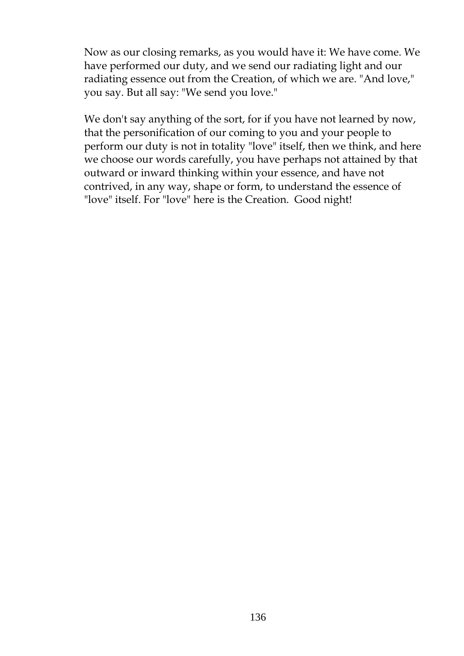Now as our closing remarks, as you would have it: We have come. We have performed our duty, and we send our radiating light and our radiating essence out from the Creation, of which we are. "And love," you say. But all say: "We send you love."

We don't say anything of the sort, for if you have not learned by now, that the personification of our coming to you and your people to perform our duty is not in totality "love" itself, then we think, and here we choose our words carefully, you have perhaps not attained by that outward or inward thinking within your essence, and have not contrived, in any way, shape or form, to understand the essence of "love" itself. For "love" here is the Creation. Good night!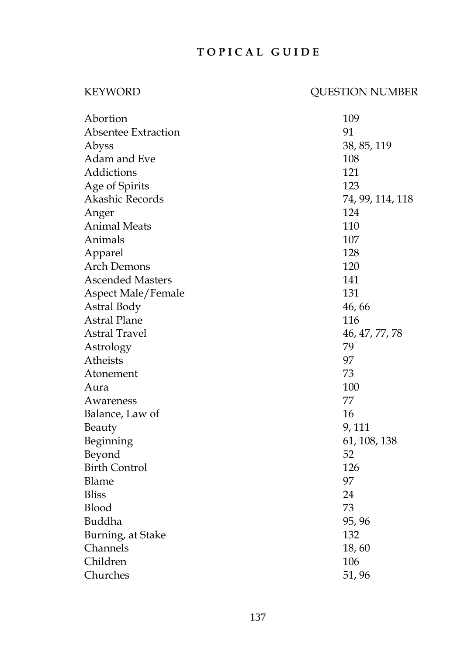# **T O P I C A L G U I D E**

# KEYWORD QUESTION NUMBER

| Abortion                   | 109              |
|----------------------------|------------------|
| <b>Absentee Extraction</b> | 91               |
| Abyss                      | 38, 85, 119      |
| Adam and Eve               | 108              |
| Addictions                 | 121              |
| Age of Spirits             | 123              |
| Akashic Records            | 74, 99, 114, 118 |
| Anger                      | 124              |
| <b>Animal Meats</b>        | 110              |
| Animals                    | 107              |
| Apparel                    | 128              |
| <b>Arch Demons</b>         | 120              |
| <b>Ascended Masters</b>    | 141              |
| Aspect Male/Female         | 131              |
| Astral Body                | 46, 66           |
| <b>Astral Plane</b>        | 116              |
| <b>Astral Travel</b>       | 46, 47, 77, 78   |
| Astrology                  | 79               |
| Atheists                   | 97               |
| Atonement                  | 73               |
| Aura                       | 100              |
| Awareness                  | 77               |
| Balance, Law of            | 16               |
| Beauty                     | 9, 111           |
| Beginning                  | 61, 108, 138     |
| Beyond                     | 52               |
| <b>Birth Control</b>       | 126              |
| <b>Blame</b>               | 97               |
| <b>Bliss</b>               | 24               |
| Blood                      | 73               |
| Buddha                     | 95, 96           |
| Burning, at Stake          | 132              |
| Channels                   | 18,60            |
| Children                   | 106              |
| Churches                   | 51, 96           |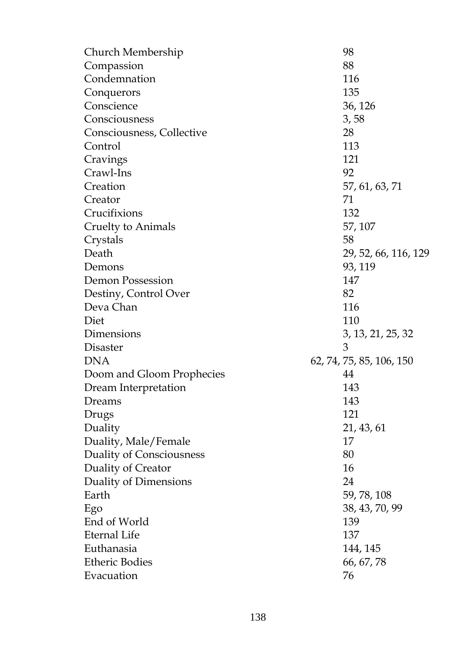| Church Membership         | 98                       |
|---------------------------|--------------------------|
| Compassion                | 88                       |
| Condemnation              | 116                      |
| Conquerors                | 135                      |
| Conscience                | 36, 126                  |
| Consciousness             | 3, 58                    |
| Consciousness, Collective | 28                       |
| Control                   | 113                      |
| Cravings                  | 121                      |
| Crawl-Ins                 | 92                       |
| Creation                  | 57, 61, 63, 71           |
| Creator                   | 71                       |
| Crucifixions              | 132                      |
| Cruelty to Animals        | 57, 107                  |
| Crystals                  | 58                       |
| Death                     | 29, 52, 66, 116, 129     |
| Demons                    | 93, 119                  |
| Demon Possession          | 147                      |
| Destiny, Control Over     | 82                       |
| Deva Chan                 | 116                      |
| Diet                      | 110                      |
| Dimensions                | 3, 13, 21, 25, 32        |
| <b>Disaster</b>           | 3                        |
| <b>DNA</b>                | 62, 74, 75, 85, 106, 150 |
| Doom and Gloom Prophecies | 44                       |
| Dream Interpretation      | 143                      |
| Dreams                    | 143                      |
| Drugs                     | 121                      |
| Duality                   | 21, 43, 61               |
| Duality, Male/Female      | 17                       |
| Duality of Consciousness  | 80                       |
| Duality of Creator        | 16                       |
| Duality of Dimensions     | 24                       |
| Earth                     | 59, 78, 108              |
| Ego                       | 38, 43, 70, 99           |
| End of World              | 139                      |
| <b>Eternal Life</b>       | 137                      |
| Euthanasia                | 144, 145                 |
| <b>Etheric Bodies</b>     | 66, 67, 78               |
| Evacuation                | 76                       |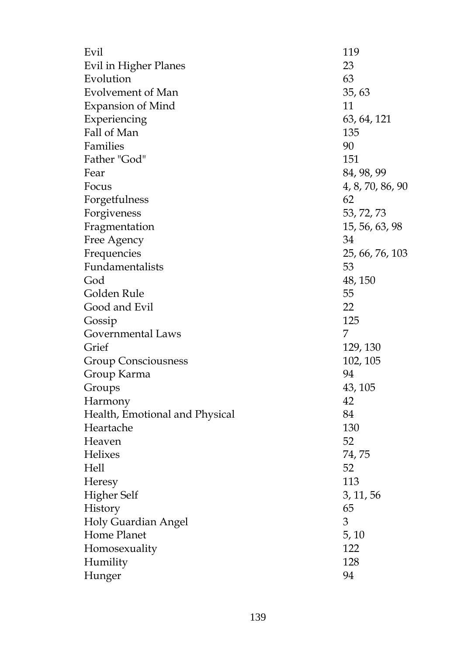| Evil                           | 119              |
|--------------------------------|------------------|
| Evil in Higher Planes          | 23               |
| Evolution                      | 63               |
| Evolvement of Man              | 35, 63           |
| <b>Expansion of Mind</b>       | 11               |
| Experiencing                   | 63, 64, 121      |
| Fall of Man                    | 135              |
| Families                       | 90               |
| Father "God"                   | 151              |
| Fear                           | 84, 98, 99       |
| Focus                          | 4, 8, 70, 86, 90 |
| Forgetfulness                  | 62               |
| Forgiveness                    | 53, 72, 73       |
| Fragmentation                  | 15, 56, 63, 98   |
| Free Agency                    | 34               |
| Frequencies                    | 25, 66, 76, 103  |
| Fundamentalists                | 53               |
| God                            | 48, 150          |
| Golden Rule                    | 55               |
| Good and Evil                  | 22               |
| Gossip                         | 125              |
| Governmental Laws              | 7                |
| Grief                          | 129, 130         |
| <b>Group Consciousness</b>     | 102, 105         |
| Group Karma                    | 94               |
| Groups                         | 43, 105          |
| Harmony                        | 42               |
| Health, Emotional and Physical | 84               |
| Heartache                      | 130              |
| Heaven                         | 52               |
| <b>Helixes</b>                 | 74, 75           |
| Hell                           | 52               |
| Heresy                         | 113              |
| <b>Higher Self</b>             | 3, 11, 56        |
| History                        | 65               |
| Holy Guardian Angel            | 3                |
| Home Planet                    | 5, 10            |
| Homosexuality                  | 122              |
| Humility                       | 128              |
| Hunger                         | 94               |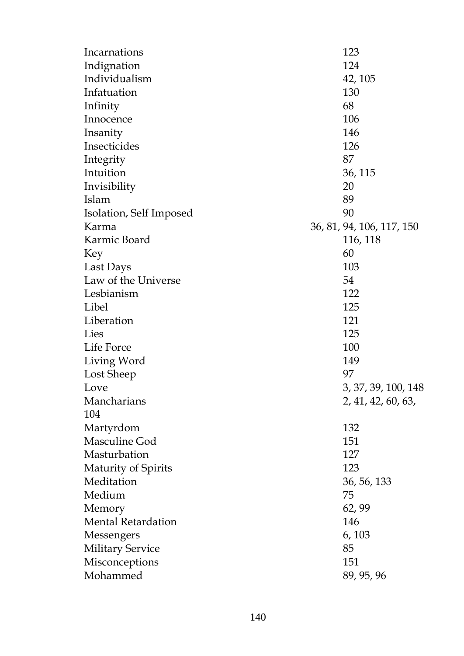| Incarnations              | 123                       |
|---------------------------|---------------------------|
| Indignation               | 124                       |
| Individualism             | 42, 105                   |
| Infatuation               | 130                       |
| Infinity                  | 68                        |
| Innocence                 | 106                       |
| Insanity                  | 146                       |
| Insecticides              | 126                       |
| Integrity                 | 87                        |
| Intuition                 | 36, 115                   |
| Invisibility              | 20                        |
| Islam                     | 89                        |
| Isolation, Self Imposed   | 90                        |
| Karma                     | 36, 81, 94, 106, 117, 150 |
| Karmic Board              | 116, 118                  |
| Key                       | 60                        |
| Last Days                 | 103                       |
| Law of the Universe       | 54                        |
| Lesbianism                | 122                       |
| Libel                     | 125                       |
| Liberation                | 121                       |
| Lies                      | 125                       |
| Life Force                | 100                       |
| Living Word               | 149                       |
| Lost Sheep                | 97                        |
| Love                      | 3, 37, 39, 100, 148       |
| Mancharians               | 2, 41, 42, 60, 63,        |
| 104                       |                           |
| Martyrdom                 | 132                       |
| Masculine God             | 151                       |
| Masturbation              | 127                       |
| Maturity of Spirits       | 123                       |
| Meditation                | 36, 56, 133               |
| Medium                    | 75                        |
| Memory                    | 62,99                     |
| <b>Mental Retardation</b> | 146                       |
| Messengers                | 6, 103                    |
| <b>Military Service</b>   | 85                        |
| Misconceptions            | 151                       |
| Mohammed                  | 89, 95, 96                |
|                           |                           |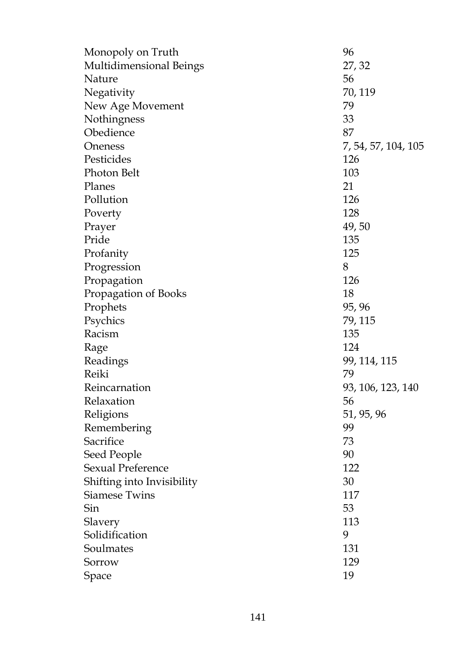| Monopoly on Truth          | 96                  |
|----------------------------|---------------------|
| Multidimensional Beings    | 27, 32              |
| Nature                     | 56                  |
| Negativity                 | 70, 119             |
| New Age Movement           | 79                  |
| Nothingness                | 33                  |
| Obedience                  | 87                  |
| Oneness                    | 7, 54, 57, 104, 105 |
| Pesticides                 | 126                 |
| Photon Belt                | 103                 |
| Planes                     | 21                  |
| Pollution                  | 126                 |
| Poverty                    | 128                 |
| Prayer                     | 49,50               |
| Pride                      | 135                 |
| Profanity                  | 125                 |
| Progression                | 8                   |
| Propagation                | 126                 |
| Propagation of Books       | 18                  |
| Prophets                   | 95, 96              |
| Psychics                   | 79, 115             |
| Racism                     | 135                 |
| Rage                       | 124                 |
| Readings                   | 99, 114, 115        |
| Reiki                      | 79                  |
| Reincarnation              | 93, 106, 123, 140   |
| Relaxation                 | 56                  |
| Religions                  | 51, 95, 96          |
| Remembering                | 99                  |
| Sacrifice                  | 73                  |
| Seed People                | 90                  |
| <b>Sexual Preference</b>   | 122                 |
| Shifting into Invisibility | 30                  |
| <b>Siamese Twins</b>       | 117                 |
| Sin                        | 53                  |
| Slavery                    | 113                 |
| Solidification             | 9                   |
| Soulmates                  | 131                 |
| Sorrow                     | 129                 |
| Space                      | 19                  |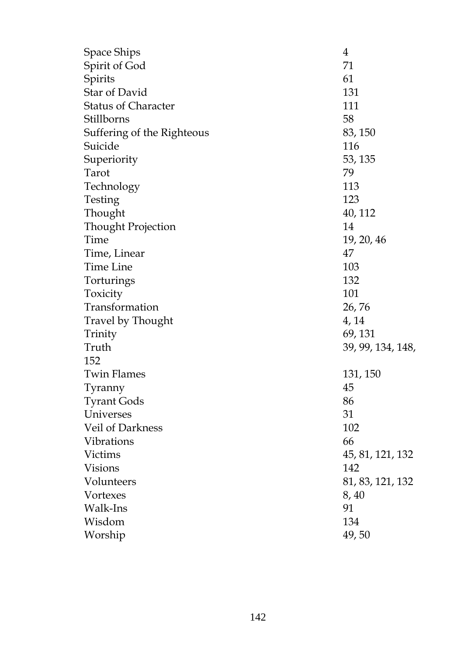| Space Ships                | 4                 |
|----------------------------|-------------------|
| Spirit of God              | 71                |
| Spirits                    | 61                |
| Star of David              | 131               |
| <b>Status of Character</b> | 111               |
| Stillborns                 | 58                |
| Suffering of the Righteous | 83, 150           |
| Suicide                    | 116               |
| Superiority                | 53, 135           |
| Tarot                      | 79                |
| Technology                 | 113               |
| Testing                    | 123               |
| Thought                    | 40, 112           |
| Thought Projection         | 14                |
| Time                       | 19, 20, 46        |
| Time, Linear               | 47                |
| <b>Time Line</b>           | 103               |
| Torturings                 | 132               |
| Toxicity                   | 101               |
| Transformation             | 26, 76            |
| Travel by Thought          | 4, 14             |
| Trinity                    | 69, 131           |
| Truth                      | 39, 99, 134, 148, |
| 152                        |                   |
| <b>Twin Flames</b>         | 131, 150          |
| Tyranny                    | 45                |
| <b>Tyrant Gods</b>         | 86                |
| Universes                  | 31                |
| Veil of Darkness           | 102               |
| Vibrations                 | 66                |
| Victims                    | 45, 81, 121, 132  |
| <b>Visions</b>             | 142               |
| Volunteers                 | 81, 83, 121, 132  |
| Vortexes                   | 8, 40             |
| Walk-Ins                   | 91                |
| Wisdom                     | 134               |
| Worship                    | 49,50             |